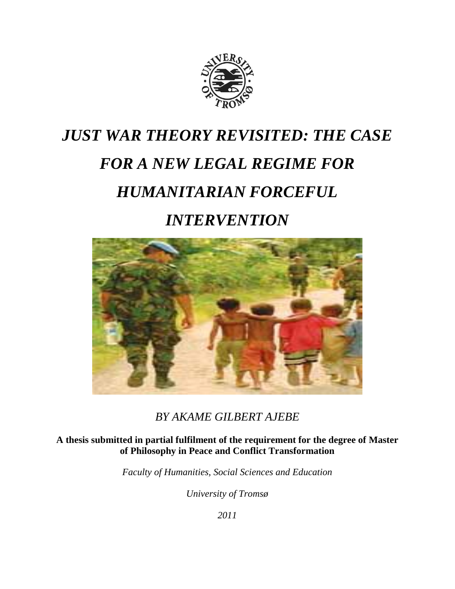

# *JUST WAR THEORY REVISITED: THE CASE FOR A NEW LEGAL REGIME FOR HUMANITARIAN FORCEFUL INTERVENTION*



*BY AKAME GILBERT AJEBE*

**A thesis submitted in partial fulfilment of the requirement for the degree of Master of Philosophy in Peace and Conflict Transformation**

*Faculty of Humanities, Social Sciences and Education*

*University of Tromsø*

*2011*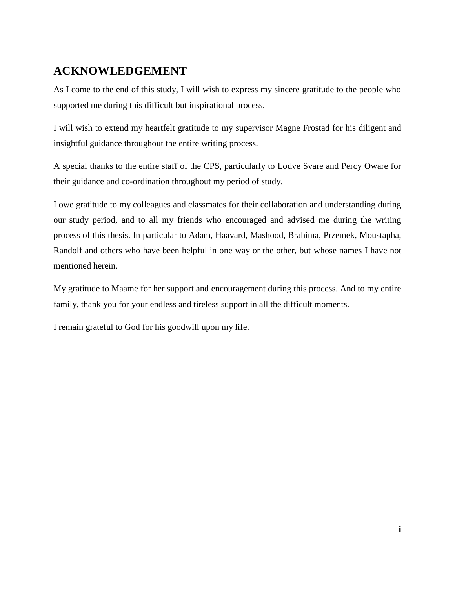# <span id="page-2-0"></span>**ACKNOWLEDGEMENT**

As I come to the end of this study, I will wish to express my sincere gratitude to the people who supported me during this difficult but inspirational process.

I will wish to extend my heartfelt gratitude to my supervisor Magne Frostad for his diligent and insightful guidance throughout the entire writing process.

A special thanks to the entire staff of the CPS, particularly to Lodve Svare and Percy Oware for their guidance and co-ordination throughout my period of study.

I owe gratitude to my colleagues and classmates for their collaboration and understanding during our study period, and to all my friends who encouraged and advised me during the writing process of this thesis. In particular to Adam, Haavard, Mashood, Brahima, Przemek, Moustapha, Randolf and others who have been helpful in one way or the other, but whose names I have not mentioned herein.

My gratitude to Maame for her support and encouragement during this process. And to my entire family, thank you for your endless and tireless support in all the difficult moments.

I remain grateful to God for his goodwill upon my life.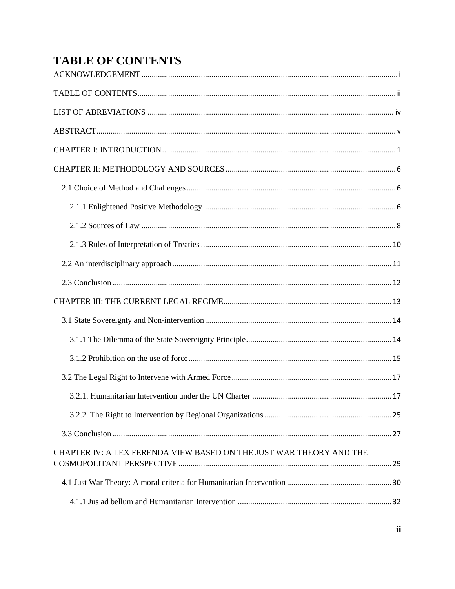# <span id="page-3-0"></span>**TABLE OF CONTENTS**

| CHAPTER IV: A LEX FERENDA VIEW BASED ON THE JUST WAR THEORY AND THE |  |
|---------------------------------------------------------------------|--|
|                                                                     |  |
|                                                                     |  |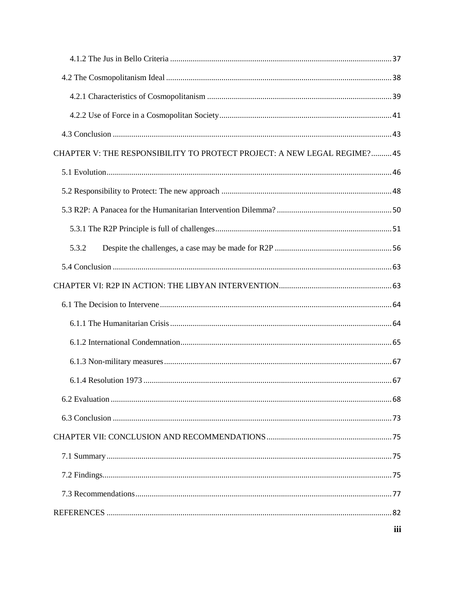| CHAPTER V: THE RESPONSIBILITY TO PROTECT PROJECT: A NEW LEGAL REGIME? 45 |  |
|--------------------------------------------------------------------------|--|
|                                                                          |  |
|                                                                          |  |
|                                                                          |  |
|                                                                          |  |
| 5.3.2                                                                    |  |
|                                                                          |  |
|                                                                          |  |
|                                                                          |  |
|                                                                          |  |
|                                                                          |  |
|                                                                          |  |
|                                                                          |  |
|                                                                          |  |
|                                                                          |  |
|                                                                          |  |
|                                                                          |  |
|                                                                          |  |
|                                                                          |  |
|                                                                          |  |
|                                                                          |  |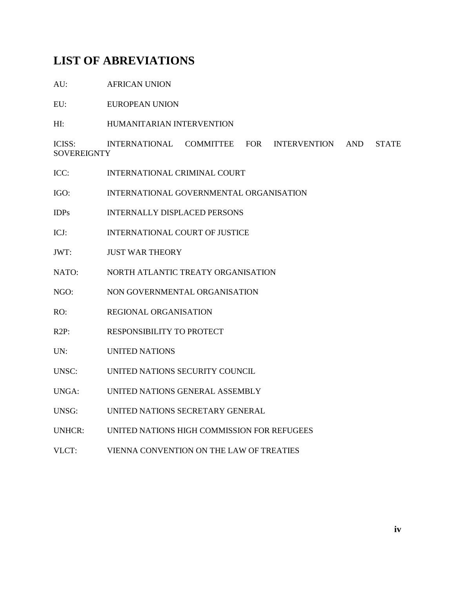## <span id="page-5-0"></span>**LIST OF ABREVIATIONS**

AU: AFRICAN UNION

EU: EUROPEAN UNION

HI: HUMANITARIAN INTERVENTION

ICISS: INTERNATIONAL COMMITTEE FOR INTERVENTION AND STATE **SOVEREIGNTY** 

- ICC: INTERNATIONAL CRIMINAL COURT
- IGO: INTERNATIONAL GOVERNMENTAL ORGANISATION
- IDPs INTERNALLY DISPLACED PERSONS
- ICJ: INTERNATIONAL COURT OF JUSTICE
- JWT: JUST WAR THEORY
- NATO: NORTH ATLANTIC TREATY ORGANISATION
- NGO: NON GOVERNMENTAL ORGANISATION
- RO: REGIONAL ORGANISATION
- R2P: RESPONSIBILITY TO PROTECT
- UN: UNITED NATIONS
- UNSC: UNITED NATIONS SECURITY COUNCIL
- UNGA: UNITED NATIONS GENERAL ASSEMBLY
- UNSG: UNITED NATIONS SECRETARY GENERAL
- UNHCR: UNITED NATIONS HIGH COMMISSION FOR REFUGEES
- VLCT: VIENNA CONVENTION ON THE LAW OF TREATIES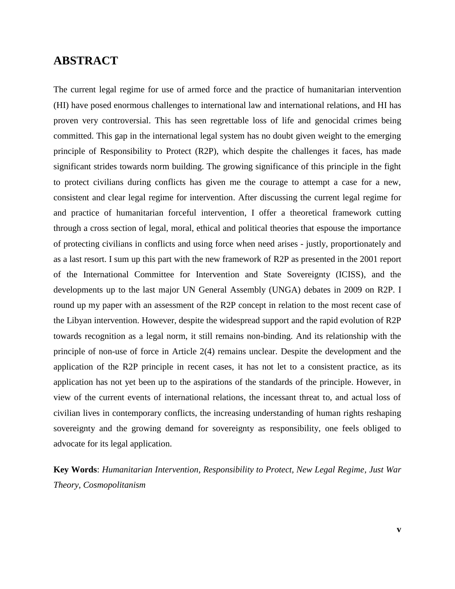## <span id="page-6-0"></span>**ABSTRACT**

The current legal regime for use of armed force and the practice of humanitarian intervention (HI) have posed enormous challenges to international law and international relations, and HI has proven very controversial. This has seen regrettable loss of life and genocidal crimes being committed. This gap in the international legal system has no doubt given weight to the emerging principle of Responsibility to Protect (R2P), which despite the challenges it faces, has made significant strides towards norm building. The growing significance of this principle in the fight to protect civilians during conflicts has given me the courage to attempt a case for a new, consistent and clear legal regime for intervention. After discussing the current legal regime for and practice of humanitarian forceful intervention, I offer a theoretical framework cutting through a cross section of legal, moral, ethical and political theories that espouse the importance of protecting civilians in conflicts and using force when need arises - justly, proportionately and as a last resort. I sum up this part with the new framework of R2P as presented in the 2001 report of the International Committee for Intervention and State Sovereignty (ICISS), and the developments up to the last major UN General Assembly (UNGA) debates in 2009 on R2P. I round up my paper with an assessment of the R2P concept in relation to the most recent case of the Libyan intervention. However, despite the widespread support and the rapid evolution of R2P towards recognition as a legal norm, it still remains non-binding. And its relationship with the principle of non-use of force in Article 2(4) remains unclear. Despite the development and the application of the R2P principle in recent cases, it has not let to a consistent practice, as its application has not yet been up to the aspirations of the standards of the principle. However, in view of the current events of international relations, the incessant threat to, and actual loss of civilian lives in contemporary conflicts, the increasing understanding of human rights reshaping sovereignty and the growing demand for sovereignty as responsibility, one feels obliged to advocate for its legal application.

**Key Words**: *Humanitarian Intervention, Responsibility to Protect, New Legal Regime, Just War Theory, Cosmopolitanism*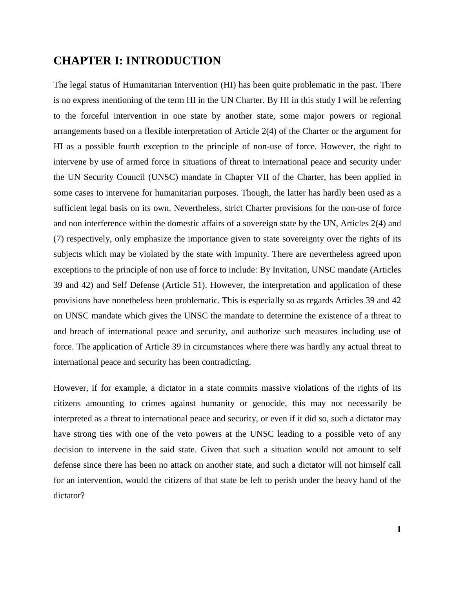## <span id="page-7-0"></span>**CHAPTER I: INTRODUCTION**

The legal status of Humanitarian Intervention (HI) has been quite problematic in the past. There is no express mentioning of the term HI in the UN Charter. By HI in this study I will be referring to the forceful intervention in one state by another state, some major powers or regional arrangements based on a flexible interpretation of Article 2(4) of the Charter or the argument for HI as a possible fourth exception to the principle of non-use of force. However, the right to intervene by use of armed force in situations of threat to international peace and security under the UN Security Council (UNSC) mandate in Chapter VII of the Charter, has been applied in some cases to intervene for humanitarian purposes. Though, the latter has hardly been used as a sufficient legal basis on its own. Nevertheless, strict Charter provisions for the non-use of force and non interference within the domestic affairs of a sovereign state by the UN, Articles 2(4) and (7) respectively, only emphasize the importance given to state sovereignty over the rights of its subjects which may be violated by the state with impunity. There are nevertheless agreed upon exceptions to the principle of non use of force to include: By Invitation, UNSC mandate (Articles 39 and 42) and Self Defense (Article 51). However, the interpretation and application of these provisions have nonetheless been problematic. This is especially so as regards Articles 39 and 42 on UNSC mandate which gives the UNSC the mandate to determine the existence of a threat to and breach of international peace and security, and authorize such measures including use of force. The application of Article 39 in circumstances where there was hardly any actual threat to international peace and security has been contradicting.

However, if for example, a dictator in a state commits massive violations of the rights of its citizens amounting to crimes against humanity or genocide, this may not necessarily be interpreted as a threat to international peace and security, or even if it did so, such a dictator may have strong ties with one of the veto powers at the UNSC leading to a possible veto of any decision to intervene in the said state. Given that such a situation would not amount to self defense since there has been no attack on another state, and such a dictator will not himself call for an intervention, would the citizens of that state be left to perish under the heavy hand of the dictator?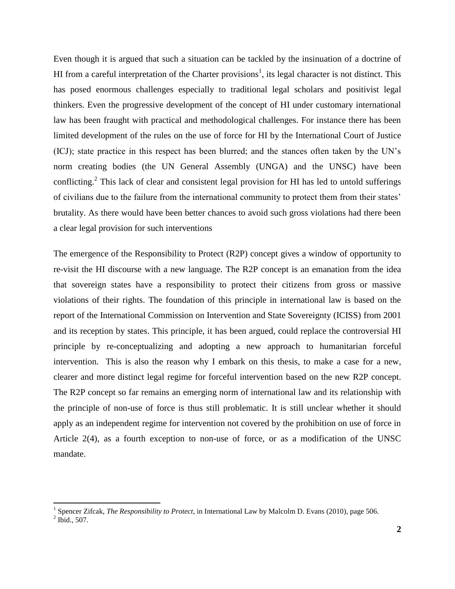Even though it is argued that such a situation can be tackled by the insinuation of a doctrine of HI from a careful interpretation of the Charter provisions<sup>1</sup>, its legal character is not distinct. This has posed enormous challenges especially to traditional legal scholars and positivist legal thinkers. Even the progressive development of the concept of HI under customary international law has been fraught with practical and methodological challenges. For instance there has been limited development of the rules on the use of force for HI by the International Court of Justice (ICJ); state practice in this respect has been blurred; and the stances often taken by the UN"s norm creating bodies (the UN General Assembly (UNGA) and the UNSC) have been conflicting.<sup>2</sup> This lack of clear and consistent legal provision for HI has led to untold sufferings of civilians due to the failure from the international community to protect them from their states" brutality. As there would have been better chances to avoid such gross violations had there been a clear legal provision for such interventions

The emergence of the Responsibility to Protect (R2P) concept gives a window of opportunity to re-visit the HI discourse with a new language. The R2P concept is an emanation from the idea that sovereign states have a responsibility to protect their citizens from gross or massive violations of their rights. The foundation of this principle in international law is based on the report of the International Commission on Intervention and State Sovereignty (ICISS) from 2001 and its reception by states. This principle, it has been argued, could replace the controversial HI principle by re-conceptualizing and adopting a new approach to humanitarian forceful intervention. This is also the reason why I embark on this thesis, to make a case for a new, clearer and more distinct legal regime for forceful intervention based on the new R2P concept. The R2P concept so far remains an emerging norm of international law and its relationship with the principle of non-use of force is thus still problematic. It is still unclear whether it should apply as an independent regime for intervention not covered by the prohibition on use of force in Article 2(4), as a fourth exception to non-use of force, or as a modification of the UNSC mandate.

 1 Spencer Zifcak, *The Responsibility to Protect*, in International Law by Malcolm D. Evans (2010), page 506.

 $<sup>2</sup>$  Ibid., 507.</sup>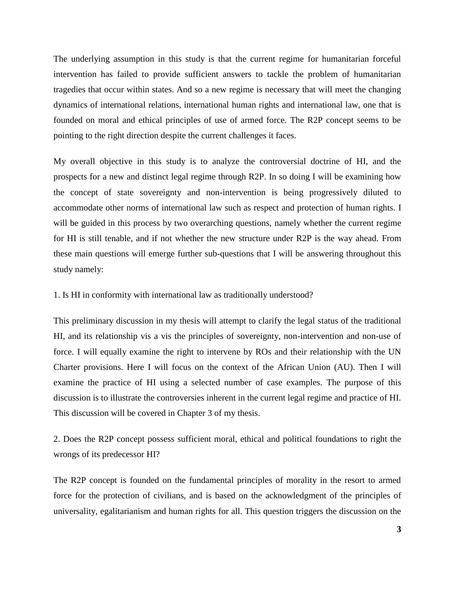The underlying assumption in this study is that the current regime for humanitarian forceful intervention has failed to provide sufficient answers to tackle the problem of humanitarian tragedies that occur within states. And so a new regime is necessary that will meet the changing dynamics of international relations, international human rights and international law, one that is founded on moral and ethical principles of use of armed force. The R2P concept seems to be pointing to the right direction despite the current challenges it faces.

My overall objective in this study is to analyze the controversial doctrine of HI, and the prospects for a new and distinct legal regime through R2P. In so doing I will be examining how the concept of state sovereignty and non-intervention is being progressively diluted to accommodate other norms of international law such as respect and protection of human rights. I will be guided in this process by two overarching questions, namely whether the current regime for HI is still tenable, and if not whether the new structure under R2P is the way ahead. From these main questions will emerge further sub-questions that I will be answering throughout this study namely:

1. Is HI in conformity with international law as traditionally understood?

This preliminary discussion in my thesis will attempt to clarify the legal status of the traditional HI, and its relationship vis a vis the principles of sovereignty, non-intervention and non-use of force. I will equally examine the right to intervene by ROs and their relationship with the UN Charter provisions. Here I will focus on the context of the African Union (AU). Then I will examine the practice of HI using a selected number of case examples. The purpose of this discussion is to illustrate the controversies inherent in the current legal regime and practice of HI. This discussion will be covered in Chapter 3 of my thesis.

2. Does the R2P concept possess sufficient moral, ethical and political foundations to right the wrongs of its predecessor HI?

The R2P concept is founded on the fundamental principles of morality in the resort to armed force for the protection of civilians, and is based on the acknowledgment of the principles of universality, egalitarianism and human rights for all. This question triggers the discussion on the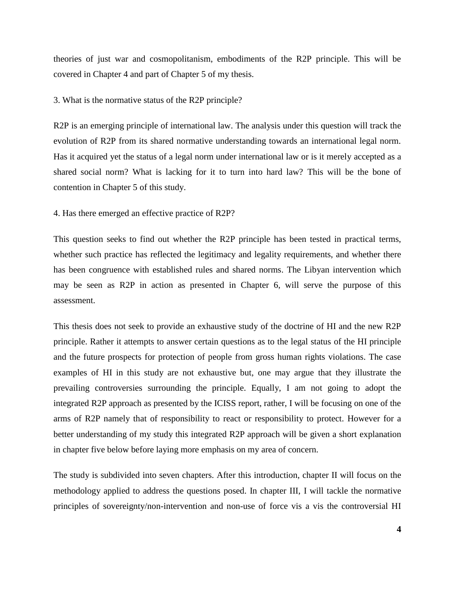theories of just war and cosmopolitanism, embodiments of the R2P principle. This will be covered in Chapter 4 and part of Chapter 5 of my thesis.

#### 3. What is the normative status of the R2P principle?

R2P is an emerging principle of international law. The analysis under this question will track the evolution of R2P from its shared normative understanding towards an international legal norm. Has it acquired yet the status of a legal norm under international law or is it merely accepted as a shared social norm? What is lacking for it to turn into hard law? This will be the bone of contention in Chapter 5 of this study.

#### 4. Has there emerged an effective practice of R2P?

This question seeks to find out whether the R2P principle has been tested in practical terms, whether such practice has reflected the legitimacy and legality requirements, and whether there has been congruence with established rules and shared norms. The Libyan intervention which may be seen as R2P in action as presented in Chapter 6, will serve the purpose of this assessment.

This thesis does not seek to provide an exhaustive study of the doctrine of HI and the new R2P principle. Rather it attempts to answer certain questions as to the legal status of the HI principle and the future prospects for protection of people from gross human rights violations. The case examples of HI in this study are not exhaustive but, one may argue that they illustrate the prevailing controversies surrounding the principle. Equally, I am not going to adopt the integrated R2P approach as presented by the ICISS report, rather, I will be focusing on one of the arms of R2P namely that of responsibility to react or responsibility to protect. However for a better understanding of my study this integrated R2P approach will be given a short explanation in chapter five below before laying more emphasis on my area of concern.

The study is subdivided into seven chapters. After this introduction, chapter II will focus on the methodology applied to address the questions posed. In chapter III, I will tackle the normative principles of sovereignty/non-intervention and non-use of force vis a vis the controversial HI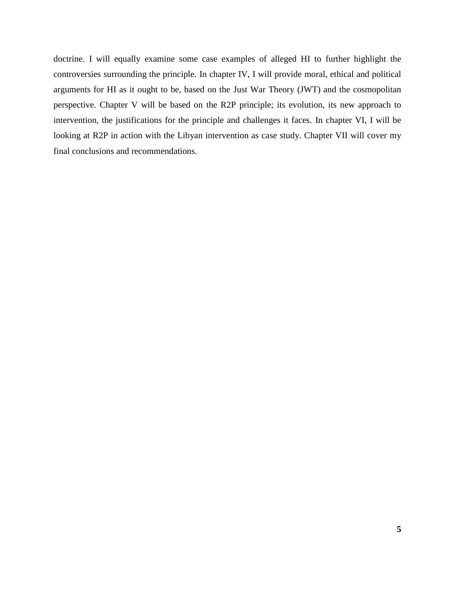doctrine. I will equally examine some case examples of alleged HI to further highlight the controversies surrounding the principle. In chapter IV, I will provide moral, ethical and political arguments for HI as it ought to be, based on the Just War Theory (JWT) and the cosmopolitan perspective. Chapter V will be based on the R2P principle; its evolution, its new approach to intervention, the justifications for the principle and challenges it faces. In chapter VI, I will be looking at R2P in action with the Libyan intervention as case study. Chapter VII will cover my final conclusions and recommendations.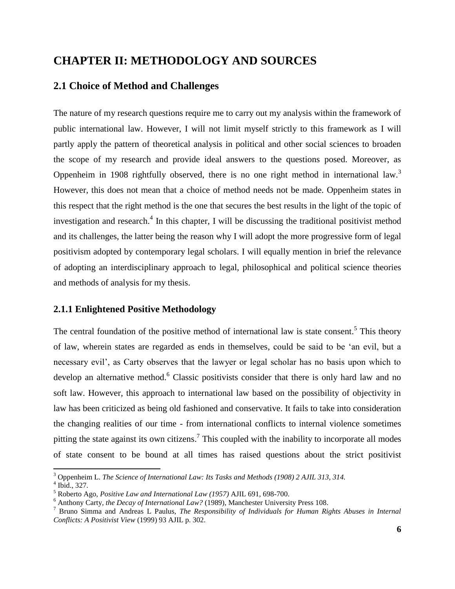## <span id="page-12-0"></span>**CHAPTER II: METHODOLOGY AND SOURCES**

## <span id="page-12-1"></span>**2.1 Choice of Method and Challenges**

The nature of my research questions require me to carry out my analysis within the framework of public international law. However, I will not limit myself strictly to this framework as I will partly apply the pattern of theoretical analysis in political and other social sciences to broaden the scope of my research and provide ideal answers to the questions posed. Moreover, as Oppenheim in 1908 rightfully observed, there is no one right method in international law.<sup>3</sup> However, this does not mean that a choice of method needs not be made. Oppenheim states in this respect that the right method is the one that secures the best results in the light of the topic of investigation and research. $4$  In this chapter, I will be discussing the traditional positivist method and its challenges, the latter being the reason why I will adopt the more progressive form of legal positivism adopted by contemporary legal scholars. I will equally mention in brief the relevance of adopting an interdisciplinary approach to legal, philosophical and political science theories and methods of analysis for my thesis.

## <span id="page-12-2"></span>**2.1.1 Enlightened Positive Methodology**

The central foundation of the positive method of international law is state consent.<sup>5</sup> This theory of law, wherein states are regarded as ends in themselves, could be said to be "an evil, but a necessary evil', as Carty observes that the lawyer or legal scholar has no basis upon which to develop an alternative method.<sup>6</sup> Classic positivists consider that there is only hard law and no soft law. However, this approach to international law based on the possibility of objectivity in law has been criticized as being old fashioned and conservative. It fails to take into consideration the changing realities of our time - from international conflicts to internal violence sometimes pitting the state against its own citizens.<sup>7</sup> This coupled with the inability to incorporate all modes of state consent to be bound at all times has raised questions about the strict positivist

<sup>3</sup> Oppenheim L. *The Science of International Law: Its Tasks and Methods (1908) 2 AJIL 313, 314.*

<sup>4</sup> Ibid., 327.

<sup>5</sup> Roberto Ago, *Positive Law and International Law (1957)* AJIL 691, 698-700.

<sup>6</sup> Anthony Carty*, the Decay of International Law?* (1989), Manchester University Press 108.

<sup>7</sup> Bruno Simma and Andreas L Paulus, *The Responsibility of Individuals for Human Rights Abuses in Internal Conflicts: A Positivist View* (1999) 93 AJIL p. 302.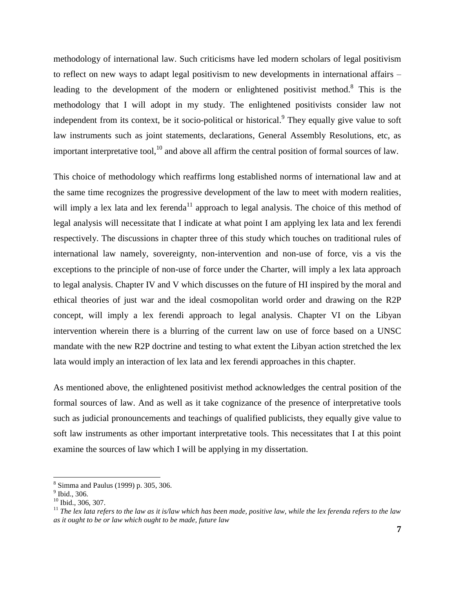methodology of international law. Such criticisms have led modern scholars of legal positivism to reflect on new ways to adapt legal positivism to new developments in international affairs – leading to the development of the modern or enlightened positivist method.<sup>8</sup> This is the methodology that I will adopt in my study. The enlightened positivists consider law not independent from its context, be it socio-political or historical.<sup>9</sup> They equally give value to soft law instruments such as joint statements, declarations, General Assembly Resolutions, etc, as important interpretative tool, $^{10}$  and above all affirm the central position of formal sources of law.

This choice of methodology which reaffirms long established norms of international law and at the same time recognizes the progressive development of the law to meet with modern realities, will imply a lex lata and lex ferenda<sup>11</sup> approach to legal analysis. The choice of this method of legal analysis will necessitate that I indicate at what point I am applying lex lata and lex ferendi respectively. The discussions in chapter three of this study which touches on traditional rules of international law namely, sovereignty, non-intervention and non-use of force, vis a vis the exceptions to the principle of non-use of force under the Charter, will imply a lex lata approach to legal analysis. Chapter IV and V which discusses on the future of HI inspired by the moral and ethical theories of just war and the ideal cosmopolitan world order and drawing on the R2P concept, will imply a lex ferendi approach to legal analysis. Chapter VI on the Libyan intervention wherein there is a blurring of the current law on use of force based on a UNSC mandate with the new R2P doctrine and testing to what extent the Libyan action stretched the lex lata would imply an interaction of lex lata and lex ferendi approaches in this chapter.

As mentioned above, the enlightened positivist method acknowledges the central position of the formal sources of law. And as well as it take cognizance of the presence of interpretative tools such as judicial pronouncements and teachings of qualified publicists, they equally give value to soft law instruments as other important interpretative tools. This necessitates that I at this point examine the sources of law which I will be applying in my dissertation.

 $\overline{a}$ 

<sup>8</sup> Simma and Paulus (1999) p. 305, 306.

<sup>&</sup>lt;sup>9</sup> Ibid., 306.

<sup>&</sup>lt;sup>10</sup> Ibid., 306, 307.

<sup>&</sup>lt;sup>11</sup> The lex lata refers to the law as it is/law which has been made, positive law, while the lex ferenda refers to the law *as it ought to be or law which ought to be made, future law*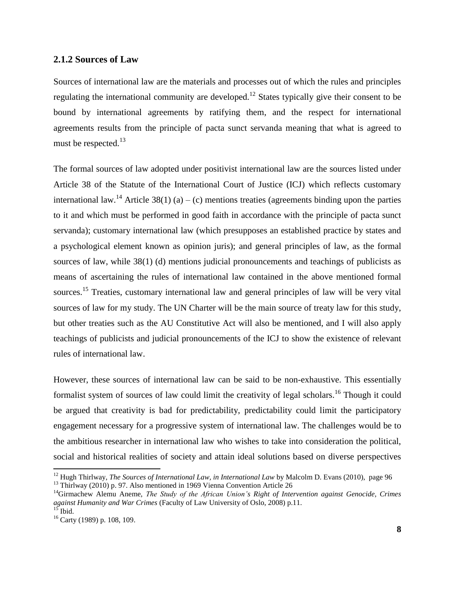## <span id="page-14-0"></span>**2.1.2 Sources of Law**

Sources of international law are the materials and processes out of which the rules and principles regulating the international community are developed.<sup>12</sup> States typically give their consent to be bound by international agreements by ratifying them, and the respect for international agreements results from the principle of pacta sunct servanda meaning that what is agreed to must be respected.<sup>13</sup>

The formal sources of law adopted under positivist international law are the sources listed under Article 38 of the Statute of the International Court of Justice (ICJ) which reflects customary international law.<sup>14</sup> Article 38(1) (a) – (c) mentions treaties (agreements binding upon the parties to it and which must be performed in good faith in accordance with the principle of pacta sunct servanda); customary international law (which presupposes an established practice by states and a psychological element known as opinion juris); and general principles of law, as the formal sources of law, while 38(1) (d) mentions judicial pronouncements and teachings of publicists as means of ascertaining the rules of international law contained in the above mentioned formal sources.<sup>15</sup> Treaties, customary international law and general principles of law will be very vital sources of law for my study. The UN Charter will be the main source of treaty law for this study, but other treaties such as the AU Constitutive Act will also be mentioned, and I will also apply teachings of publicists and judicial pronouncements of the ICJ to show the existence of relevant rules of international law.

However, these sources of international law can be said to be non-exhaustive. This essentially formalist system of sources of law could limit the creativity of legal scholars.<sup>16</sup> Though it could be argued that creativity is bad for predictability, predictability could limit the participatory engagement necessary for a progressive system of international law. The challenges would be to the ambitious researcher in international law who wishes to take into consideration the political, social and historical realities of society and attain ideal solutions based on diverse perspectives

<sup>&</sup>lt;sup>12</sup> Hugh Thirlway, *The Sources of International Law, in International Law* by Malcolm D. Evans (2010), page 96

<sup>&</sup>lt;sup>13</sup> Thirlway (2010) p. 97. Also mentioned in 1969 Vienna Convention Article 26

<sup>14</sup>Girmachew Alemu Aneme, *The Study of the African Union"s Right of Intervention against Genocide, Crimes against Humanity and War Crimes* (Faculty of Law University of Oslo, 2008) p.11.<br><sup>15</sup> Ibid.

Ibid.

<sup>16</sup> Carty (1989) p. 108, 109.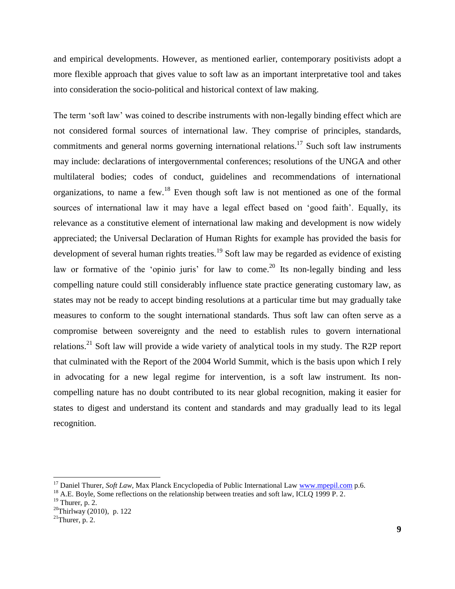and empirical developments. However, as mentioned earlier, contemporary positivists adopt a more flexible approach that gives value to soft law as an important interpretative tool and takes into consideration the socio-political and historical context of law making.

The term "soft law" was coined to describe instruments with non-legally binding effect which are not considered formal sources of international law. They comprise of principles, standards, commitments and general norms governing international relations.<sup>17</sup> Such soft law instruments may include: declarations of intergovernmental conferences; resolutions of the UNGA and other multilateral bodies; codes of conduct, guidelines and recommendations of international organizations, to name a few.<sup>18</sup> Even though soft law is not mentioned as one of the formal sources of international law it may have a legal effect based on "good faith". Equally, its relevance as a constitutive element of international law making and development is now widely appreciated; the Universal Declaration of Human Rights for example has provided the basis for development of several human rights treaties.<sup>19</sup> Soft law may be regarded as evidence of existing law or formative of the 'opinio juris' for law to come.<sup>20</sup> Its non-legally binding and less compelling nature could still considerably influence state practice generating customary law, as states may not be ready to accept binding resolutions at a particular time but may gradually take measures to conform to the sought international standards. Thus soft law can often serve as a compromise between sovereignty and the need to establish rules to govern international relations.<sup>21</sup> Soft law will provide a wide variety of analytical tools in my study. The R2P report that culminated with the Report of the 2004 World Summit, which is the basis upon which I rely in advocating for a new legal regime for intervention, is a soft law instrument. Its noncompelling nature has no doubt contributed to its near global recognition, making it easier for states to digest and understand its content and standards and may gradually lead to its legal recognition.

 $\overline{a}$ 

<sup>&</sup>lt;sup>17</sup> Daniel Thurer, *Soft Law*, Max Planck Encyclopedia of Public International Law [www.mpepil.com](http://www.mpepil.com/) p.6.

<sup>&</sup>lt;sup>18</sup> A.E. Boyle, Some reflections on the relationship between treaties and soft law, ICLQ 1999 P. 2.

 $19$  Thurer, p. 2.

<sup>20</sup>Thirlway (2010), p. 122

 $21$ Thurer, p. 2.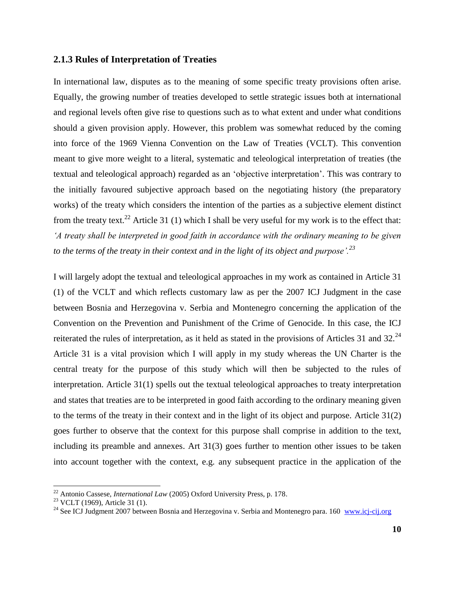## <span id="page-16-0"></span>**2.1.3 Rules of Interpretation of Treaties**

In international law, disputes as to the meaning of some specific treaty provisions often arise. Equally, the growing number of treaties developed to settle strategic issues both at international and regional levels often give rise to questions such as to what extent and under what conditions should a given provision apply. However, this problem was somewhat reduced by the coming into force of the 1969 Vienna Convention on the Law of Treaties (VCLT). This convention meant to give more weight to a literal, systematic and teleological interpretation of treaties (the textual and teleological approach) regarded as an "objective interpretation". This was contrary to the initially favoured subjective approach based on the negotiating history (the preparatory works) of the treaty which considers the intention of the parties as a subjective element distinct from the treaty text.<sup>22</sup> Article 31 (1) which I shall be very useful for my work is to the effect that: *"A treaty shall be interpreted in good faith in accordance with the ordinary meaning to be given to the terms of the treaty in their context and in the light of its object and purpose".<sup>23</sup>*

I will largely adopt the textual and teleological approaches in my work as contained in Article 31 (1) of the VCLT and which reflects customary law as per the 2007 ICJ Judgment in the case between Bosnia and Herzegovina v. Serbia and Montenegro concerning the application of the Convention on the Prevention and Punishment of the Crime of Genocide. In this case, the ICJ reiterated the rules of interpretation, as it held as stated in the provisions of Articles 31 and 32.<sup>24</sup> Article 31 is a vital provision which I will apply in my study whereas the UN Charter is the central treaty for the purpose of this study which will then be subjected to the rules of interpretation. Article 31(1) spells out the textual teleological approaches to treaty interpretation and states that treaties are to be interpreted in good faith according to the ordinary meaning given to the terms of the treaty in their context and in the light of its object and purpose. Article 31(2) goes further to observe that the context for this purpose shall comprise in addition to the text, including its preamble and annexes. Art 31(3) goes further to mention other issues to be taken into account together with the context, e.g. any subsequent practice in the application of the

<sup>22</sup> Antonio Cassese, *International Law* (2005) Oxford University Press, p. 178.

<sup>&</sup>lt;sup>23</sup> VCLT (1969), Article 31 (1).

<sup>&</sup>lt;sup>24</sup> See ICJ Judgment 2007 between Bosnia and Herzegovina v. Serbia and Montenegro para. 160 www.icj-cij.org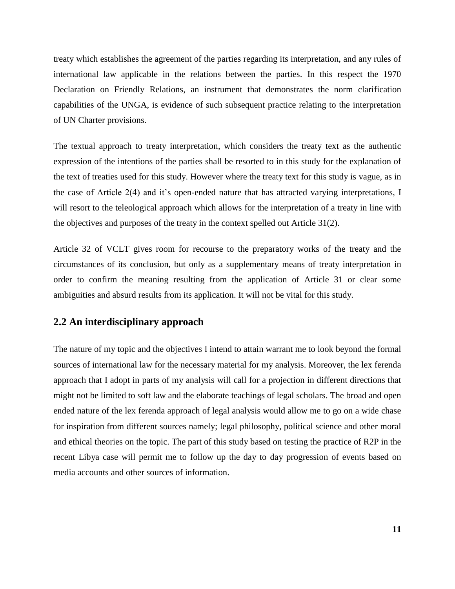treaty which establishes the agreement of the parties regarding its interpretation, and any rules of international law applicable in the relations between the parties. In this respect the 1970 Declaration on Friendly Relations, an instrument that demonstrates the norm clarification capabilities of the UNGA, is evidence of such subsequent practice relating to the interpretation of UN Charter provisions.

The textual approach to treaty interpretation, which considers the treaty text as the authentic expression of the intentions of the parties shall be resorted to in this study for the explanation of the text of treaties used for this study. However where the treaty text for this study is vague, as in the case of Article 2(4) and it's open-ended nature that has attracted varying interpretations, I will resort to the teleological approach which allows for the interpretation of a treaty in line with the objectives and purposes of the treaty in the context spelled out Article 31(2).

Article 32 of VCLT gives room for recourse to the preparatory works of the treaty and the circumstances of its conclusion, but only as a supplementary means of treaty interpretation in order to confirm the meaning resulting from the application of Article 31 or clear some ambiguities and absurd results from its application. It will not be vital for this study.

## <span id="page-17-0"></span>**2.2 An interdisciplinary approach**

The nature of my topic and the objectives I intend to attain warrant me to look beyond the formal sources of international law for the necessary material for my analysis. Moreover, the lex ferenda approach that I adopt in parts of my analysis will call for a projection in different directions that might not be limited to soft law and the elaborate teachings of legal scholars. The broad and open ended nature of the lex ferenda approach of legal analysis would allow me to go on a wide chase for inspiration from different sources namely; legal philosophy, political science and other moral and ethical theories on the topic. The part of this study based on testing the practice of R2P in the recent Libya case will permit me to follow up the day to day progression of events based on media accounts and other sources of information.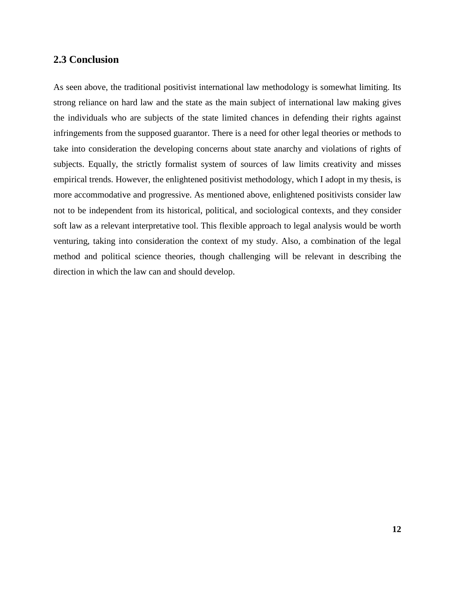## <span id="page-18-0"></span>**2.3 Conclusion**

As seen above, the traditional positivist international law methodology is somewhat limiting. Its strong reliance on hard law and the state as the main subject of international law making gives the individuals who are subjects of the state limited chances in defending their rights against infringements from the supposed guarantor. There is a need for other legal theories or methods to take into consideration the developing concerns about state anarchy and violations of rights of subjects. Equally, the strictly formalist system of sources of law limits creativity and misses empirical trends. However, the enlightened positivist methodology, which I adopt in my thesis, is more accommodative and progressive. As mentioned above, enlightened positivists consider law not to be independent from its historical, political, and sociological contexts, and they consider soft law as a relevant interpretative tool. This flexible approach to legal analysis would be worth venturing, taking into consideration the context of my study. Also, a combination of the legal method and political science theories, though challenging will be relevant in describing the direction in which the law can and should develop.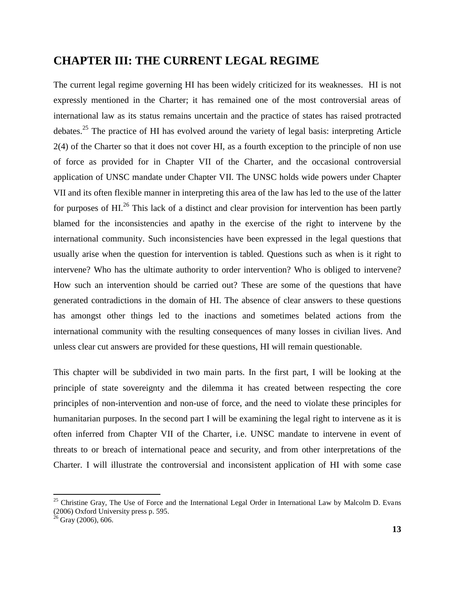## <span id="page-19-0"></span>**CHAPTER III: THE CURRENT LEGAL REGIME**

The current legal regime governing HI has been widely criticized for its weaknesses. HI is not expressly mentioned in the Charter; it has remained one of the most controversial areas of international law as its status remains uncertain and the practice of states has raised protracted debates.<sup>25</sup> The practice of HI has evolved around the variety of legal basis: interpreting Article 2(4) of the Charter so that it does not cover HI, as a fourth exception to the principle of non use of force as provided for in Chapter VII of the Charter, and the occasional controversial application of UNSC mandate under Chapter VII. The UNSC holds wide powers under Chapter VII and its often flexible manner in interpreting this area of the law has led to the use of the latter for purposes of HI.<sup>26</sup> This lack of a distinct and clear provision for intervention has been partly blamed for the inconsistencies and apathy in the exercise of the right to intervene by the international community. Such inconsistencies have been expressed in the legal questions that usually arise when the question for intervention is tabled. Questions such as when is it right to intervene? Who has the ultimate authority to order intervention? Who is obliged to intervene? How such an intervention should be carried out? These are some of the questions that have generated contradictions in the domain of HI. The absence of clear answers to these questions has amongst other things led to the inactions and sometimes belated actions from the international community with the resulting consequences of many losses in civilian lives. And unless clear cut answers are provided for these questions, HI will remain questionable.

This chapter will be subdivided in two main parts. In the first part, I will be looking at the principle of state sovereignty and the dilemma it has created between respecting the core principles of non-intervention and non-use of force, and the need to violate these principles for humanitarian purposes. In the second part I will be examining the legal right to intervene as it is often inferred from Chapter VII of the Charter, i.e. UNSC mandate to intervene in event of threats to or breach of international peace and security, and from other interpretations of the Charter. I will illustrate the controversial and inconsistent application of HI with some case

<sup>&</sup>lt;sup>25</sup> Christine Gray, The Use of Force and the International Legal Order in International Law by Malcolm D. Evans (2006) Oxford University press p. 595.

 $26$  Gray (2006), 606.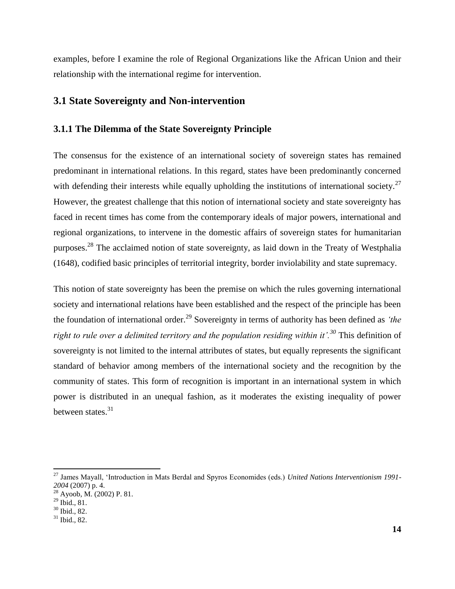examples, before I examine the role of Regional Organizations like the African Union and their relationship with the international regime for intervention.

## <span id="page-20-0"></span>**3.1 State Sovereignty and Non-intervention**

### <span id="page-20-1"></span>**3.1.1 The Dilemma of the State Sovereignty Principle**

The consensus for the existence of an international society of sovereign states has remained predominant in international relations. In this regard, states have been predominantly concerned with defending their interests while equally upholding the institutions of international society.<sup>27</sup> However, the greatest challenge that this notion of international society and state sovereignty has faced in recent times has come from the contemporary ideals of major powers, international and regional organizations, to intervene in the domestic affairs of sovereign states for humanitarian purposes.<sup>28</sup> The acclaimed notion of state sovereignty, as laid down in the Treaty of Westphalia (1648), codified basic principles of territorial integrity, border inviolability and state supremacy.

This notion of state sovereignty has been the premise on which the rules governing international society and international relations have been established and the respect of the principle has been the foundation of international order.<sup>29</sup> Sovereignty in terms of authority has been defined as *"the right to rule over a delimited territory and the population residing within it'.<sup>30</sup> This definition of* sovereignty is not limited to the internal attributes of states, but equally represents the significant standard of behavior among members of the international society and the recognition by the community of states. This form of recognition is important in an international system in which power is distributed in an unequal fashion, as it moderates the existing inequality of power between states.<sup>31</sup>

<sup>27</sup> James Mayall, "Introduction in Mats Berdal and Spyros Economides (eds.) *United Nations Interventionism 1991- 2004* (2007) p. 4.

 $28$  Ayoob, M. (2002) P. 81.

 $^{29}$  Ibid., 81.

 $30$  Ibid., 82.

 $31$  Ibid., 82.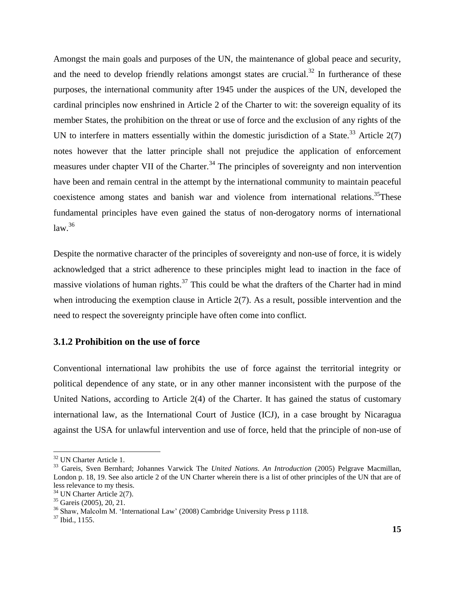Amongst the main goals and purposes of the UN, the maintenance of global peace and security, and the need to develop friendly relations amongst states are crucial.<sup>32</sup> In furtherance of these purposes, the international community after 1945 under the auspices of the UN, developed the cardinal principles now enshrined in Article 2 of the Charter to wit: the sovereign equality of its member States, the prohibition on the threat or use of force and the exclusion of any rights of the UN to interfere in matters essentially within the domestic jurisdiction of a State.<sup>33</sup> Article  $2(7)$ notes however that the latter principle shall not prejudice the application of enforcement measures under chapter VII of the Charter.<sup>34</sup> The principles of sovereignty and non intervention have been and remain central in the attempt by the international community to maintain peaceful coexistence among states and banish war and violence from international relations.<sup>35</sup>These fundamental principles have even gained the status of non-derogatory norms of international  $law.<sup>36</sup>$ 

Despite the normative character of the principles of sovereignty and non-use of force, it is widely acknowledged that a strict adherence to these principles might lead to inaction in the face of massive violations of human rights.<sup>37</sup> This could be what the drafters of the Charter had in mind when introducing the exemption clause in Article 2(7). As a result, possible intervention and the need to respect the sovereignty principle have often come into conflict.

## <span id="page-21-0"></span>**3.1.2 Prohibition on the use of force**

Conventional international law prohibits the use of force against the territorial integrity or political dependence of any state, or in any other manner inconsistent with the purpose of the United Nations, according to Article 2(4) of the Charter. It has gained the status of customary international law, as the International Court of Justice (ICJ), in a case brought by Nicaragua against the USA for unlawful intervention and use of force, held that the principle of non-use of

 $\overline{a}$ 

<sup>&</sup>lt;sup>32</sup> UN Charter Article 1.

<sup>33</sup> Gareis, Sven Bernhard; Johannes Varwick The *United Nations. An Introduction* (2005) Pelgrave Macmillan, London p. 18, 19. See also article 2 of the UN Charter wherein there is a list of other principles of the UN that are of less relevance to my thesis.

<sup>34</sup> UN Charter Article 2(7).

 $35$  Gareis (2005), 20, 21.

<sup>&</sup>lt;sup>36</sup> Shaw, Malcolm M. 'International Law' (2008) Cambridge University Press p 1118.

 $37$  Ibid., 1155.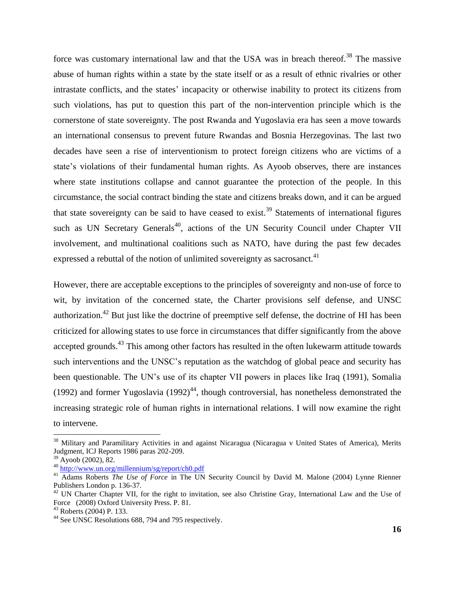force was customary international law and that the USA was in breach thereof.<sup>38</sup> The massive abuse of human rights within a state by the state itself or as a result of ethnic rivalries or other intrastate conflicts, and the states' incapacity or otherwise inability to protect its citizens from such violations, has put to question this part of the non-intervention principle which is the cornerstone of state sovereignty. The post Rwanda and Yugoslavia era has seen a move towards an international consensus to prevent future Rwandas and Bosnia Herzegovinas. The last two decades have seen a rise of interventionism to protect foreign citizens who are victims of a state's violations of their fundamental human rights. As Ayoob observes, there are instances where state institutions collapse and cannot guarantee the protection of the people. In this circumstance, the social contract binding the state and citizens breaks down, and it can be argued that state sovereignty can be said to have ceased to exist.<sup>39</sup> Statements of international figures such as UN Secretary Generals<sup>40</sup>, actions of the UN Security Council under Chapter VII involvement, and multinational coalitions such as NATO, have during the past few decades expressed a rebuttal of the notion of unlimited sovereignty as sacrosanct.<sup>41</sup>

However, there are acceptable exceptions to the principles of sovereignty and non-use of force to wit, by invitation of the concerned state, the Charter provisions self defense, and UNSC authorization.<sup>42</sup> But just like the doctrine of preemptive self defense, the doctrine of HI has been criticized for allowing states to use force in circumstances that differ significantly from the above accepted grounds.<sup>43</sup> This among other factors has resulted in the often lukewarm attitude towards such interventions and the UNSC"s reputation as the watchdog of global peace and security has been questionable. The UN's use of its chapter VII powers in places like Iraq (1991), Somalia (1992) and former Yugoslavia (1992)<sup>44</sup>, though controversial, has nonetheless demonstrated the increasing strategic role of human rights in international relations. I will now examine the right to intervene.

<sup>&</sup>lt;sup>38</sup> Military and Paramilitary Activities in and against Nicaragua (Nicaragua v United States of America), Merits Judgment, ICJ Reports 1986 paras 202-209.

 $39$  Ayoob (2002), 82.

<sup>40</sup> <http://www.un.org/millennium/sg/report/ch0.pdf>

<sup>&</sup>lt;sup>41</sup> Adams Roberts *The Use of Force* in The UN Security Council by David M. Malone (2004) Lynne Rienner Publishers London p. 136-37.

 $42$  UN Charter Chapter VII, for the right to invitation, see also Christine Gray, International Law and the Use of Force (2008) Oxford University Press. P. 81.

<sup>43</sup> Roberts (2004) P. 133.

<sup>&</sup>lt;sup>44</sup> See UNSC Resolutions 688, 794 and 795 respectively.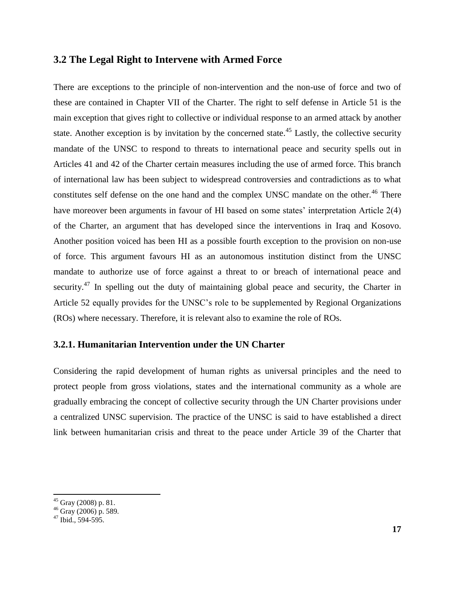## <span id="page-23-0"></span>**3.2 The Legal Right to Intervene with Armed Force**

There are exceptions to the principle of non-intervention and the non-use of force and two of these are contained in Chapter VII of the Charter. The right to self defense in Article 51 is the main exception that gives right to collective or individual response to an armed attack by another state. Another exception is by invitation by the concerned state.<sup>45</sup> Lastly, the collective security mandate of the UNSC to respond to threats to international peace and security spells out in Articles 41 and 42 of the Charter certain measures including the use of armed force. This branch of international law has been subject to widespread controversies and contradictions as to what constitutes self defense on the one hand and the complex UNSC mandate on the other.<sup>46</sup> There have moreover been arguments in favour of HI based on some states' interpretation Article 2(4) of the Charter, an argument that has developed since the interventions in Iraq and Kosovo. Another position voiced has been HI as a possible fourth exception to the provision on non-use of force. This argument favours HI as an autonomous institution distinct from the UNSC mandate to authorize use of force against a threat to or breach of international peace and security.<sup>47</sup> In spelling out the duty of maintaining global peace and security, the Charter in Article 52 equally provides for the UNSC"s role to be supplemented by Regional Organizations (ROs) where necessary. Therefore, it is relevant also to examine the role of ROs.

## <span id="page-23-1"></span>**3.2.1. Humanitarian Intervention under the UN Charter**

Considering the rapid development of human rights as universal principles and the need to protect people from gross violations, states and the international community as a whole are gradually embracing the concept of collective security through the UN Charter provisions under a centralized UNSC supervision. The practice of the UNSC is said to have established a direct link between humanitarian crisis and threat to the peace under Article 39 of the Charter that

<sup>&</sup>lt;sup>45</sup> Gray (2008) p. 81.

<sup>46</sup> Gray (2006) p. 589.

 $47$  Ibid., 594-595.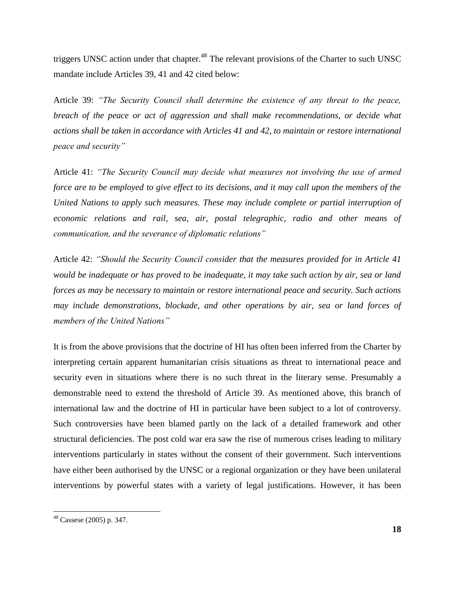triggers UNSC action under that chapter.<sup>48</sup> The relevant provisions of the Charter to such UNSC mandate include Articles 39, 41 and 42 cited below:

Article 39: *"The Security Council shall determine the existence of any threat to the peace, breach of the peace or act of aggression and shall make recommendations, or decide what actions shall be taken in accordance with Articles 41 and 42, to maintain or restore international peace and security"*

Article 41: *"The Security Council may decide what measures not involving the use of armed force are to be employed to give effect to its decisions, and it may call upon the members of the United Nations to apply such measures. These may include complete or partial interruption of economic relations and rail, sea, air, postal telegraphic, radio and other means of communication, and the severance of diplomatic relations"* 

Article 42: *"Should the Security Council consider that the measures provided for in Article 41 would be inadequate or has proved to be inadequate, it may take such action by air, sea or land forces as may be necessary to maintain or restore international peace and security. Such actions may include demonstrations, blockade, and other operations by air, sea or land forces of members of the United Nations"*

It is from the above provisions that the doctrine of HI has often been inferred from the Charter by interpreting certain apparent humanitarian crisis situations as threat to international peace and security even in situations where there is no such threat in the literary sense. Presumably a demonstrable need to extend the threshold of Article 39. As mentioned above, this branch of international law and the doctrine of HI in particular have been subject to a lot of controversy. Such controversies have been blamed partly on the lack of a detailed framework and other structural deficiencies. The post cold war era saw the rise of numerous crises leading to military interventions particularly in states without the consent of their government. Such interventions have either been authorised by the UNSC or a regional organization or they have been unilateral interventions by powerful states with a variety of legal justifications. However, it has been

 $48$  Cassese (2005) p. 347.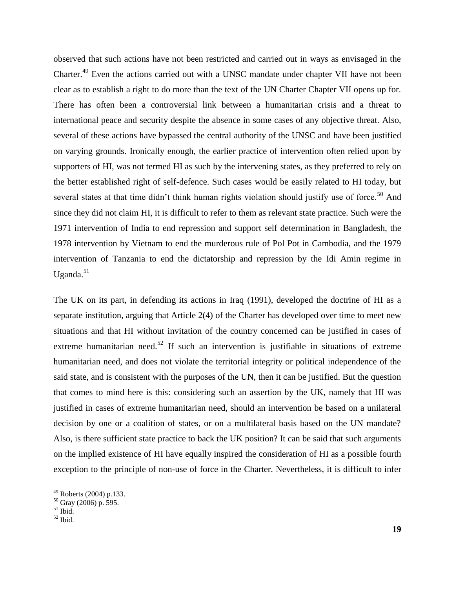observed that such actions have not been restricted and carried out in ways as envisaged in the Charter.<sup>49</sup> Even the actions carried out with a UNSC mandate under chapter VII have not been clear as to establish a right to do more than the text of the UN Charter Chapter VII opens up for. There has often been a controversial link between a humanitarian crisis and a threat to international peace and security despite the absence in some cases of any objective threat. Also, several of these actions have bypassed the central authority of the UNSC and have been justified on varying grounds. Ironically enough, the earlier practice of intervention often relied upon by supporters of HI, was not termed HI as such by the intervening states, as they preferred to rely on the better established right of self-defence. Such cases would be easily related to HI today, but several states at that time didn't think human rights violation should justify use of force.<sup>50</sup> And since they did not claim HI, it is difficult to refer to them as relevant state practice. Such were the 1971 intervention of India to end repression and support self determination in Bangladesh, the 1978 intervention by Vietnam to end the murderous rule of Pol Pot in Cambodia, and the 1979 intervention of Tanzania to end the dictatorship and repression by the Idi Amin regime in Uganda. $51$ 

The UK on its part, in defending its actions in Iraq (1991), developed the doctrine of HI as a separate institution, arguing that Article 2(4) of the Charter has developed over time to meet new situations and that HI without invitation of the country concerned can be justified in cases of extreme humanitarian need.<sup>52</sup> If such an intervention is justifiable in situations of extreme humanitarian need, and does not violate the territorial integrity or political independence of the said state, and is consistent with the purposes of the UN, then it can be justified. But the question that comes to mind here is this: considering such an assertion by the UK, namely that HI was justified in cases of extreme humanitarian need, should an intervention be based on a unilateral decision by one or a coalition of states, or on a multilateral basis based on the UN mandate? Also, is there sufficient state practice to back the UK position? It can be said that such arguments on the implied existence of HI have equally inspired the consideration of HI as a possible fourth exception to the principle of non-use of force in the Charter. Nevertheless, it is difficult to infer

 $49$  Roberts (2004) p.133.

 $50$  Gray (2006) p. 595.

 $51$  Ibid.

 $52$  Ibid.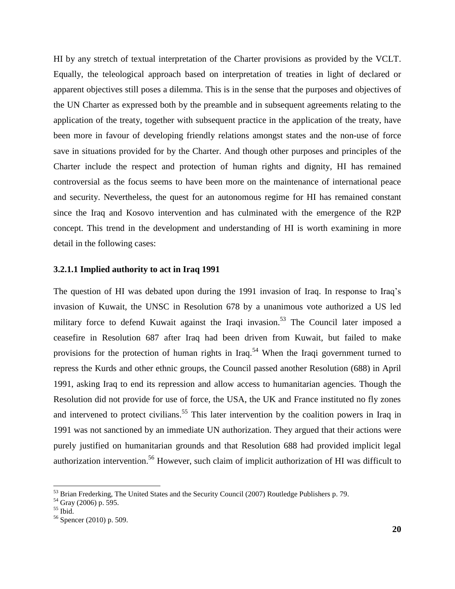HI by any stretch of textual interpretation of the Charter provisions as provided by the VCLT. Equally, the teleological approach based on interpretation of treaties in light of declared or apparent objectives still poses a dilemma. This is in the sense that the purposes and objectives of the UN Charter as expressed both by the preamble and in subsequent agreements relating to the application of the treaty, together with subsequent practice in the application of the treaty, have been more in favour of developing friendly relations amongst states and the non-use of force save in situations provided for by the Charter. And though other purposes and principles of the Charter include the respect and protection of human rights and dignity, HI has remained controversial as the focus seems to have been more on the maintenance of international peace and security. Nevertheless, the quest for an autonomous regime for HI has remained constant since the Iraq and Kosovo intervention and has culminated with the emergence of the R2P concept. This trend in the development and understanding of HI is worth examining in more detail in the following cases:

#### **3.2.1.1 Implied authority to act in Iraq 1991**

The question of HI was debated upon during the 1991 invasion of Iraq. In response to Iraq"s invasion of Kuwait, the UNSC in Resolution 678 by a unanimous vote authorized a US led military force to defend Kuwait against the Iraqi invasion.<sup>53</sup> The Council later imposed a ceasefire in Resolution 687 after Iraq had been driven from Kuwait, but failed to make provisions for the protection of human rights in Iraq.<sup>54</sup> When the Iraqi government turned to repress the Kurds and other ethnic groups, the Council passed another Resolution (688) in April 1991, asking Iraq to end its repression and allow access to humanitarian agencies. Though the Resolution did not provide for use of force, the USA, the UK and France instituted no fly zones and intervened to protect civilians.<sup>55</sup> This later intervention by the coalition powers in Iraq in 1991 was not sanctioned by an immediate UN authorization. They argued that their actions were purely justified on humanitarian grounds and that Resolution 688 had provided implicit legal authorization intervention.<sup>56</sup> However, such claim of implicit authorization of HI was difficult to

 $53$  Brian Frederking, The United States and the Security Council (2007) Routledge Publishers p. 79.

<sup>&</sup>lt;sup>54</sup> Gray (2006) p. 595.

<sup>55</sup> Ibid.

<sup>56</sup> Spencer (2010) p. 509.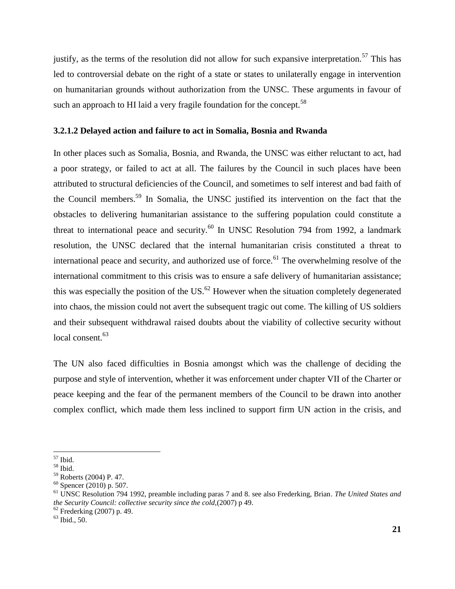justify, as the terms of the resolution did not allow for such expansive interpretation.<sup>57</sup> This has led to controversial debate on the right of a state or states to unilaterally engage in intervention on humanitarian grounds without authorization from the UNSC. These arguments in favour of such an approach to HI laid a very fragile foundation for the concept.<sup>58</sup>

## **3.2.1.2 Delayed action and failure to act in Somalia, Bosnia and Rwanda**

In other places such as Somalia, Bosnia, and Rwanda, the UNSC was either reluctant to act, had a poor strategy, or failed to act at all. The failures by the Council in such places have been attributed to structural deficiencies of the Council, and sometimes to self interest and bad faith of the Council members.<sup>59</sup> In Somalia, the UNSC justified its intervention on the fact that the obstacles to delivering humanitarian assistance to the suffering population could constitute a threat to international peace and security.<sup>60</sup> In UNSC Resolution 794 from 1992, a landmark resolution, the UNSC declared that the internal humanitarian crisis constituted a threat to international peace and security, and authorized use of force.<sup>61</sup> The overwhelming resolve of the international commitment to this crisis was to ensure a safe delivery of humanitarian assistance; this was especially the position of the US. $^{62}$  However when the situation completely degenerated into chaos, the mission could not avert the subsequent tragic out come. The killing of US soldiers and their subsequent withdrawal raised doubts about the viability of collective security without local consent.<sup>63</sup>

The UN also faced difficulties in Bosnia amongst which was the challenge of deciding the purpose and style of intervention, whether it was enforcement under chapter VII of the Charter or peace keeping and the fear of the permanent members of the Council to be drawn into another complex conflict, which made them less inclined to support firm UN action in the crisis, and

 $\overline{a}$ <sup>57</sup> Ibid.

<sup>58</sup> Ibid.

<sup>59</sup> Roberts (2004) P. 47.

 $60$  Spencer (2010) p. 507.

<sup>61</sup> UNSC Resolution 794 1992, preamble including paras 7 and 8. see also Frederking, Brian. *The United States and the Security Council: collective security since the cold,*(2007) p 49.

<sup>62</sup> Frederking (2007) p. 49.

 $63$  Ibid., 50.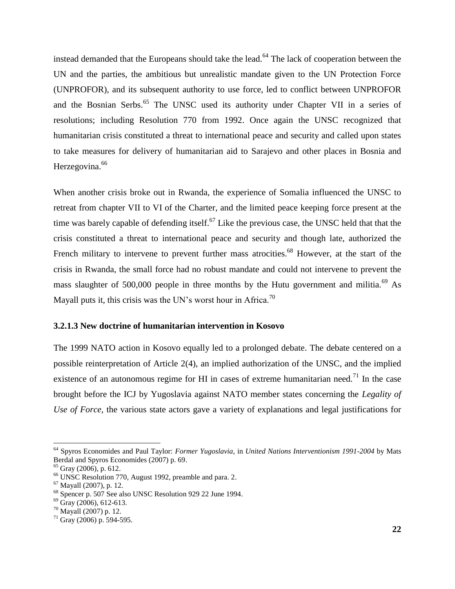instead demanded that the Europeans should take the lead.<sup> $64$ </sup> The lack of cooperation between the UN and the parties, the ambitious but unrealistic mandate given to the UN Protection Force (UNPROFOR), and its subsequent authority to use force, led to conflict between UNPROFOR and the Bosnian Serbs.<sup>65</sup> The UNSC used its authority under Chapter VII in a series of resolutions; including Resolution 770 from 1992. Once again the UNSC recognized that humanitarian crisis constituted a threat to international peace and security and called upon states to take measures for delivery of humanitarian aid to Sarajevo and other places in Bosnia and Herzegovina.<sup>66</sup>

When another crisis broke out in Rwanda, the experience of Somalia influenced the UNSC to retreat from chapter VII to VI of the Charter, and the limited peace keeping force present at the time was barely capable of defending itself.<sup>67</sup> Like the previous case, the UNSC held that that the crisis constituted a threat to international peace and security and though late, authorized the French military to intervene to prevent further mass atrocities.<sup>68</sup> However, at the start of the crisis in Rwanda, the small force had no robust mandate and could not intervene to prevent the mass slaughter of 500,000 people in three months by the Hutu government and militia.<sup>69</sup> As Mayall puts it, this crisis was the UN's worst hour in Africa.<sup>70</sup>

## **3.2.1.3 New doctrine of humanitarian intervention in Kosovo**

The 1999 NATO action in Kosovo equally led to a prolonged debate. The debate centered on a possible reinterpretation of Article 2(4), an implied authorization of the UNSC, and the implied existence of an autonomous regime for HI in cases of extreme humanitarian need.<sup>71</sup> In the case brought before the ICJ by Yugoslavia against NATO member states concerning the *Legality of Use of Force,* the various state actors gave a variety of explanations and legal justifications for

<sup>64</sup> Spyros Economides and Paul Taylor: *Former Yugoslavia*, in *United Nations Interventionism 1991-2004* by Mats Berdal and Spyros Economides (2007) p. 69.

 $65$  Gray (2006), p. 612.

<sup>66</sup> UNSC Resolution 770, August 1992, preamble and para. 2.

 $67$  Mayall (2007), p. 12.

<sup>68</sup> Spencer p. 507 See also UNSC Resolution 929 22 June 1994.

 $69$  Gray (2006), 612-613.

<sup>70</sup> Mayall (2007) p. 12.

 $71$  Gray (2006) p. 594-595.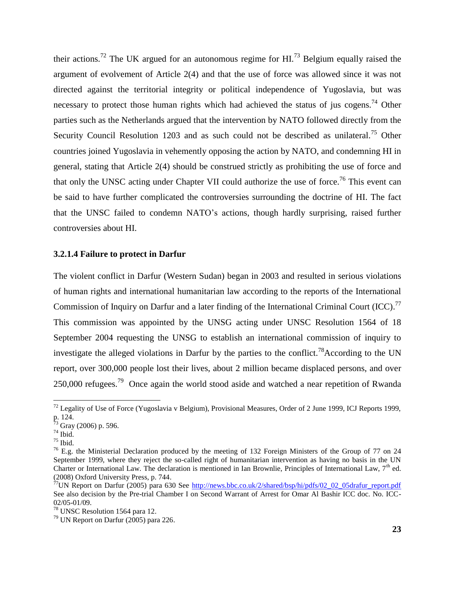their actions.<sup>72</sup> The UK argued for an autonomous regime for HI.<sup>73</sup> Belgium equally raised the argument of evolvement of Article 2(4) and that the use of force was allowed since it was not directed against the territorial integrity or political independence of Yugoslavia, but was necessary to protect those human rights which had achieved the status of jus cogens.<sup>74</sup> Other parties such as the Netherlands argued that the intervention by NATO followed directly from the Security Council Resolution 1203 and as such could not be described as unilateral.<sup>75</sup> Other countries joined Yugoslavia in vehemently opposing the action by NATO, and condemning HI in general, stating that Article 2(4) should be construed strictly as prohibiting the use of force and that only the UNSC acting under Chapter VII could authorize the use of force.<sup>76</sup> This event can be said to have further complicated the controversies surrounding the doctrine of HI. The fact that the UNSC failed to condemn NATO"s actions, though hardly surprising, raised further controversies about HI.

#### **3.2.1.4 Failure to protect in Darfur**

The violent conflict in Darfur (Western Sudan) began in 2003 and resulted in serious violations of human rights and international humanitarian law according to the reports of the International Commission of Inquiry on Darfur and a later finding of the International Criminal Court (ICC).<sup>77</sup> This commission was appointed by the UNSG acting under UNSC Resolution 1564 of 18 September 2004 requesting the UNSG to establish an international commission of inquiry to investigate the alleged violations in Darfur by the parties to the conflict.<sup>78</sup>According to the UN report, over 300,000 people lost their lives, about 2 million became displaced persons, and over 250,000 refugees.<sup>79</sup> Once again the world stood aside and watched a near repetition of Rwanda

 $\overline{a}$ 

 $^{72}$  Legality of Use of Force (Yugoslavia v Belgium), Provisional Measures, Order of 2 June 1999, ICJ Reports 1999, p. 124.

<sup>&</sup>lt;sup>73</sup> Gray (2006) p. 596.

 $74$  Ibid.

 $75$  Ibid.

 $^{76}$  E.g. the Ministerial Declaration produced by the meeting of 132 Foreign Ministers of the Group of 77 on 24 September 1999, where they reject the so-called right of humanitarian intervention as having no basis in the UN Charter or International Law. The declaration is mentioned in Ian Brownlie, Principles of International Law,  $7<sup>th</sup>$  ed. (2008) Oxford University Press, p. 744.

<sup>77</sup>UN Report on Darfur (2005) para 630 See [http://news.bbc.co.uk/2/shared/bsp/hi/pdfs/02\\_02\\_05drafur\\_report.pdf](http://news.bbc.co.uk/2/shared/bsp/hi/pdfs/02_02_05drafur_report.pdf) See also decision by the Pre-trial Chamber I on Second Warrant of Arrest for Omar Al Bashir ICC doc. No. ICC-02/05-01/09.

<sup>78</sup> UNSC Resolution 1564 para 12.

 $79$  UN Report on Darfur (2005) para 226.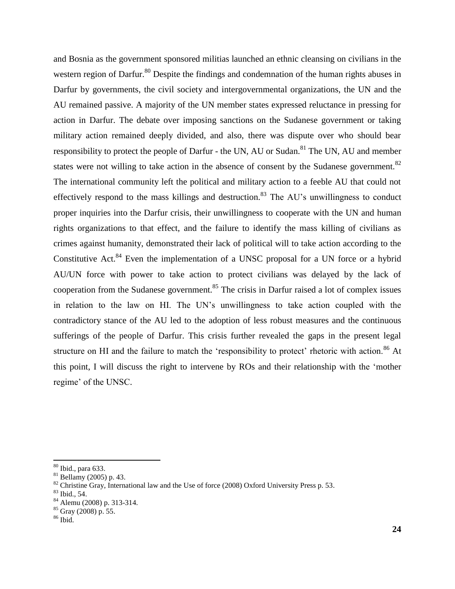and Bosnia as the government sponsored militias launched an ethnic cleansing on civilians in the western region of Darfur.<sup>80</sup> Despite the findings and condemnation of the human rights abuses in Darfur by governments, the civil society and intergovernmental organizations, the UN and the AU remained passive. A majority of the UN member states expressed reluctance in pressing for action in Darfur. The debate over imposing sanctions on the Sudanese government or taking military action remained deeply divided, and also, there was dispute over who should bear responsibility to protect the people of Darfur - the UN, AU or Sudan.<sup>81</sup> The UN, AU and member states were not willing to take action in the absence of consent by the Sudanese government. $82$ The international community left the political and military action to a feeble AU that could not effectively respond to the mass killings and destruction.<sup>83</sup> The AU's unwillingness to conduct proper inquiries into the Darfur crisis, their unwillingness to cooperate with the UN and human rights organizations to that effect, and the failure to identify the mass killing of civilians as crimes against humanity, demonstrated their lack of political will to take action according to the Constitutive Act.<sup>84</sup> Even the implementation of a UNSC proposal for a UN force or a hybrid AU/UN force with power to take action to protect civilians was delayed by the lack of cooperation from the Sudanese government.<sup>85</sup> The crisis in Darfur raised a lot of complex issues in relation to the law on HI. The UN"s unwillingness to take action coupled with the contradictory stance of the AU led to the adoption of less robust measures and the continuous sufferings of the people of Darfur. This crisis further revealed the gaps in the present legal structure on HI and the failure to match the 'responsibility to protect' rhetoric with action.<sup>86</sup> At this point, I will discuss the right to intervene by ROs and their relationship with the "mother regime' of the UNSC.

<span id="page-30-0"></span><sup>80</sup> Ibid., para 633.

 $81$  Bellamy (2005) p. 43.

<sup>&</sup>lt;sup>82</sup> Christine Gray, International law and the Use of force (2008) Oxford University Press p. 53.

<sup>83</sup> Ibid., 54.

<sup>84</sup> Alemu (2008) p. 313-314.

 $85$  Gray (2008) p. 55.

 $86$  Ibid.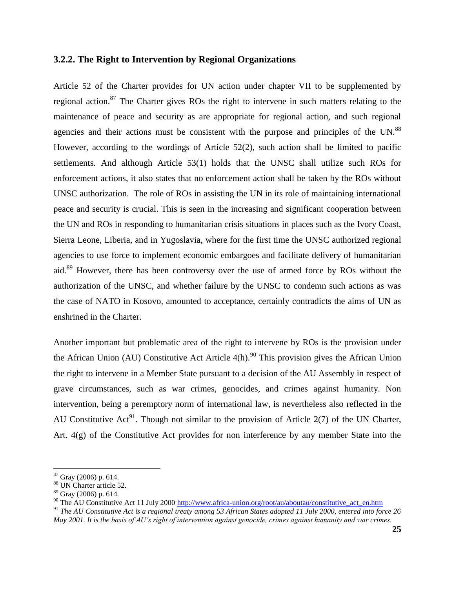## **3.2.2. The Right to Intervention by Regional Organizations**

Article 52 of the Charter provides for UN action under chapter VII to be supplemented by regional action.<sup>87</sup> The Charter gives ROs the right to intervene in such matters relating to the maintenance of peace and security as are appropriate for regional action, and such regional agencies and their actions must be consistent with the purpose and principles of the UN.<sup>88</sup> However, according to the wordings of Article 52(2), such action shall be limited to pacific settlements. And although Article 53(1) holds that the UNSC shall utilize such ROs for enforcement actions, it also states that no enforcement action shall be taken by the ROs without UNSC authorization. The role of ROs in assisting the UN in its role of maintaining international peace and security is crucial. This is seen in the increasing and significant cooperation between the UN and ROs in responding to humanitarian crisis situations in places such as the Ivory Coast, Sierra Leone, Liberia, and in Yugoslavia, where for the first time the UNSC authorized regional agencies to use force to implement economic embargoes and facilitate delivery of humanitarian aid.<sup>89</sup> However, there has been controversy over the use of armed force by ROs without the authorization of the UNSC, and whether failure by the UNSC to condemn such actions as was the case of NATO in Kosovo, amounted to acceptance, certainly contradicts the aims of UN as enshrined in the Charter.

Another important but problematic area of the right to intervene by ROs is the provision under the African Union (AU) Constitutive Act Article  $4(h)$ .<sup>90</sup> This provision gives the African Union the right to intervene in a Member State pursuant to a decision of the AU Assembly in respect of grave circumstances, such as war crimes, genocides, and crimes against humanity. Non intervention, being a peremptory norm of international law, is nevertheless also reflected in the AU Constitutive Act<sup>91</sup>. Though not similar to the provision of Article 2(7) of the UN Charter, Art. 4(g) of the Constitutive Act provides for non interference by any member State into the

 $\overline{\phantom{a}}$  $87$  Gray (2006) p. 614.

<sup>88</sup> UN Charter article 52.

 $89$  Gray (2006) p. 614.

<sup>90</sup> The AU Constitutive Act 11 July 2000 [http://www.africa-union.org/root/au/aboutau/constitutive\\_act\\_en.htm](http://www.africa-union.org/root/au/aboutau/constitutive_act_en.htm)

<sup>91</sup> *The AU Constitutive Act is a regional treaty among 53 African States adopted 11 July 2000, entered into force 26 May 2001. It is the basis of AU"s right of intervention against genocide, crimes against humanity and war crimes.*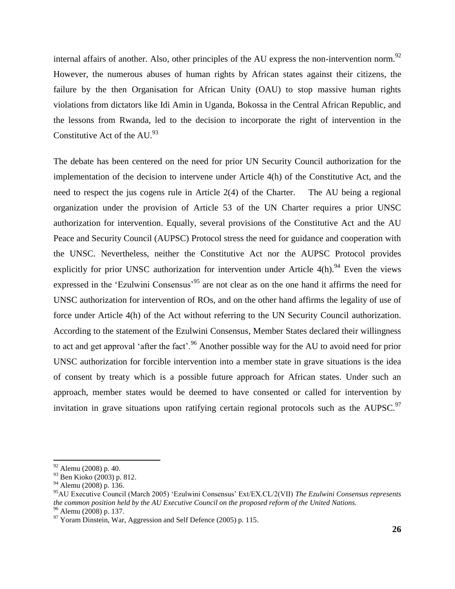internal affairs of another. Also, other principles of the AU express the non-intervention norm.<sup>92</sup> However, the numerous abuses of human rights by African states against their citizens, the failure by the then Organisation for African Unity (OAU) to stop massive human rights violations from dictators like Idi Amin in Uganda, Bokossa in the Central African Republic, and the lessons from Rwanda, led to the decision to incorporate the right of intervention in the Constitutive Act of the  $AU.<sup>93</sup>$ 

The debate has been centered on the need for prior UN Security Council authorization for the implementation of the decision to intervene under Article 4(h) of the Constitutive Act, and the need to respect the jus cogens rule in Article 2(4) of the Charter. The AU being a regional organization under the provision of Article 53 of the UN Charter requires a prior UNSC authorization for intervention. Equally, several provisions of the Constitutive Act and the AU Peace and Security Council (AUPSC) Protocol stress the need for guidance and cooperation with the UNSC. Nevertheless, neither the Constitutive Act nor the AUPSC Protocol provides explicitly for prior UNSC authorization for intervention under Article  $4(h)$ .<sup>94</sup> Even the views expressed in the 'Ezulwini Consensus'<sup>95</sup> are not clear as on the one hand it affirms the need for UNSC authorization for intervention of ROs, and on the other hand affirms the legality of use of force under Article 4(h) of the Act without referring to the UN Security Council authorization. According to the statement of the Ezulwini Consensus, Member States declared their willingness to act and get approval 'after the fact'.<sup>96</sup> Another possible way for the AU to avoid need for prior UNSC authorization for forcible intervention into a member state in grave situations is the idea of consent by treaty which is a possible future approach for African states. Under such an approach, member states would be deemed to have consented or called for intervention by invitation in grave situations upon ratifying certain regional protocols such as the AUPSC.<sup>97</sup>

 $92$  Alemu (2008) p. 40.

<sup>93</sup> Ben Kioko (2003) p. 812.

<sup>94</sup> Alemu (2008) p. 136.

<sup>95</sup>AU Executive Council (March 2005) "Ezulwini Consensus" Ext/EX.CL/2(VII) *The Ezulwini Consensus represents the common position held by the AU Executive Council on the proposed reform of the United Nations.*

<sup>&</sup>lt;sup>96</sup> Alemu (2008) p. 137.

<sup>&</sup>lt;sup>97</sup> Yoram Dinstein, War, Aggression and Self Defence (2005) p. 115.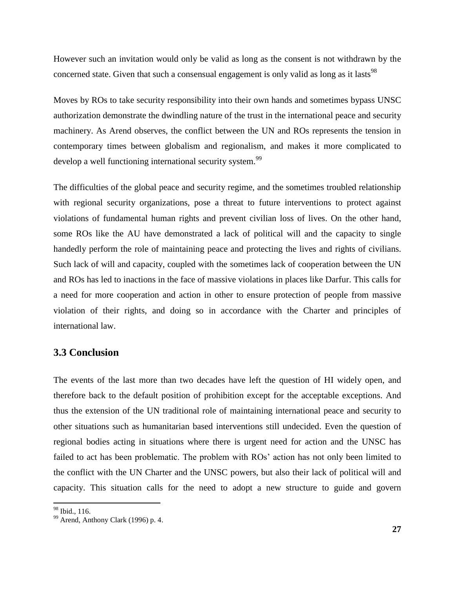However such an invitation would only be valid as long as the consent is not withdrawn by the concerned state. Given that such a consensual engagement is only valid as long as it lasts<sup>98</sup>

Moves by ROs to take security responsibility into their own hands and sometimes bypass UNSC authorization demonstrate the dwindling nature of the trust in the international peace and security machinery. As Arend observes, the conflict between the UN and ROs represents the tension in contemporary times between globalism and regionalism, and makes it more complicated to develop a well functioning international security system.<sup>99</sup>

The difficulties of the global peace and security regime, and the sometimes troubled relationship with regional security organizations, pose a threat to future interventions to protect against violations of fundamental human rights and prevent civilian loss of lives. On the other hand, some ROs like the AU have demonstrated a lack of political will and the capacity to single handedly perform the role of maintaining peace and protecting the lives and rights of civilians. Such lack of will and capacity, coupled with the sometimes lack of cooperation between the UN and ROs has led to inactions in the face of massive violations in places like Darfur. This calls for a need for more cooperation and action in other to ensure protection of people from massive violation of their rights, and doing so in accordance with the Charter and principles of international law.

## <span id="page-33-0"></span>**3.3 Conclusion**

The events of the last more than two decades have left the question of HI widely open, and therefore back to the default position of prohibition except for the acceptable exceptions. And thus the extension of the UN traditional role of maintaining international peace and security to other situations such as humanitarian based interventions still undecided. Even the question of regional bodies acting in situations where there is urgent need for action and the UNSC has failed to act has been problematic. The problem with ROs' action has not only been limited to the conflict with the UN Charter and the UNSC powers, but also their lack of political will and capacity. This situation calls for the need to adopt a new structure to guide and govern

 $\overline{a}$ 

<sup>&</sup>lt;sup>98</sup> Ibid., 116.

<sup>99</sup> Arend, Anthony Clark (1996) p. 4.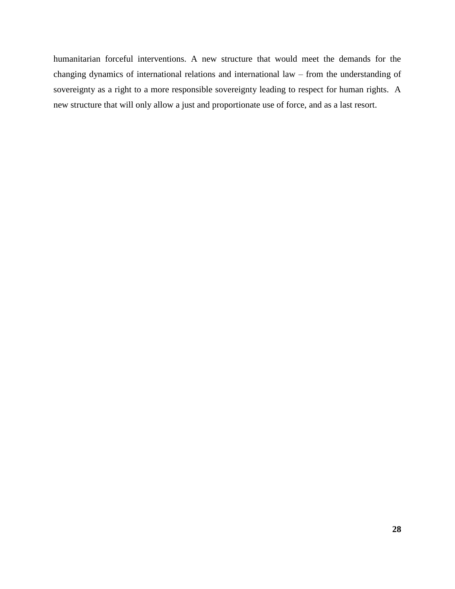<span id="page-34-0"></span>humanitarian forceful interventions. A new structure that would meet the demands for the changing dynamics of international relations and international law – from the understanding of sovereignty as a right to a more responsible sovereignty leading to respect for human rights. A new structure that will only allow a just and proportionate use of force, and as a last resort.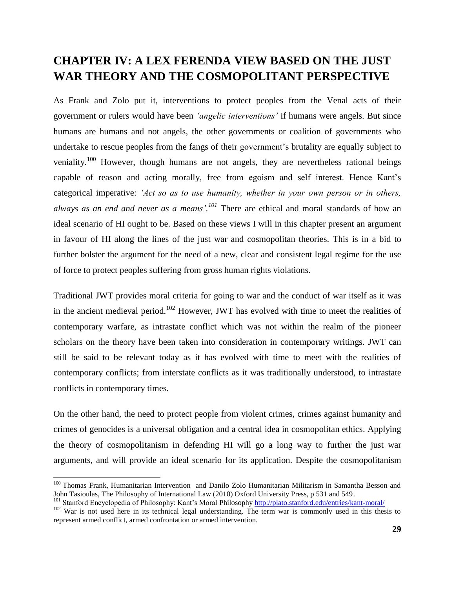## **CHAPTER IV: A LEX FERENDA VIEW BASED ON THE JUST WAR THEORY AND THE COSMOPOLITANT PERSPECTIVE**

As Frank and Zolo put it, interventions to protect peoples from the Venal acts of their government or rulers would have been *"angelic interventions"* if humans were angels. But since humans are humans and not angels, the other governments or coalition of governments who undertake to rescue peoples from the fangs of their government's brutality are equally subject to veniality.<sup>100</sup> However, though humans are not angels, they are nevertheless rational beings capable of reason and acting morally, free from egoism and self interest. Hence Kant"s categorical imperative: *"Act so as to use humanity, whether in your own person or in others, always as an end and never as a means". <sup>101</sup>* There are ethical and moral standards of how an ideal scenario of HI ought to be. Based on these views I will in this chapter present an argument in favour of HI along the lines of the just war and cosmopolitan theories. This is in a bid to further bolster the argument for the need of a new, clear and consistent legal regime for the use of force to protect peoples suffering from gross human rights violations.

Traditional JWT provides moral criteria for going to war and the conduct of war itself as it was in the ancient medieval period.<sup>102</sup> However, JWT has evolved with time to meet the realities of contemporary warfare, as intrastate conflict which was not within the realm of the pioneer scholars on the theory have been taken into consideration in contemporary writings. JWT can still be said to be relevant today as it has evolved with time to meet with the realities of contemporary conflicts; from interstate conflicts as it was traditionally understood, to intrastate conflicts in contemporary times.

On the other hand, the need to protect people from violent crimes, crimes against humanity and crimes of genocides is a universal obligation and a central idea in cosmopolitan ethics. Applying the theory of cosmopolitanism in defending HI will go a long way to further the just war arguments, and will provide an ideal scenario for its application. Despite the cosmopolitanism

 $\overline{a}$ 

<sup>&</sup>lt;sup>100</sup> Thomas Frank, Humanitarian Intervention and Danilo Zolo Humanitarian Militarism in Samantha Besson and John Tasioulas, The Philosophy of International Law (2010) Oxford University Press, p 531 and 549.

<sup>&</sup>lt;sup>101</sup> Stanford Encyclopedia of Philosophy: Kant's Moral Philosophy http://plato.stanford.edu/entries/kant-moral/

<sup>&</sup>lt;sup>102</sup> War is not used here in its technical legal understanding. The term war is commonly used in this thesis to represent armed conflict, armed confrontation or armed intervention.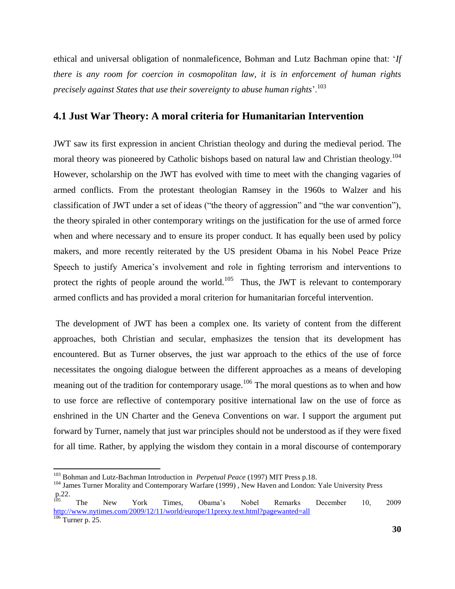ethical and universal obligation of nonmaleficence, Bohman and Lutz Bachman opine that: "*If there is any room for coercion in cosmopolitan law, it is in enforcement of human rights precisely against States that use their sovereignty to abuse human rights*".<sup>103</sup>

# **4.1 Just War Theory: A moral criteria for Humanitarian Intervention**

JWT saw its first expression in ancient Christian theology and during the medieval period. The moral theory was pioneered by Catholic bishops based on natural law and Christian theology.<sup>104</sup> However, scholarship on the JWT has evolved with time to meet with the changing vagaries of armed conflicts. From the protestant theologian Ramsey in the 1960s to Walzer and his classification of JWT under a set of ideas ("the theory of aggression" and "the war convention"), the theory spiraled in other contemporary writings on the justification for the use of armed force when and where necessary and to ensure its proper conduct. It has equally been used by policy makers, and more recently reiterated by the US president Obama in his Nobel Peace Prize Speech to justify America's involvement and role in fighting terrorism and interventions to protect the rights of people around the world.<sup>105</sup> Thus, the JWT is relevant to contemporary armed conflicts and has provided a moral criterion for humanitarian forceful intervention.

The development of JWT has been a complex one. Its variety of content from the different approaches, both Christian and secular, emphasizes the tension that its development has encountered. But as Turner observes, the just war approach to the ethics of the use of force necessitates the ongoing dialogue between the different approaches as a means of developing meaning out of the tradition for contemporary usage.<sup>106</sup> The moral questions as to when and how to use force are reflective of contemporary positive international law on the use of force as enshrined in the UN Charter and the Geneva Conventions on war. I support the argument put forward by Turner, namely that just war principles should not be understood as if they were fixed for all time. Rather, by applying the wisdom they contain in a moral discourse of contemporary

<sup>103</sup> Bohman and Lutz-Bachman Introduction in *Perpetual Peace* (1997) MIT Press p.18.

<sup>&</sup>lt;sup>104</sup> James Turner Morality and Contemporary Warfare (1999), New Haven and London: Yale University Press  $p.22.$ 

<sup>&</sup>lt;sup>105</sup> The New York Times, Obama's Nobel Remarks December 10, 2009 <http://www.nytimes.com/2009/12/11/world/europe/11prexy.text.html?pagewanted=all>  $\frac{106}{106}$  Turner p. 25.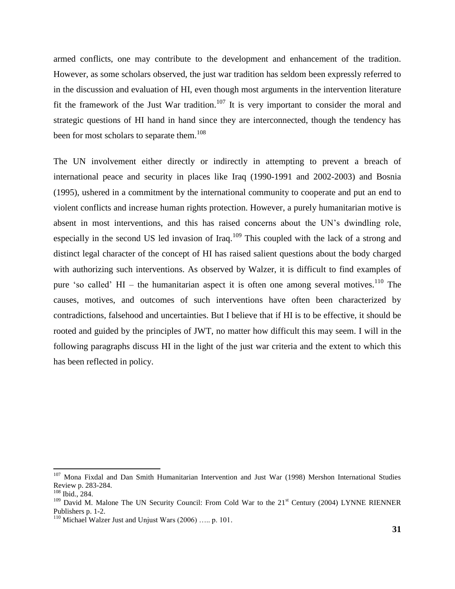armed conflicts, one may contribute to the development and enhancement of the tradition. However, as some scholars observed, the just war tradition has seldom been expressly referred to in the discussion and evaluation of HI, even though most arguments in the intervention literature fit the framework of the Just War tradition.<sup>107</sup> It is very important to consider the moral and strategic questions of HI hand in hand since they are interconnected, though the tendency has been for most scholars to separate them.<sup>108</sup>

The UN involvement either directly or indirectly in attempting to prevent a breach of international peace and security in places like Iraq (1990-1991 and 2002-2003) and Bosnia (1995), ushered in a commitment by the international community to cooperate and put an end to violent conflicts and increase human rights protection. However, a purely humanitarian motive is absent in most interventions, and this has raised concerns about the UN"s dwindling role, especially in the second US led invasion of Iraq.<sup>109</sup> This coupled with the lack of a strong and distinct legal character of the concept of HI has raised salient questions about the body charged with authorizing such interventions. As observed by Walzer, it is difficult to find examples of pure 'so called' HI – the humanitarian aspect it is often one among several motives.<sup>110</sup> The causes, motives, and outcomes of such interventions have often been characterized by contradictions, falsehood and uncertainties. But I believe that if HI is to be effective, it should be rooted and guided by the principles of JWT, no matter how difficult this may seem. I will in the following paragraphs discuss HI in the light of the just war criteria and the extent to which this has been reflected in policy.

<sup>&</sup>lt;sup>107</sup> Mona Fixdal and Dan Smith Humanitarian Intervention and Just War (1998) Mershon International Studies Review p. 283-284.

 $108$  Ibid., 284.

<sup>&</sup>lt;sup>109</sup> David M. Malone The UN Security Council: From Cold War to the 21<sup>st</sup> Century (2004) LYNNE RIENNER Publishers p. 1-2.

 $110$  Michael Walzer Just and Unjust Wars (2006) ... p. 101.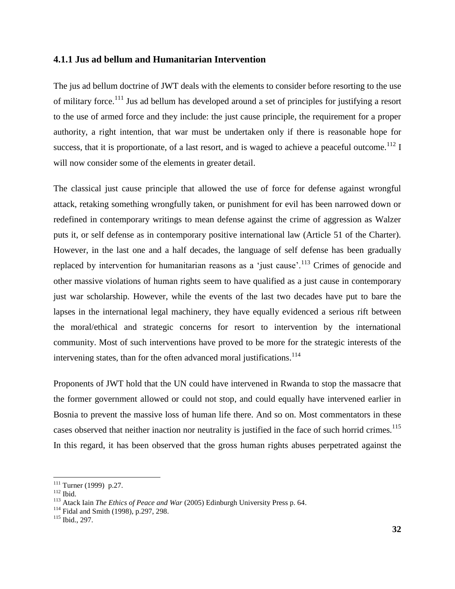#### **4.1.1 Jus ad bellum and Humanitarian Intervention**

The jus ad bellum doctrine of JWT deals with the elements to consider before resorting to the use of military force.<sup>111</sup> Jus ad bellum has developed around a set of principles for justifying a resort to the use of armed force and they include: the just cause principle, the requirement for a proper authority, a right intention, that war must be undertaken only if there is reasonable hope for success, that it is proportionate, of a last resort, and is waged to achieve a peaceful outcome.<sup>112</sup> I will now consider some of the elements in greater detail.

The classical just cause principle that allowed the use of force for defense against wrongful attack, retaking something wrongfully taken, or punishment for evil has been narrowed down or redefined in contemporary writings to mean defense against the crime of aggression as Walzer puts it, or self defense as in contemporary positive international law (Article 51 of the Charter). However, in the last one and a half decades, the language of self defense has been gradually replaced by intervention for humanitarian reasons as a 'just cause'.<sup>113</sup> Crimes of genocide and other massive violations of human rights seem to have qualified as a just cause in contemporary just war scholarship. However, while the events of the last two decades have put to bare the lapses in the international legal machinery, they have equally evidenced a serious rift between the moral/ethical and strategic concerns for resort to intervention by the international community. Most of such interventions have proved to be more for the strategic interests of the intervening states, than for the often advanced moral justifications.<sup>114</sup>

Proponents of JWT hold that the UN could have intervened in Rwanda to stop the massacre that the former government allowed or could not stop, and could equally have intervened earlier in Bosnia to prevent the massive loss of human life there. And so on. Most commentators in these cases observed that neither inaction nor neutrality is justified in the face of such horrid crimes.<sup>115</sup> In this regard, it has been observed that the gross human rights abuses perpetrated against the

 $111$  Turner (1999) p.27.

 $112$  Ibid.

<sup>&</sup>lt;sup>113</sup> Atack Iain *The Ethics of Peace and War* (2005) Edinburgh University Press p. 64.

<sup>114</sup> Fidal and Smith (1998), p.297, 298.

<sup>115</sup> Ibid., 297.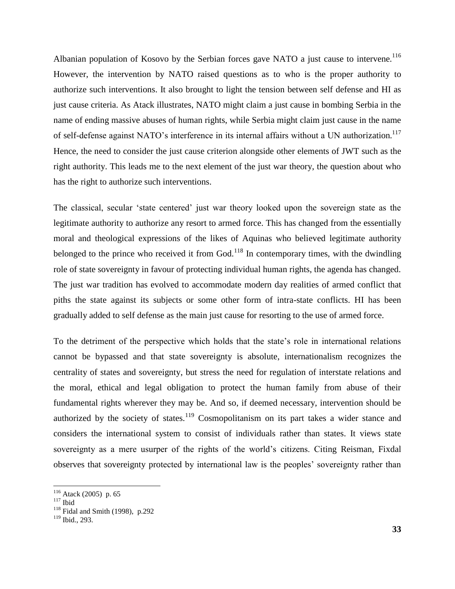Albanian population of Kosovo by the Serbian forces gave NATO a just cause to intervene.<sup>116</sup> However, the intervention by NATO raised questions as to who is the proper authority to authorize such interventions. It also brought to light the tension between self defense and HI as just cause criteria. As Atack illustrates, NATO might claim a just cause in bombing Serbia in the name of ending massive abuses of human rights, while Serbia might claim just cause in the name of self-defense against NATO's interference in its internal affairs without a UN authorization.<sup>117</sup> Hence, the need to consider the just cause criterion alongside other elements of JWT such as the right authority. This leads me to the next element of the just war theory, the question about who has the right to authorize such interventions.

The classical, secular "state centered" just war theory looked upon the sovereign state as the legitimate authority to authorize any resort to armed force. This has changed from the essentially moral and theological expressions of the likes of Aquinas who believed legitimate authority belonged to the prince who received it from God.<sup>118</sup> In contemporary times, with the dwindling role of state sovereignty in favour of protecting individual human rights, the agenda has changed. The just war tradition has evolved to accommodate modern day realities of armed conflict that piths the state against its subjects or some other form of intra-state conflicts. HI has been gradually added to self defense as the main just cause for resorting to the use of armed force.

To the detriment of the perspective which holds that the state"s role in international relations cannot be bypassed and that state sovereignty is absolute, internationalism recognizes the centrality of states and sovereignty, but stress the need for regulation of interstate relations and the moral, ethical and legal obligation to protect the human family from abuse of their fundamental rights wherever they may be. And so, if deemed necessary, intervention should be authorized by the society of states.<sup>119</sup> Cosmopolitanism on its part takes a wider stance and considers the international system to consist of individuals rather than states. It views state sovereignty as a mere usurper of the rights of the world"s citizens. Citing Reisman, Fixdal observes that sovereignty protected by international law is the peoples" sovereignty rather than

 $116$  Atack (2005) p. 65

 $117$  Ibid

 $118$  Fidal and Smith (1998), p.292

 $119$  Ibid., 293.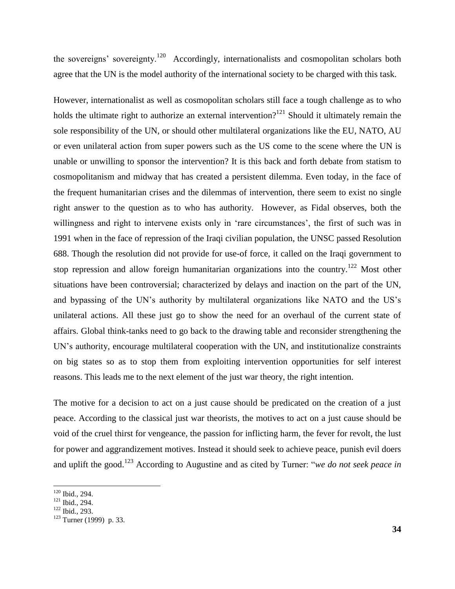the sovereigns' sovereignty.<sup>120</sup> Accordingly, internationalists and cosmopolitan scholars both agree that the UN is the model authority of the international society to be charged with this task.

However, internationalist as well as cosmopolitan scholars still face a tough challenge as to who holds the ultimate right to authorize an external intervention?<sup>121</sup> Should it ultimately remain the sole responsibility of the UN, or should other multilateral organizations like the EU, NATO, AU or even unilateral action from super powers such as the US come to the scene where the UN is unable or unwilling to sponsor the intervention? It is this back and forth debate from statism to cosmopolitanism and midway that has created a persistent dilemma. Even today, in the face of the frequent humanitarian crises and the dilemmas of intervention, there seem to exist no single right answer to the question as to who has authority. However, as Fidal observes, both the willingness and right to intervene exists only in 'rare circumstances', the first of such was in 1991 when in the face of repression of the Iraqi civilian population, the UNSC passed Resolution 688. Though the resolution did not provide for use-of force, it called on the Iraqi government to stop repression and allow foreign humanitarian organizations into the country.<sup>122</sup> Most other situations have been controversial; characterized by delays and inaction on the part of the UN, and bypassing of the UN's authority by multilateral organizations like NATO and the US's unilateral actions. All these just go to show the need for an overhaul of the current state of affairs. Global think-tanks need to go back to the drawing table and reconsider strengthening the UN's authority, encourage multilateral cooperation with the UN, and institutionalize constraints on big states so as to stop them from exploiting intervention opportunities for self interest reasons. This leads me to the next element of the just war theory, the right intention.

The motive for a decision to act on a just cause should be predicated on the creation of a just peace. According to the classical just war theorists, the motives to act on a just cause should be void of the cruel thirst for vengeance, the passion for inflicting harm, the fever for revolt, the lust for power and aggrandizement motives. Instead it should seek to achieve peace, punish evil doers and uplift the good.<sup>123</sup> According to Augustine and as cited by Turner: "*we do not seek peace in* 

 $120$  Ibid., 294.

<sup>121</sup> Ibid., 294.

<sup>122</sup> Ibid., 293.

 $123$  Turner (1999) p. 33.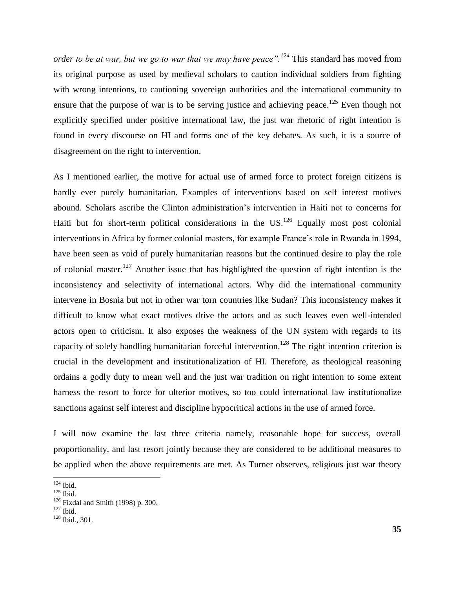*order to be at war, but we go to war that we may have peace".<sup>124</sup>* This standard has moved from its original purpose as used by medieval scholars to caution individual soldiers from fighting with wrong intentions, to cautioning sovereign authorities and the international community to ensure that the purpose of war is to be serving justice and achieving peace.<sup>125</sup> Even though not explicitly specified under positive international law, the just war rhetoric of right intention is found in every discourse on HI and forms one of the key debates. As such, it is a source of disagreement on the right to intervention.

As I mentioned earlier, the motive for actual use of armed force to protect foreign citizens is hardly ever purely humanitarian. Examples of interventions based on self interest motives abound. Scholars ascribe the Clinton administration"s intervention in Haiti not to concerns for Haiti but for short-term political considerations in the  $US<sup>126</sup>$  Equally most post colonial interventions in Africa by former colonial masters, for example France's role in Rwanda in 1994, have been seen as void of purely humanitarian reasons but the continued desire to play the role of colonial master.<sup>127</sup> Another issue that has highlighted the question of right intention is the inconsistency and selectivity of international actors. Why did the international community intervene in Bosnia but not in other war torn countries like Sudan? This inconsistency makes it difficult to know what exact motives drive the actors and as such leaves even well-intended actors open to criticism. It also exposes the weakness of the UN system with regards to its capacity of solely handling humanitarian forceful intervention. <sup>128</sup> The right intention criterion is crucial in the development and institutionalization of HI. Therefore, as theological reasoning ordains a godly duty to mean well and the just war tradition on right intention to some extent harness the resort to force for ulterior motives, so too could international law institutionalize sanctions against self interest and discipline hypocritical actions in the use of armed force.

I will now examine the last three criteria namely, reasonable hope for success, overall proportionality, and last resort jointly because they are considered to be additional measures to be applied when the above requirements are met. As Turner observes, religious just war theory

 $124$  Ibid.

 $125$  Ibid.

<sup>126</sup> Fixdal and Smith (1998) p. 300.

 $127$  Ibid.

<sup>128</sup> Ibid., 301.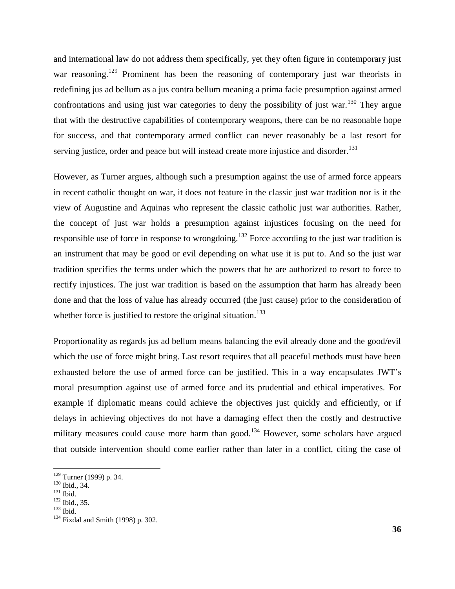and international law do not address them specifically, yet they often figure in contemporary just war reasoning.<sup>129</sup> Prominent has been the reasoning of contemporary just war theorists in redefining jus ad bellum as a jus contra bellum meaning a prima facie presumption against armed confrontations and using just war categories to deny the possibility of just war.<sup>130</sup> They argue that with the destructive capabilities of contemporary weapons, there can be no reasonable hope for success, and that contemporary armed conflict can never reasonably be a last resort for serving justice, order and peace but will instead create more injustice and disorder.<sup>131</sup>

However, as Turner argues, although such a presumption against the use of armed force appears in recent catholic thought on war, it does not feature in the classic just war tradition nor is it the view of Augustine and Aquinas who represent the classic catholic just war authorities. Rather, the concept of just war holds a presumption against injustices focusing on the need for responsible use of force in response to wrongdoing.<sup>132</sup> Force according to the just war tradition is an instrument that may be good or evil depending on what use it is put to. And so the just war tradition specifies the terms under which the powers that be are authorized to resort to force to rectify injustices. The just war tradition is based on the assumption that harm has already been done and that the loss of value has already occurred (the just cause) prior to the consideration of whether force is justified to restore the original situation.<sup>133</sup>

Proportionality as regards jus ad bellum means balancing the evil already done and the good/evil which the use of force might bring. Last resort requires that all peaceful methods must have been exhausted before the use of armed force can be justified. This in a way encapsulates JWT"s moral presumption against use of armed force and its prudential and ethical imperatives. For example if diplomatic means could achieve the objectives just quickly and efficiently, or if delays in achieving objectives do not have a damaging effect then the costly and destructive military measures could cause more harm than good.<sup>134</sup> However, some scholars have argued that outside intervention should come earlier rather than later in a conflict, citing the case of

 $129$  Turner (1999) p. 34.

<sup>130</sup> Ibid., 34.

<sup>131</sup> Ibid.

<sup>132</sup> Ibid., 35.

<sup>133</sup> Ibid.

<sup>134</sup> Fixdal and Smith (1998) p. 302.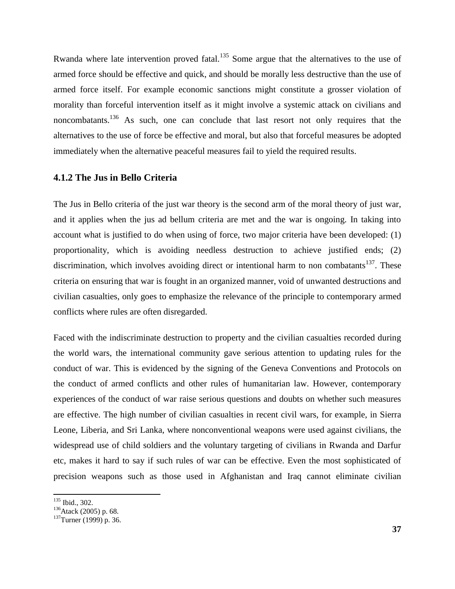Rwanda where late intervention proved fatal.<sup>135</sup> Some argue that the alternatives to the use of armed force should be effective and quick, and should be morally less destructive than the use of armed force itself. For example economic sanctions might constitute a grosser violation of morality than forceful intervention itself as it might involve a systemic attack on civilians and noncombatants.<sup>136</sup> As such, one can conclude that last resort not only requires that the alternatives to the use of force be effective and moral, but also that forceful measures be adopted immediately when the alternative peaceful measures fail to yield the required results.

### **4.1.2 The Jus in Bello Criteria**

The Jus in Bello criteria of the just war theory is the second arm of the moral theory of just war, and it applies when the jus ad bellum criteria are met and the war is ongoing. In taking into account what is justified to do when using of force, two major criteria have been developed: (1) proportionality, which is avoiding needless destruction to achieve justified ends; (2) discrimination, which involves avoiding direct or intentional harm to non combatants<sup>137</sup>. These criteria on ensuring that war is fought in an organized manner, void of unwanted destructions and civilian casualties, only goes to emphasize the relevance of the principle to contemporary armed conflicts where rules are often disregarded.

Faced with the indiscriminate destruction to property and the civilian casualties recorded during the world wars, the international community gave serious attention to updating rules for the conduct of war. This is evidenced by the signing of the Geneva Conventions and Protocols on the conduct of armed conflicts and other rules of humanitarian law. However, contemporary experiences of the conduct of war raise serious questions and doubts on whether such measures are effective. The high number of civilian casualties in recent civil wars, for example, in Sierra Leone, Liberia, and Sri Lanka, where nonconventional weapons were used against civilians, the widespread use of child soldiers and the voluntary targeting of civilians in Rwanda and Darfur etc, makes it hard to say if such rules of war can be effective. Even the most sophisticated of precision weapons such as those used in Afghanistan and Iraq cannot eliminate civilian

 $\overline{\phantom{a}}$ <sup>135</sup> Ibid., 302.

<sup>&</sup>lt;sup>136</sup>Atack (2005) p. 68.

<sup>&</sup>lt;sup>137</sup>Turner (1999) p. 36.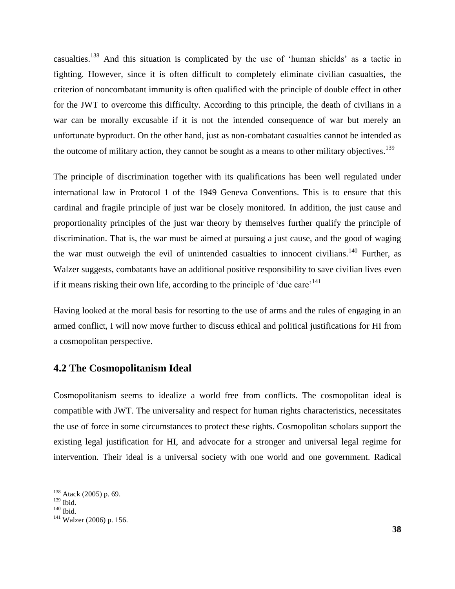casualties.<sup>138</sup> And this situation is complicated by the use of "human shields" as a tactic in fighting. However, since it is often difficult to completely eliminate civilian casualties, the criterion of noncombatant immunity is often qualified with the principle of double effect in other for the JWT to overcome this difficulty. According to this principle, the death of civilians in a war can be morally excusable if it is not the intended consequence of war but merely an unfortunate byproduct. On the other hand, just as non-combatant casualties cannot be intended as the outcome of military action, they cannot be sought as a means to other military objectives.<sup>139</sup>

The principle of discrimination together with its qualifications has been well regulated under international law in Protocol 1 of the 1949 Geneva Conventions. This is to ensure that this cardinal and fragile principle of just war be closely monitored. In addition, the just cause and proportionality principles of the just war theory by themselves further qualify the principle of discrimination. That is, the war must be aimed at pursuing a just cause, and the good of waging the war must outweigh the evil of unintended casualties to innocent civilians.<sup>140</sup> Further, as Walzer suggests, combatants have an additional positive responsibility to save civilian lives even if it means risking their own life, according to the principle of 'due care'<sup>141</sup>

Having looked at the moral basis for resorting to the use of arms and the rules of engaging in an armed conflict, I will now move further to discuss ethical and political justifications for HI from a cosmopolitan perspective.

# **4.2 The Cosmopolitanism Ideal**

Cosmopolitanism seems to idealize a world free from conflicts. The cosmopolitan ideal is compatible with JWT. The universality and respect for human rights characteristics, necessitates the use of force in some circumstances to protect these rights. Cosmopolitan scholars support the existing legal justification for HI, and advocate for a stronger and universal legal regime for intervention. Their ideal is a universal society with one world and one government. Radical

<sup>&</sup>lt;sup>138</sup> Atack (2005) p. 69.

 $^{139}$  Ibid.

 $140$  Ibid.

<sup>141</sup> Walzer (2006) p. 156.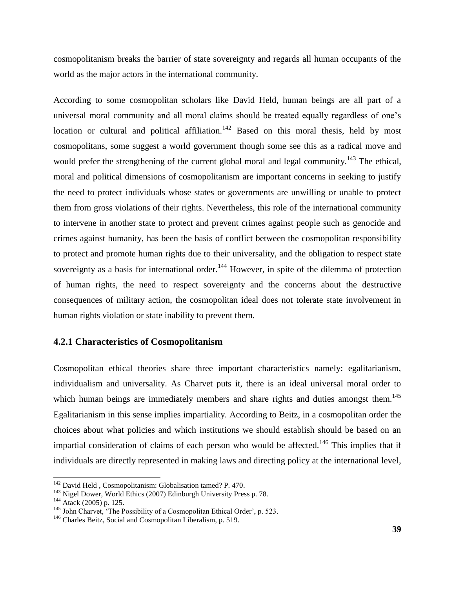cosmopolitanism breaks the barrier of state sovereignty and regards all human occupants of the world as the major actors in the international community.

According to some cosmopolitan scholars like David Held, human beings are all part of a universal moral community and all moral claims should be treated equally regardless of one"s location or cultural and political affiliation.<sup>142</sup> Based on this moral thesis, held by most cosmopolitans, some suggest a world government though some see this as a radical move and would prefer the strengthening of the current global moral and legal community.<sup>143</sup> The ethical, moral and political dimensions of cosmopolitanism are important concerns in seeking to justify the need to protect individuals whose states or governments are unwilling or unable to protect them from gross violations of their rights. Nevertheless, this role of the international community to intervene in another state to protect and prevent crimes against people such as genocide and crimes against humanity, has been the basis of conflict between the cosmopolitan responsibility to protect and promote human rights due to their universality, and the obligation to respect state sovereignty as a basis for international order.<sup>144</sup> However, in spite of the dilemma of protection of human rights, the need to respect sovereignty and the concerns about the destructive consequences of military action, the cosmopolitan ideal does not tolerate state involvement in human rights violation or state inability to prevent them.

### **4.2.1 Characteristics of Cosmopolitanism**

Cosmopolitan ethical theories share three important characteristics namely: egalitarianism, individualism and universality. As Charvet puts it, there is an ideal universal moral order to which human beings are immediately members and share rights and duties amongst them.<sup>145</sup> Egalitarianism in this sense implies impartiality. According to Beitz, in a cosmopolitan order the choices about what policies and which institutions we should establish should be based on an impartial consideration of claims of each person who would be affected.<sup>146</sup> This implies that if individuals are directly represented in making laws and directing policy at the international level,

<sup>&</sup>lt;sup>142</sup> David Held, Cosmopolitanism: Globalisation tamed? P. 470.

<sup>&</sup>lt;sup>143</sup> Nigel Dower, World Ethics (2007) Edinburgh University Press p. 78.

<sup>&</sup>lt;sup>144</sup> Atack (2005) p. 125.

<sup>&</sup>lt;sup>145</sup> John Charvet, 'The Possibility of a Cosmopolitan Ethical Order', p. 523.

<sup>&</sup>lt;sup>146</sup> Charles Beitz, Social and Cosmopolitan Liberalism, p. 519.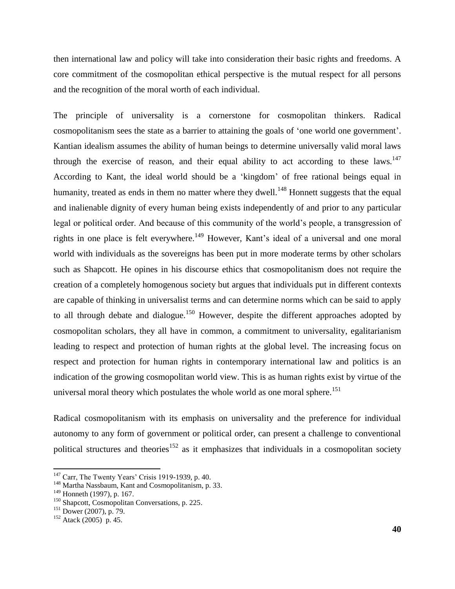then international law and policy will take into consideration their basic rights and freedoms. A core commitment of the cosmopolitan ethical perspective is the mutual respect for all persons and the recognition of the moral worth of each individual.

The principle of universality is a cornerstone for cosmopolitan thinkers. Radical cosmopolitanism sees the state as a barrier to attaining the goals of "one world one government". Kantian idealism assumes the ability of human beings to determine universally valid moral laws through the exercise of reason, and their equal ability to act according to these laws.<sup>147</sup> According to Kant, the ideal world should be a "kingdom" of free rational beings equal in humanity, treated as ends in them no matter where they dwell.<sup>148</sup> Honnett suggests that the equal and inalienable dignity of every human being exists independently of and prior to any particular legal or political order. And because of this community of the world"s people, a transgression of rights in one place is felt everywhere.<sup>149</sup> However, Kant's ideal of a universal and one moral world with individuals as the sovereigns has been put in more moderate terms by other scholars such as Shapcott. He opines in his discourse ethics that cosmopolitanism does not require the creation of a completely homogenous society but argues that individuals put in different contexts are capable of thinking in universalist terms and can determine norms which can be said to apply to all through debate and dialogue.<sup>150</sup> However, despite the different approaches adopted by cosmopolitan scholars, they all have in common, a commitment to universality, egalitarianism leading to respect and protection of human rights at the global level. The increasing focus on respect and protection for human rights in contemporary international law and politics is an indication of the growing cosmopolitan world view. This is as human rights exist by virtue of the universal moral theory which postulates the whole world as one moral sphere.<sup>151</sup>

Radical cosmopolitanism with its emphasis on universality and the preference for individual autonomy to any form of government or political order, can present a challenge to conventional political structures and theories<sup>152</sup> as it emphasizes that individuals in a cosmopolitan society

<sup>&</sup>lt;sup>147</sup> Carr, The Twenty Years' Crisis 1919-1939, p. 40.

<sup>&</sup>lt;sup>148</sup> Martha Nassbaum, Kant and Cosmopolitanism, p. 33.

<sup>149</sup> Honneth (1997), p. 167.

<sup>&</sup>lt;sup>150</sup> Shapcott, Cosmopolitan Conversations, p. 225.

<sup>151</sup> Dower (2007), p. 79.

 $152$  Atack (2005) p. 45.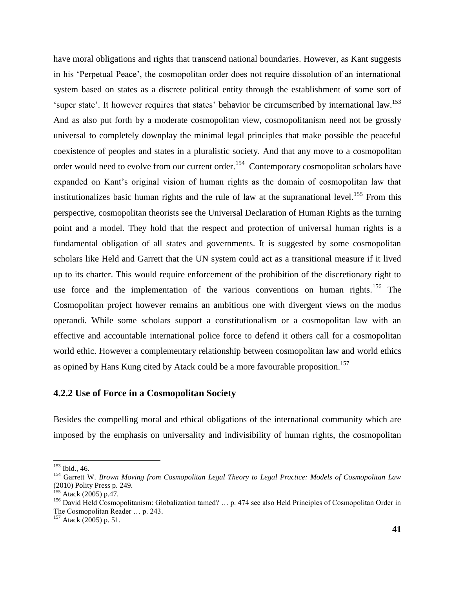have moral obligations and rights that transcend national boundaries. However, as Kant suggests in his "Perpetual Peace", the cosmopolitan order does not require dissolution of an international system based on states as a discrete political entity through the establishment of some sort of 'super state'. It however requires that states' behavior be circumscribed by international law.<sup>153</sup> And as also put forth by a moderate cosmopolitan view, cosmopolitanism need not be grossly universal to completely downplay the minimal legal principles that make possible the peaceful coexistence of peoples and states in a pluralistic society. And that any move to a cosmopolitan order would need to evolve from our current order.<sup>154</sup> Contemporary cosmopolitan scholars have expanded on Kant"s original vision of human rights as the domain of cosmopolitan law that institutionalizes basic human rights and the rule of law at the supranational level.<sup>155</sup> From this perspective, cosmopolitan theorists see the Universal Declaration of Human Rights as the turning point and a model. They hold that the respect and protection of universal human rights is a fundamental obligation of all states and governments. It is suggested by some cosmopolitan scholars like Held and Garrett that the UN system could act as a transitional measure if it lived up to its charter. This would require enforcement of the prohibition of the discretionary right to use force and the implementation of the various conventions on human rights.<sup>156</sup> The Cosmopolitan project however remains an ambitious one with divergent views on the modus operandi. While some scholars support a constitutionalism or a cosmopolitan law with an effective and accountable international police force to defend it others call for a cosmopolitan world ethic. However a complementary relationship between cosmopolitan law and world ethics as opined by Hans Kung cited by Atack could be a more favourable proposition.<sup>157</sup>

## **4.2.2 Use of Force in a Cosmopolitan Society**

Besides the compelling moral and ethical obligations of the international community which are imposed by the emphasis on universality and indivisibility of human rights, the cosmopolitan

<sup>153</sup> Ibid., 46.

<sup>154</sup> Garrett W. *Brown Moving from Cosmopolitan Legal Theory to Legal Practice: Models of Cosmopolitan Law* (2010) Polity Press p. 249.

<sup>&</sup>lt;sup>155</sup> Atack (2005) p.47.

<sup>156</sup> David Held Cosmopolitanism: Globalization tamed? ... p. 474 see also Held Principles of Cosmopolitan Order in The Cosmopolitan Reader … p. 243.

 $157$  Atack (2005) p. 51.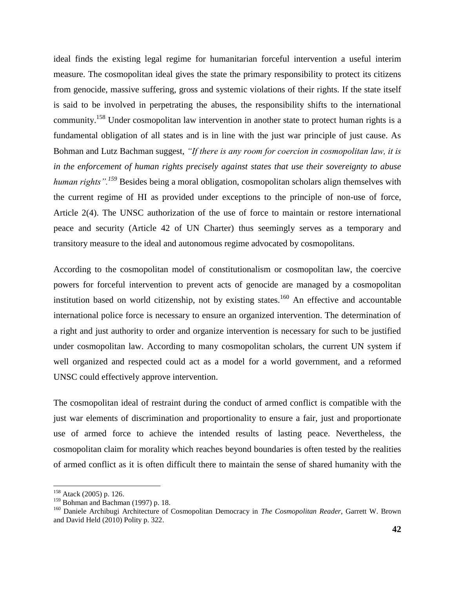ideal finds the existing legal regime for humanitarian forceful intervention a useful interim measure. The cosmopolitan ideal gives the state the primary responsibility to protect its citizens from genocide, massive suffering, gross and systemic violations of their rights. If the state itself is said to be involved in perpetrating the abuses, the responsibility shifts to the international community.<sup>158</sup> Under cosmopolitan law intervention in another state to protect human rights is a fundamental obligation of all states and is in line with the just war principle of just cause. As Bohman and Lutz Bachman suggest, *"If there is any room for coercion in cosmopolitan law, it is in the enforcement of human rights precisely against states that use their sovereignty to abuse human rights".<sup>159</sup>* Besides being a moral obligation, cosmopolitan scholars align themselves with the current regime of HI as provided under exceptions to the principle of non-use of force, Article 2(4). The UNSC authorization of the use of force to maintain or restore international peace and security (Article 42 of UN Charter) thus seemingly serves as a temporary and transitory measure to the ideal and autonomous regime advocated by cosmopolitans.

According to the cosmopolitan model of constitutionalism or cosmopolitan law, the coercive powers for forceful intervention to prevent acts of genocide are managed by a cosmopolitan institution based on world citizenship, not by existing states.<sup>160</sup> An effective and accountable international police force is necessary to ensure an organized intervention. The determination of a right and just authority to order and organize intervention is necessary for such to be justified under cosmopolitan law. According to many cosmopolitan scholars, the current UN system if well organized and respected could act as a model for a world government, and a reformed UNSC could effectively approve intervention.

The cosmopolitan ideal of restraint during the conduct of armed conflict is compatible with the just war elements of discrimination and proportionality to ensure a fair, just and proportionate use of armed force to achieve the intended results of lasting peace. Nevertheless, the cosmopolitan claim for morality which reaches beyond boundaries is often tested by the realities of armed conflict as it is often difficult there to maintain the sense of shared humanity with the

<sup>&</sup>lt;sup>158</sup> Atack (2005) p. 126.

<sup>&</sup>lt;sup>159</sup> Bohman and Bachman (1997) p. 18.

<sup>160</sup> Daniele Archibugi Architecture of Cosmopolitan Democracy in *The Cosmopolitan Reader,* Garrett W. Brown and David Held (2010) Polity p. 322.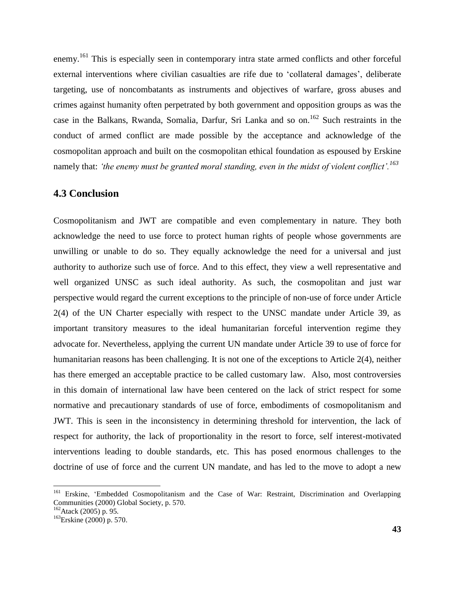enemy.<sup>161</sup> This is especially seen in contemporary intra state armed conflicts and other forceful external interventions where civilian casualties are rife due to 'collateral damages', deliberate targeting, use of noncombatants as instruments and objectives of warfare, gross abuses and crimes against humanity often perpetrated by both government and opposition groups as was the case in the Balkans, Rwanda, Somalia, Darfur, Sri Lanka and so on.<sup>162</sup> Such restraints in the conduct of armed conflict are made possible by the acceptance and acknowledge of the cosmopolitan approach and built on the cosmopolitan ethical foundation as espoused by Erskine namely that: *"the enemy must be granted moral standing, even in the midst of violent conflict".<sup>163</sup>*

## **4.3 Conclusion**

Cosmopolitanism and JWT are compatible and even complementary in nature. They both acknowledge the need to use force to protect human rights of people whose governments are unwilling or unable to do so. They equally acknowledge the need for a universal and just authority to authorize such use of force. And to this effect, they view a well representative and well organized UNSC as such ideal authority. As such, the cosmopolitan and just war perspective would regard the current exceptions to the principle of non-use of force under Article 2(4) of the UN Charter especially with respect to the UNSC mandate under Article 39, as important transitory measures to the ideal humanitarian forceful intervention regime they advocate for. Nevertheless, applying the current UN mandate under Article 39 to use of force for humanitarian reasons has been challenging. It is not one of the exceptions to Article 2(4), neither has there emerged an acceptable practice to be called customary law. Also, most controversies in this domain of international law have been centered on the lack of strict respect for some normative and precautionary standards of use of force, embodiments of cosmopolitanism and JWT. This is seen in the inconsistency in determining threshold for intervention, the lack of respect for authority, the lack of proportionality in the resort to force, self interest-motivated interventions leading to double standards, etc. This has posed enormous challenges to the doctrine of use of force and the current UN mandate, and has led to the move to adopt a new

<sup>&</sup>lt;sup>161</sup> Erskine, 'Embedded Cosmopolitanism and the Case of War: Restraint, Discrimination and Overlapping Communities (2000) Global Society, p. 570.

<sup>162</sup>Atack (2005) p. 95.

<sup>163</sup>Erskine (2000) p. 570.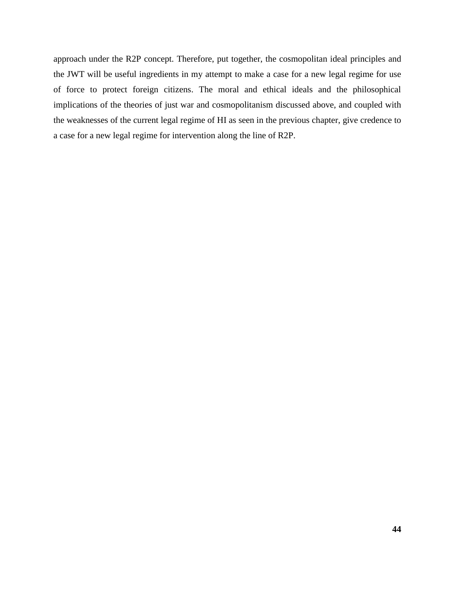approach under the R2P concept. Therefore, put together, the cosmopolitan ideal principles and the JWT will be useful ingredients in my attempt to make a case for a new legal regime for use of force to protect foreign citizens. The moral and ethical ideals and the philosophical implications of the theories of just war and cosmopolitanism discussed above, and coupled with the weaknesses of the current legal regime of HI as seen in the previous chapter, give credence to a case for a new legal regime for intervention along the line of R2P.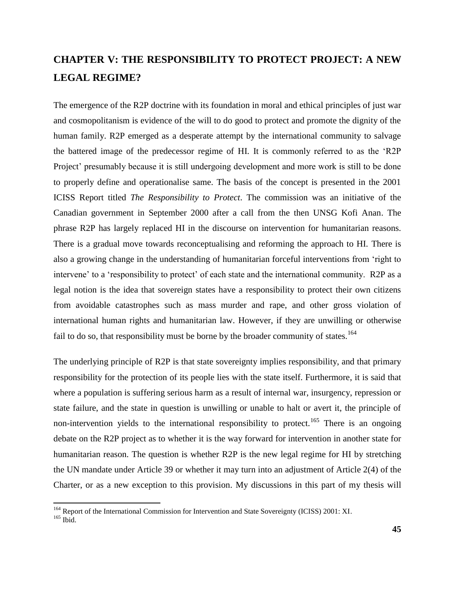# **CHAPTER V: THE RESPONSIBILITY TO PROTECT PROJECT: A NEW LEGAL REGIME?**

The emergence of the R2P doctrine with its foundation in moral and ethical principles of just war and cosmopolitanism is evidence of the will to do good to protect and promote the dignity of the human family. R2P emerged as a desperate attempt by the international community to salvage the battered image of the predecessor regime of HI. It is commonly referred to as the "R2P Project' presumably because it is still undergoing development and more work is still to be done to properly define and operationalise same. The basis of the concept is presented in the 2001 ICISS Report titled *The Responsibility to Protect*. The commission was an initiative of the Canadian government in September 2000 after a call from the then UNSG Kofi Anan. The phrase R2P has largely replaced HI in the discourse on intervention for humanitarian reasons. There is a gradual move towards reconceptualising and reforming the approach to HI. There is also a growing change in the understanding of humanitarian forceful interventions from "right to intervene" to a "responsibility to protect" of each state and the international community. R2P as a legal notion is the idea that sovereign states have a responsibility to protect their own citizens from avoidable catastrophes such as mass murder and rape, and other gross violation of international human rights and humanitarian law. However, if they are unwilling or otherwise fail to do so, that responsibility must be borne by the broader community of states.<sup>164</sup>

The underlying principle of R2P is that state sovereignty implies responsibility, and that primary responsibility for the protection of its people lies with the state itself. Furthermore, it is said that where a population is suffering serious harm as a result of internal war, insurgency, repression or state failure, and the state in question is unwilling or unable to halt or avert it, the principle of non-intervention yields to the international responsibility to protect.<sup>165</sup> There is an ongoing debate on the R2P project as to whether it is the way forward for intervention in another state for humanitarian reason. The question is whether R2P is the new legal regime for HI by stretching the UN mandate under Article 39 or whether it may turn into an adjustment of Article 2(4) of the Charter, or as a new exception to this provision. My discussions in this part of my thesis will

<sup>&</sup>lt;sup>164</sup> Report of the International Commission for Intervention and State Sovereignty (ICISS) 2001: XI.

 $165$  Ibid.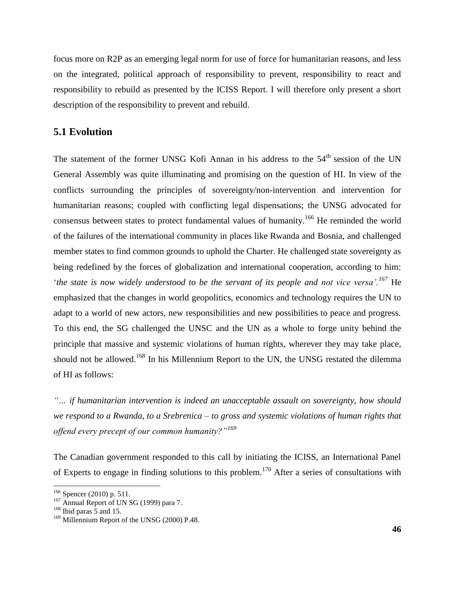focus more on R2P as an emerging legal norm for use of force for humanitarian reasons, and less on the integrated, political approach of responsibility to prevent, responsibility to react and responsibility to rebuild as presented by the ICISS Report. I will therefore only present a short description of the responsibility to prevent and rebuild.

### **5.1 Evolution**

The statement of the former UNSG Kofi Annan in his address to the  $54<sup>th</sup>$  session of the UN General Assembly was quite illuminating and promising on the question of HI. In view of the conflicts surrounding the principles of sovereignty/non-intervention and intervention for humanitarian reasons; coupled with conflicting legal dispensations; the UNSG advocated for consensus between states to protect fundamental values of humanity.<sup>166</sup> He reminded the world of the failures of the international community in places like Rwanda and Bosnia, and challenged member states to find common grounds to uphold the Charter. He challenged state sovereignty as being redefined by the forces of globalization and international cooperation, according to him: "*the state is now widely understood to be the servant of its people and not vice versa".<sup>167</sup>* He emphasized that the changes in world geopolitics, economics and technology requires the UN to adapt to a world of new actors, new responsibilities and new possibilities to peace and progress. To this end, the SG challenged the UNSC and the UN as a whole to forge unity behind the principle that massive and systemic violations of human rights, wherever they may take place, should not be allowed.<sup>168</sup> In his Millennium Report to the UN, the UNSG restated the dilemma of HI as follows:

*"… if humanitarian intervention is indeed an unacceptable assault on sovereignty, how should we respond to a Rwanda, to a Srebrenica – to gross and systemic violations of human rights that offend every precept of our common humanity?"<sup>169</sup>*

The Canadian government responded to this call by initiating the ICISS, an International Panel of Experts to engage in finding solutions to this problem.<sup>170</sup> After a series of consultations with

 $166$  Spencer (2010) p. 511.

<sup>&</sup>lt;sup>167</sup> Annual Report of UN SG (1999) para 7.

 $168$  Ibid paras 5 and 15.

<sup>&</sup>lt;sup>169</sup> Millennium Report of the UNSG (2000) P.48.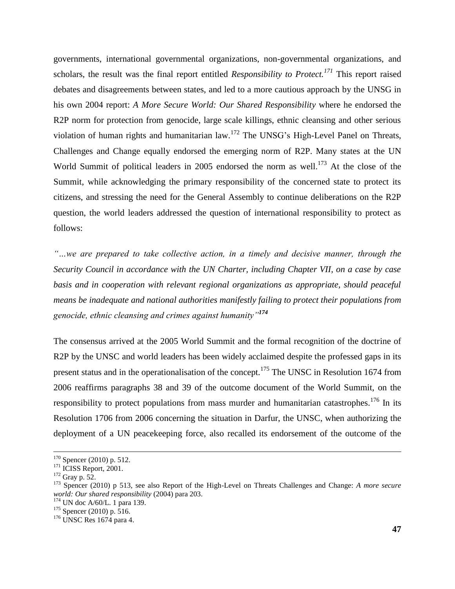governments, international governmental organizations, non-governmental organizations, and scholars, the result was the final report entitled *Responsibility to Protect.<sup>171</sup>* This report raised debates and disagreements between states, and led to a more cautious approach by the UNSG in his own 2004 report: *A More Secure World: Our Shared Responsibility* where he endorsed the R2P norm for protection from genocide, large scale killings, ethnic cleansing and other serious violation of human rights and humanitarian law.<sup>172</sup> The UNSG's High-Level Panel on Threats, Challenges and Change equally endorsed the emerging norm of R2P. Many states at the UN World Summit of political leaders in 2005 endorsed the norm as well.<sup>173</sup> At the close of the Summit, while acknowledging the primary responsibility of the concerned state to protect its citizens, and stressing the need for the General Assembly to continue deliberations on the R2P question, the world leaders addressed the question of international responsibility to protect as follows:

*"…we are prepared to take collective action, in a timely and decisive manner, through the Security Council in accordance with the UN Charter, including Chapter VII, on a case by case basis and in cooperation with relevant regional organizations as appropriate, should peaceful means be inadequate and national authorities manifestly failing to protect their populations from genocide, ethnic cleansing and crimes against humanity"<sup>174</sup>*

The consensus arrived at the 2005 World Summit and the formal recognition of the doctrine of R2P by the UNSC and world leaders has been widely acclaimed despite the professed gaps in its present status and in the operationalisation of the concept.<sup>175</sup> The UNSC in Resolution 1674 from 2006 reaffirms paragraphs 38 and 39 of the outcome document of the World Summit, on the responsibility to protect populations from mass murder and humanitarian catastrophes.<sup>176</sup> In its Resolution 1706 from 2006 concerning the situation in Darfur, the UNSC, when authorizing the deployment of a UN peacekeeping force, also recalled its endorsement of the outcome of the

 $170$  Spencer (2010) p. 512.

 $171$  ICISS Report, 2001.

<sup>172</sup> Gray p. 52.

<sup>173</sup> Spencer (2010) p 513, see also Report of the High-Level on Threats Challenges and Change: *A more secure world: Our shared responsibility* (2004) para 203.

<sup>174</sup> UN doc A/60/L. 1 para 139.

<sup>&</sup>lt;sup>175</sup> Spencer (2010) p. 516.

<sup>176</sup> UNSC Res 1674 para 4.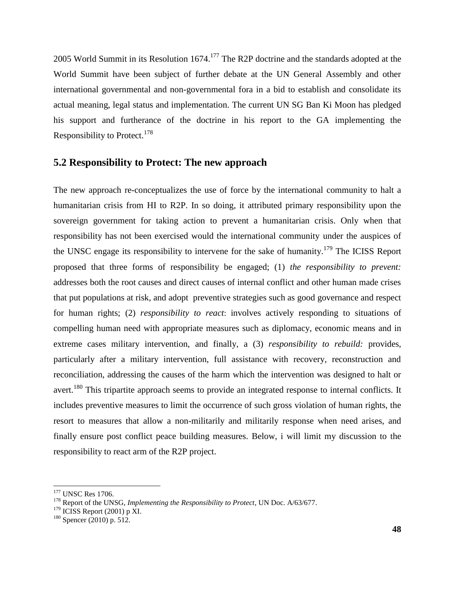2005 World Summit in its Resolution 1674.<sup>177</sup> The R2P doctrine and the standards adopted at the World Summit have been subject of further debate at the UN General Assembly and other international governmental and non-governmental fora in a bid to establish and consolidate its actual meaning, legal status and implementation. The current UN SG Ban Ki Moon has pledged his support and furtherance of the doctrine in his report to the GA implementing the Responsibility to Protect.<sup>178</sup>

### **5.2 Responsibility to Protect: The new approach**

The new approach re-conceptualizes the use of force by the international community to halt a humanitarian crisis from HI to R2P. In so doing, it attributed primary responsibility upon the sovereign government for taking action to prevent a humanitarian crisis. Only when that responsibility has not been exercised would the international community under the auspices of the UNSC engage its responsibility to intervene for the sake of humanity.<sup>179</sup> The ICISS Report proposed that three forms of responsibility be engaged; (1) *the responsibility to prevent:*  addresses both the root causes and direct causes of internal conflict and other human made crises that put populations at risk, and adopt preventive strategies such as good governance and respect for human rights; (2) *responsibility to react*: involves actively responding to situations of compelling human need with appropriate measures such as diplomacy, economic means and in extreme cases military intervention, and finally, a (3) *responsibility to rebuild:* provides, particularly after a military intervention, full assistance with recovery, reconstruction and reconciliation, addressing the causes of the harm which the intervention was designed to halt or avert.<sup>180</sup> This tripartite approach seems to provide an integrated response to internal conflicts. It includes preventive measures to limit the occurrence of such gross violation of human rights, the resort to measures that allow a non-militarily and militarily response when need arises, and finally ensure post conflict peace building measures. Below, i will limit my discussion to the responsibility to react arm of the R2P project.

<sup>&</sup>lt;sup>177</sup> UNSC Res 1706.

<sup>178</sup> Report of the UNSG, *Implementing the Responsibility to Protect*, UN Doc. A/63/677.

 $179$  ICISS Report (2001) p XI.

 $180$  Spencer (2010) p. 512.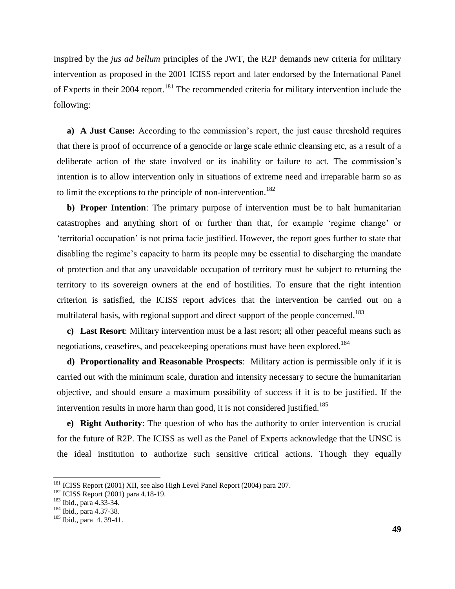Inspired by the *jus ad bellum* principles of the JWT, the R2P demands new criteria for military intervention as proposed in the 2001 ICISS report and later endorsed by the International Panel of Experts in their 2004 report.<sup>181</sup> The recommended criteria for military intervention include the following:

**a) A Just Cause:** According to the commission"s report, the just cause threshold requires that there is proof of occurrence of a genocide or large scale ethnic cleansing etc, as a result of a deliberate action of the state involved or its inability or failure to act. The commission's intention is to allow intervention only in situations of extreme need and irreparable harm so as to limit the exceptions to the principle of non-intervention.<sup>182</sup>

**b) Proper Intention**: The primary purpose of intervention must be to halt humanitarian catastrophes and anything short of or further than that, for example "regime change" or "territorial occupation" is not prima facie justified. However, the report goes further to state that disabling the regime's capacity to harm its people may be essential to discharging the mandate of protection and that any unavoidable occupation of territory must be subject to returning the territory to its sovereign owners at the end of hostilities. To ensure that the right intention criterion is satisfied, the ICISS report advices that the intervention be carried out on a multilateral basis, with regional support and direct support of the people concerned.<sup>183</sup>

**c) Last Resort**: Military intervention must be a last resort; all other peaceful means such as negotiations, ceasefires, and peacekeeping operations must have been explored.<sup>184</sup>

**d) Proportionality and Reasonable Prospects**: Military action is permissible only if it is carried out with the minimum scale, duration and intensity necessary to secure the humanitarian objective, and should ensure a maximum possibility of success if it is to be justified. If the intervention results in more harm than good, it is not considered justified.<sup>185</sup>

**e) Right Authority**: The question of who has the authority to order intervention is crucial for the future of R2P. The ICISS as well as the Panel of Experts acknowledge that the UNSC is the ideal institution to authorize such sensitive critical actions. Though they equally

<sup>&</sup>lt;sup>181</sup> ICISS Report (2001) XII, see also High Level Panel Report (2004) para 207.

<sup>&</sup>lt;sup>182</sup> ICISS Report (2001) para 4.18-19.

<sup>183</sup> Ibid., para 4.33-34.

<sup>184</sup> Ibid., para 4.37-38.

<sup>185</sup> Ibid., para 4. 39-41.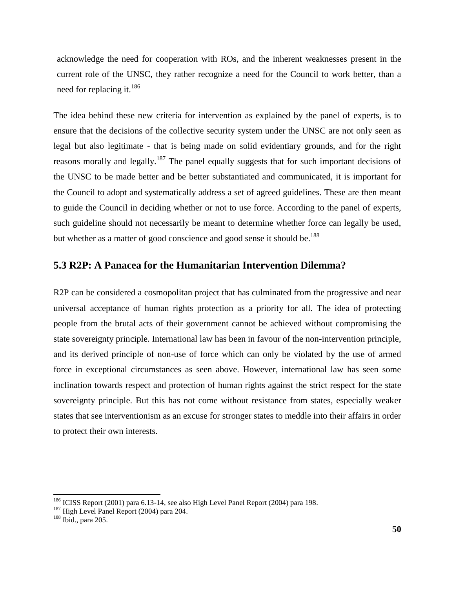acknowledge the need for cooperation with ROs, and the inherent weaknesses present in the current role of the UNSC, they rather recognize a need for the Council to work better, than a need for replacing it.<sup>186</sup>

The idea behind these new criteria for intervention as explained by the panel of experts, is to ensure that the decisions of the collective security system under the UNSC are not only seen as legal but also legitimate - that is being made on solid evidentiary grounds, and for the right reasons morally and legally.<sup>187</sup> The panel equally suggests that for such important decisions of the UNSC to be made better and be better substantiated and communicated, it is important for the Council to adopt and systematically address a set of agreed guidelines. These are then meant to guide the Council in deciding whether or not to use force. According to the panel of experts, such guideline should not necessarily be meant to determine whether force can legally be used, but whether as a matter of good conscience and good sense it should be.<sup>188</sup>

# **5.3 R2P: A Panacea for the Humanitarian Intervention Dilemma?**

R2P can be considered a cosmopolitan project that has culminated from the progressive and near universal acceptance of human rights protection as a priority for all. The idea of protecting people from the brutal acts of their government cannot be achieved without compromising the state sovereignty principle. International law has been in favour of the non-intervention principle, and its derived principle of non-use of force which can only be violated by the use of armed force in exceptional circumstances as seen above. However, international law has seen some inclination towards respect and protection of human rights against the strict respect for the state sovereignty principle. But this has not come without resistance from states, especially weaker states that see interventionism as an excuse for stronger states to meddle into their affairs in order to protect their own interests.

<sup>&</sup>lt;sup>186</sup> ICISS Report (2001) para 6.13-14, see also High Level Panel Report (2004) para 198.

 $^{187}$  High Level Panel Report (2004) para 204.

<sup>188</sup> Ibid., para 205.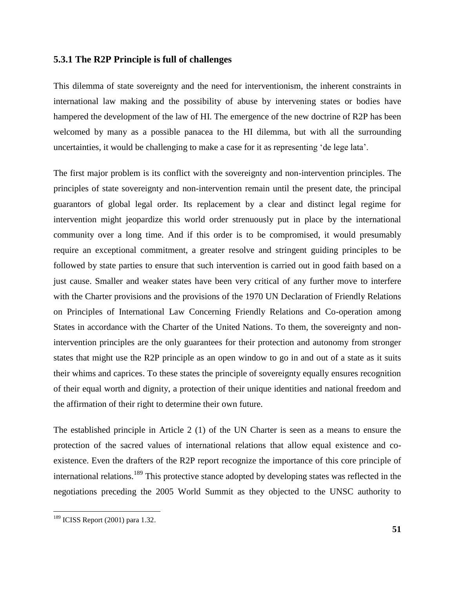#### **5.3.1 The R2P Principle is full of challenges**

This dilemma of state sovereignty and the need for interventionism, the inherent constraints in international law making and the possibility of abuse by intervening states or bodies have hampered the development of the law of HI. The emergence of the new doctrine of R2P has been welcomed by many as a possible panacea to the HI dilemma, but with all the surrounding uncertainties, it would be challenging to make a case for it as representing "de lege lata".

The first major problem is its conflict with the sovereignty and non-intervention principles. The principles of state sovereignty and non-intervention remain until the present date, the principal guarantors of global legal order. Its replacement by a clear and distinct legal regime for intervention might jeopardize this world order strenuously put in place by the international community over a long time. And if this order is to be compromised, it would presumably require an exceptional commitment, a greater resolve and stringent guiding principles to be followed by state parties to ensure that such intervention is carried out in good faith based on a just cause. Smaller and weaker states have been very critical of any further move to interfere with the Charter provisions and the provisions of the 1970 UN Declaration of Friendly Relations on Principles of International Law Concerning Friendly Relations and Co-operation among States in accordance with the Charter of the United Nations. To them, the sovereignty and nonintervention principles are the only guarantees for their protection and autonomy from stronger states that might use the R2P principle as an open window to go in and out of a state as it suits their whims and caprices. To these states the principle of sovereignty equally ensures recognition of their equal worth and dignity, a protection of their unique identities and national freedom and the affirmation of their right to determine their own future.

The established principle in Article 2 (1) of the UN Charter is seen as a means to ensure the protection of the sacred values of international relations that allow equal existence and coexistence. Even the drafters of the R2P report recognize the importance of this core principle of international relations.<sup>189</sup> This protective stance adopted by developing states was reflected in the negotiations preceding the 2005 World Summit as they objected to the UNSC authority to

<sup>&</sup>lt;sup>189</sup> ICISS Report (2001) para 1.32.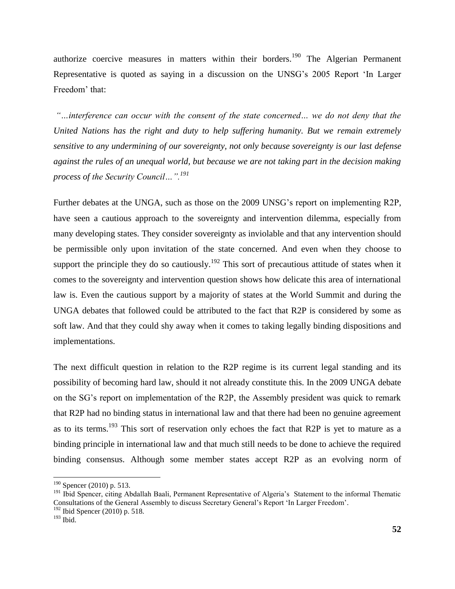authorize coercive measures in matters within their borders.<sup>190</sup> The Algerian Permanent Representative is quoted as saying in a discussion on the UNSG"s 2005 Report "In Larger Freedom' that:

*"…interference can occur with the consent of the state concerned… we do not deny that the United Nations has the right and duty to help suffering humanity. But we remain extremely sensitive to any undermining of our sovereignty, not only because sovereignty is our last defense against the rules of an unequal world, but because we are not taking part in the decision making process of the Security Council…".<sup>191</sup>*

Further debates at the UNGA, such as those on the 2009 UNSG"s report on implementing R2P, have seen a cautious approach to the sovereignty and intervention dilemma, especially from many developing states. They consider sovereignty as inviolable and that any intervention should be permissible only upon invitation of the state concerned. And even when they choose to support the principle they do so cautiously.<sup>192</sup> This sort of precautious attitude of states when it comes to the sovereignty and intervention question shows how delicate this area of international law is. Even the cautious support by a majority of states at the World Summit and during the UNGA debates that followed could be attributed to the fact that R2P is considered by some as soft law. And that they could shy away when it comes to taking legally binding dispositions and implementations.

The next difficult question in relation to the R2P regime is its current legal standing and its possibility of becoming hard law, should it not already constitute this. In the 2009 UNGA debate on the SG"s report on implementation of the R2P, the Assembly president was quick to remark that R2P had no binding status in international law and that there had been no genuine agreement as to its terms.<sup>193</sup> This sort of reservation only echoes the fact that R2P is yet to mature as a binding principle in international law and that much still needs to be done to achieve the required binding consensus. Although some member states accept R2P as an evolving norm of

 $190$  Spencer (2010) p. 513.

<sup>&</sup>lt;sup>191</sup> Ibid Spencer, citing Abdallah Baali, Permanent Representative of Algeria's Statement to the informal Thematic Consultations of the General Assembly to discuss Secretary General"s Report "In Larger Freedom".

 $192$  Ibid Spencer (2010) p. 518.

<sup>193</sup> Ibid.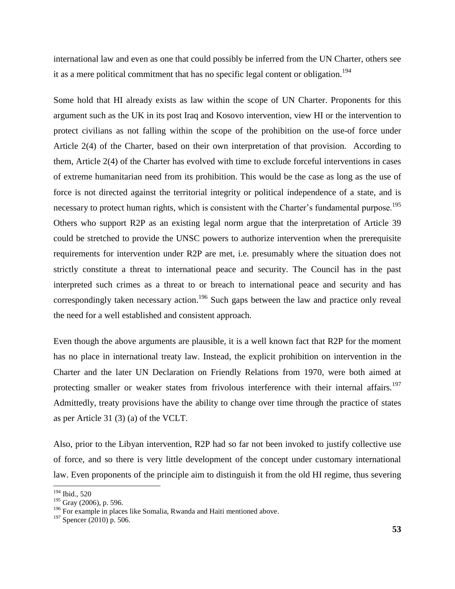international law and even as one that could possibly be inferred from the UN Charter, others see it as a mere political commitment that has no specific legal content or obligation.<sup>194</sup>

Some hold that HI already exists as law within the scope of UN Charter. Proponents for this argument such as the UK in its post Iraq and Kosovo intervention, view HI or the intervention to protect civilians as not falling within the scope of the prohibition on the use-of force under Article 2(4) of the Charter, based on their own interpretation of that provision. According to them, Article 2(4) of the Charter has evolved with time to exclude forceful interventions in cases of extreme humanitarian need from its prohibition. This would be the case as long as the use of force is not directed against the territorial integrity or political independence of a state, and is necessary to protect human rights, which is consistent with the Charter's fundamental purpose.<sup>195</sup> Others who support R2P as an existing legal norm argue that the interpretation of Article 39 could be stretched to provide the UNSC powers to authorize intervention when the prerequisite requirements for intervention under R2P are met, i.e. presumably where the situation does not strictly constitute a threat to international peace and security. The Council has in the past interpreted such crimes as a threat to or breach to international peace and security and has correspondingly taken necessary action.<sup>196</sup> Such gaps between the law and practice only reveal the need for a well established and consistent approach.

Even though the above arguments are plausible, it is a well known fact that R2P for the moment has no place in international treaty law. Instead, the explicit prohibition on intervention in the Charter and the later UN Declaration on Friendly Relations from 1970, were both aimed at protecting smaller or weaker states from frivolous interference with their internal affairs.<sup>197</sup> Admittedly, treaty provisions have the ability to change over time through the practice of states as per Article 31 (3) (a) of the VCLT.

Also, prior to the Libyan intervention, R2P had so far not been invoked to justify collective use of force, and so there is very little development of the concept under customary international law. Even proponents of the principle aim to distinguish it from the old HI regime, thus severing

<sup>194</sup> Ibid., 520

<sup>&</sup>lt;sup>195</sup> Gray (2006), p. 596.

<sup>&</sup>lt;sup>196</sup> For example in places like Somalia, Rwanda and Haiti mentioned above.

 $197$  Spencer (2010) p. 506.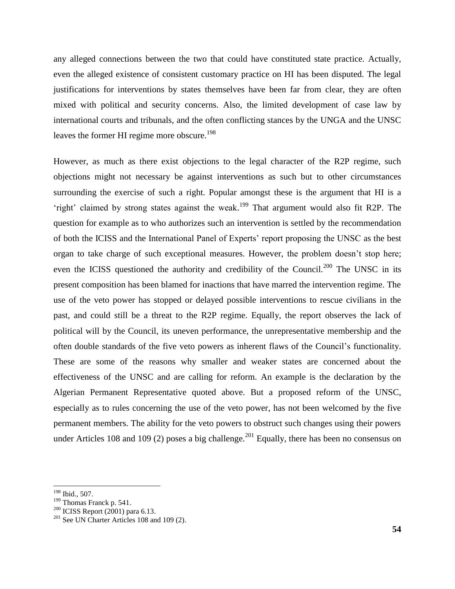any alleged connections between the two that could have constituted state practice. Actually, even the alleged existence of consistent customary practice on HI has been disputed. The legal justifications for interventions by states themselves have been far from clear, they are often mixed with political and security concerns. Also, the limited development of case law by international courts and tribunals, and the often conflicting stances by the UNGA and the UNSC leaves the former HI regime more obscure.<sup>198</sup>

However, as much as there exist objections to the legal character of the R2P regime, such objections might not necessary be against interventions as such but to other circumstances surrounding the exercise of such a right. Popular amongst these is the argument that HI is a 'right' claimed by strong states against the weak.<sup>199</sup> That argument would also fit R2P. The question for example as to who authorizes such an intervention is settled by the recommendation of both the ICISS and the International Panel of Experts" report proposing the UNSC as the best organ to take charge of such exceptional measures. However, the problem doesn"t stop here; even the ICISS questioned the authority and credibility of the Council.<sup>200</sup> The UNSC in its present composition has been blamed for inactions that have marred the intervention regime. The use of the veto power has stopped or delayed possible interventions to rescue civilians in the past, and could still be a threat to the R2P regime. Equally, the report observes the lack of political will by the Council, its uneven performance, the unrepresentative membership and the often double standards of the five veto powers as inherent flaws of the Council"s functionality. These are some of the reasons why smaller and weaker states are concerned about the effectiveness of the UNSC and are calling for reform. An example is the declaration by the Algerian Permanent Representative quoted above. But a proposed reform of the UNSC, especially as to rules concerning the use of the veto power, has not been welcomed by the five permanent members. The ability for the veto powers to obstruct such changes using their powers under Articles 108 and 109 (2) poses a big challenge.<sup>201</sup> Equally, there has been no consensus on

<sup>&</sup>lt;sup>198</sup> Ibid., 507.

<sup>&</sup>lt;sup>199</sup> Thomas Franck p. 541.

<sup>200</sup> ICISS Report (2001) para 6.13.

 $201$  See UN Charter Articles 108 and 109 (2).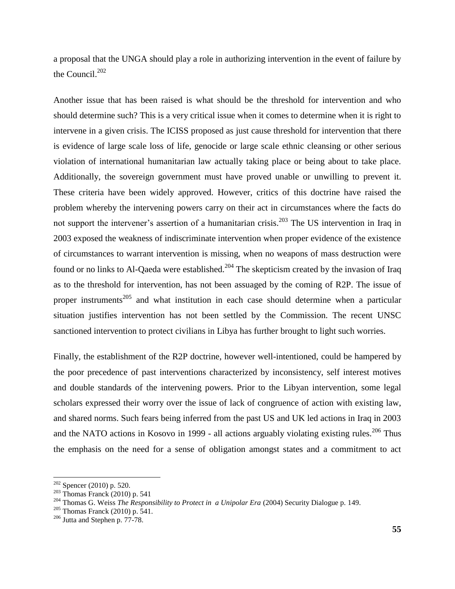a proposal that the UNGA should play a role in authorizing intervention in the event of failure by the Council. $202$ 

Another issue that has been raised is what should be the threshold for intervention and who should determine such? This is a very critical issue when it comes to determine when it is right to intervene in a given crisis. The ICISS proposed as just cause threshold for intervention that there is evidence of large scale loss of life, genocide or large scale ethnic cleansing or other serious violation of international humanitarian law actually taking place or being about to take place. Additionally, the sovereign government must have proved unable or unwilling to prevent it. These criteria have been widely approved. However, critics of this doctrine have raised the problem whereby the intervening powers carry on their act in circumstances where the facts do not support the intervener's assertion of a humanitarian crisis.<sup>203</sup> The US intervention in Iraq in 2003 exposed the weakness of indiscriminate intervention when proper evidence of the existence of circumstances to warrant intervention is missing, when no weapons of mass destruction were found or no links to Al-Qaeda were established.<sup>204</sup> The skepticism created by the invasion of Iraq as to the threshold for intervention, has not been assuaged by the coming of R2P. The issue of proper instruments<sup>205</sup> and what institution in each case should determine when a particular situation justifies intervention has not been settled by the Commission. The recent UNSC sanctioned intervention to protect civilians in Libya has further brought to light such worries.

Finally, the establishment of the R2P doctrine, however well-intentioned, could be hampered by the poor precedence of past interventions characterized by inconsistency, self interest motives and double standards of the intervening powers. Prior to the Libyan intervention, some legal scholars expressed their worry over the issue of lack of congruence of action with existing law, and shared norms. Such fears being inferred from the past US and UK led actions in Iraq in 2003 and the NATO actions in Kosovo in 1999 - all actions arguably violating existing rules.<sup>206</sup> Thus the emphasis on the need for a sense of obligation amongst states and a commitment to act

 $202$  Spencer (2010) p. 520.

 $203$  Thomas Franck (2010) p. 541

<sup>204</sup> Thomas G. Weiss *The Responsibility to Protect in a Unipolar Era* (2004) Security Dialogue p. 149.

 $^{205}$  Thomas Franck (2010) p. 541.

<sup>206</sup> Jutta and Stephen p. 77-78.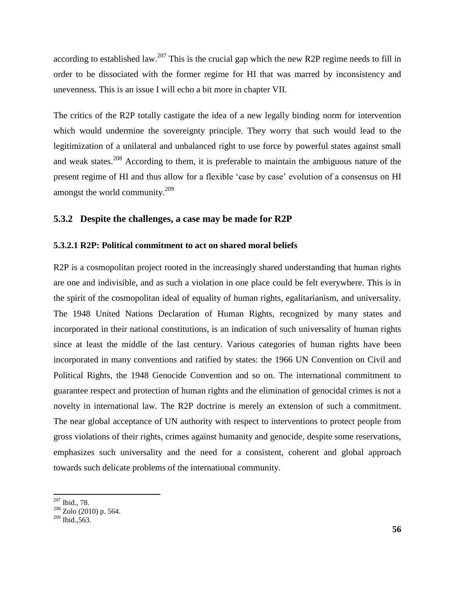according to established law.<sup>207</sup> This is the crucial gap which the new R2P regime needs to fill in order to be dissociated with the former regime for HI that was marred by inconsistency and unevenness. This is an issue I will echo a bit more in chapter VII.

The critics of the R2P totally castigate the idea of a new legally binding norm for intervention which would undermine the sovereignty principle. They worry that such would lead to the legitimization of a unilateral and unbalanced right to use force by powerful states against small and weak states.<sup>208</sup> According to them, it is preferable to maintain the ambiguous nature of the present regime of HI and thus allow for a flexible 'case by case' evolution of a consensus on HI amongst the world community.<sup>209</sup>

### **5.3.2 Despite the challenges, a case may be made for R2P**

### **5.3.2.1 R2P: Political commitment to act on shared moral beliefs**

R2P is a cosmopolitan project rooted in the increasingly shared understanding that human rights are one and indivisible, and as such a violation in one place could be felt everywhere. This is in the spirit of the cosmopolitan ideal of equality of human rights, egalitarianism, and universality. The 1948 United Nations Declaration of Human Rights, recognized by many states and incorporated in their national constitutions, is an indication of such universality of human rights since at least the middle of the last century. Various categories of human rights have been incorporated in many conventions and ratified by states: the 1966 UN Convention on Civil and Political Rights, the 1948 Genocide Convention and so on. The international commitment to guarantee respect and protection of human rights and the elimination of genocidal crimes is not a novelty in international law. The R2P doctrine is merely an extension of such a commitment. The near global acceptance of UN authority with respect to interventions to protect people from gross violations of their rights, crimes against humanity and genocide, despite some reservations, emphasizes such universality and the need for a consistent, coherent and global approach towards such delicate problems of the international community.

 $\overline{\phantom{a}}$ <sup>207</sup> Ibid., 78.

 $208$  Zolo (2010) p. 564.

 $209$  Ibid., 563.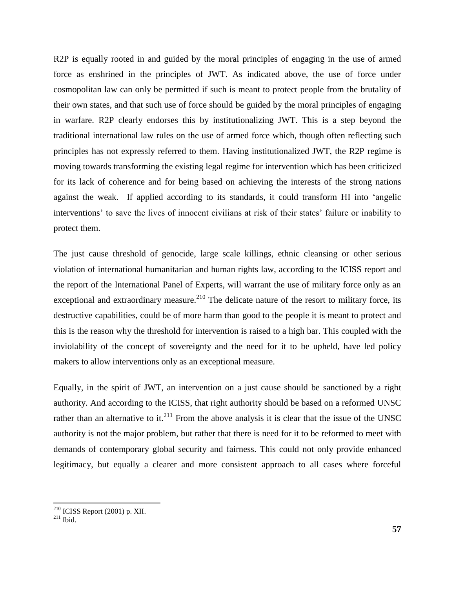R2P is equally rooted in and guided by the moral principles of engaging in the use of armed force as enshrined in the principles of JWT. As indicated above, the use of force under cosmopolitan law can only be permitted if such is meant to protect people from the brutality of their own states, and that such use of force should be guided by the moral principles of engaging in warfare. R2P clearly endorses this by institutionalizing JWT. This is a step beyond the traditional international law rules on the use of armed force which, though often reflecting such principles has not expressly referred to them. Having institutionalized JWT, the R2P regime is moving towards transforming the existing legal regime for intervention which has been criticized for its lack of coherence and for being based on achieving the interests of the strong nations against the weak. If applied according to its standards, it could transform HI into "angelic interventions' to save the lives of innocent civilians at risk of their states' failure or inability to protect them.

The just cause threshold of genocide, large scale killings, ethnic cleansing or other serious violation of international humanitarian and human rights law, according to the ICISS report and the report of the International Panel of Experts, will warrant the use of military force only as an exceptional and extraordinary measure.<sup>210</sup> The delicate nature of the resort to military force, its destructive capabilities, could be of more harm than good to the people it is meant to protect and this is the reason why the threshold for intervention is raised to a high bar. This coupled with the inviolability of the concept of sovereignty and the need for it to be upheld, have led policy makers to allow interventions only as an exceptional measure.

Equally, in the spirit of JWT, an intervention on a just cause should be sanctioned by a right authority. And according to the ICISS, that right authority should be based on a reformed UNSC rather than an alternative to it.<sup>211</sup> From the above analysis it is clear that the issue of the UNSC authority is not the major problem, but rather that there is need for it to be reformed to meet with demands of contemporary global security and fairness. This could not only provide enhanced legitimacy, but equally a clearer and more consistent approach to all cases where forceful

 $^{210}$  ICISS Report (2001) p. XII.

 $^{211}$  Ibid.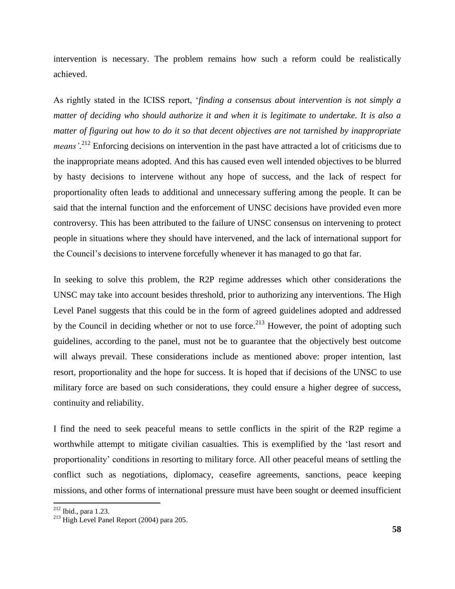intervention is necessary. The problem remains how such a reform could be realistically achieved.

As rightly stated in the ICISS report, "*finding a consensus about intervention is not simply a matter of deciding who should authorize it and when it is legitimate to undertake. It is also a matter of figuring out how to do it so that decent objectives are not tarnished by inappropriate*  means<sup>'</sup>.<sup>212</sup> Enforcing decisions on intervention in the past have attracted a lot of criticisms due to the inappropriate means adopted. And this has caused even well intended objectives to be blurred by hasty decisions to intervene without any hope of success, and the lack of respect for proportionality often leads to additional and unnecessary suffering among the people. It can be said that the internal function and the enforcement of UNSC decisions have provided even more controversy. This has been attributed to the failure of UNSC consensus on intervening to protect people in situations where they should have intervened, and the lack of international support for the Council"s decisions to intervene forcefully whenever it has managed to go that far.

In seeking to solve this problem, the R2P regime addresses which other considerations the UNSC may take into account besides threshold, prior to authorizing any interventions. The High Level Panel suggests that this could be in the form of agreed guidelines adopted and addressed by the Council in deciding whether or not to use force.<sup>213</sup> However, the point of adopting such guidelines, according to the panel, must not be to guarantee that the objectively best outcome will always prevail. These considerations include as mentioned above: proper intention, last resort, proportionality and the hope for success. It is hoped that if decisions of the UNSC to use military force are based on such considerations, they could ensure a higher degree of success, continuity and reliability.

I find the need to seek peaceful means to settle conflicts in the spirit of the R2P regime a worthwhile attempt to mitigate civilian casualties. This is exemplified by the "last resort and proportionality" conditions in resorting to military force. All other peaceful means of settling the conflict such as negotiations, diplomacy, ceasefire agreements, sanctions, peace keeping missions, and other forms of international pressure must have been sought or deemed insufficient

 $212$  Ibid., para 1.23.

 $213$  High Level Panel Report (2004) para 205.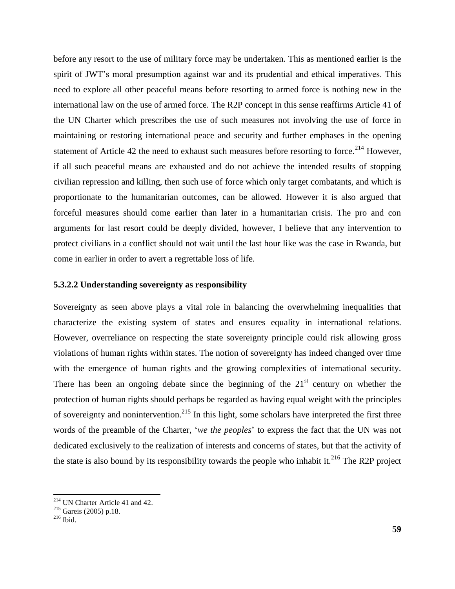before any resort to the use of military force may be undertaken. This as mentioned earlier is the spirit of JWT"s moral presumption against war and its prudential and ethical imperatives. This need to explore all other peaceful means before resorting to armed force is nothing new in the international law on the use of armed force. The R2P concept in this sense reaffirms Article 41 of the UN Charter which prescribes the use of such measures not involving the use of force in maintaining or restoring international peace and security and further emphases in the opening statement of Article 42 the need to exhaust such measures before resorting to force.<sup>214</sup> However, if all such peaceful means are exhausted and do not achieve the intended results of stopping civilian repression and killing, then such use of force which only target combatants, and which is proportionate to the humanitarian outcomes, can be allowed. However it is also argued that forceful measures should come earlier than later in a humanitarian crisis. The pro and con arguments for last resort could be deeply divided, however, I believe that any intervention to protect civilians in a conflict should not wait until the last hour like was the case in Rwanda, but come in earlier in order to avert a regrettable loss of life.

#### **5.3.2.2 Understanding sovereignty as responsibility**

Sovereignty as seen above plays a vital role in balancing the overwhelming inequalities that characterize the existing system of states and ensures equality in international relations. However, overreliance on respecting the state sovereignty principle could risk allowing gross violations of human rights within states. The notion of sovereignty has indeed changed over time with the emergence of human rights and the growing complexities of international security. There has been an ongoing debate since the beginning of the  $21<sup>st</sup>$  century on whether the protection of human rights should perhaps be regarded as having equal weight with the principles of sovereignty and nonintervention.<sup>215</sup> In this light, some scholars have interpreted the first three words of the preamble of the Charter, "*we the peoples*" to express the fact that the UN was not dedicated exclusively to the realization of interests and concerns of states, but that the activity of the state is also bound by its responsibility towards the people who inhabit it.<sup>216</sup> The R2P project

<sup>214</sup> UN Charter Article 41 and 42.

<sup>215</sup> Gareis (2005) p.18.

 $216$  Ibid.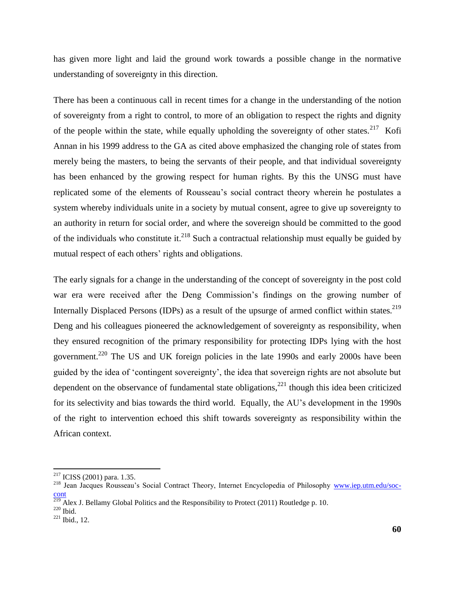has given more light and laid the ground work towards a possible change in the normative understanding of sovereignty in this direction.

There has been a continuous call in recent times for a change in the understanding of the notion of sovereignty from a right to control, to more of an obligation to respect the rights and dignity of the people within the state, while equally upholding the sovereignty of other states. $217$  Kofi Annan in his 1999 address to the GA as cited above emphasized the changing role of states from merely being the masters, to being the servants of their people, and that individual sovereignty has been enhanced by the growing respect for human rights. By this the UNSG must have replicated some of the elements of Rousseau"s social contract theory wherein he postulates a system whereby individuals unite in a society by mutual consent, agree to give up sovereignty to an authority in return for social order, and where the sovereign should be committed to the good of the individuals who constitute it.<sup>218</sup> Such a contractual relationship must equally be guided by mutual respect of each others' rights and obligations.

The early signals for a change in the understanding of the concept of sovereignty in the post cold war era were received after the Deng Commission's findings on the growing number of Internally Displaced Persons (IDPs) as a result of the upsurge of armed conflict within states.<sup>219</sup> Deng and his colleagues pioneered the acknowledgement of sovereignty as responsibility, when they ensured recognition of the primary responsibility for protecting IDPs lying with the host government.<sup>220</sup> The US and UK foreign policies in the late 1990s and early 2000s have been guided by the idea of "contingent sovereignty", the idea that sovereign rights are not absolute but dependent on the observance of fundamental state obligations,<sup>221</sup> though this idea been criticized for its selectivity and bias towards the third world. Equally, the AU"s development in the 1990s of the right to intervention echoed this shift towards sovereignty as responsibility within the African context.

 $2^{17}$  ICISS (2001) para. 1.35.

<sup>&</sup>lt;sup>218</sup> Jean Jacques Rousseau's Social Contract Theory, Internet Encyclopedia of Philosophy [www.iep.utm.edu/soc](http://www.iep.utm.edu/soc-cont)**[cont](http://www.iep.utm.edu/soc-cont)** 

<sup>&</sup>lt;sup>219</sup> Alex J. Bellamy Global Politics and the Responsibility to Protect (2011) Routledge p. 10.

 $220$  Ibid.

<sup>221</sup> Ibid., 12.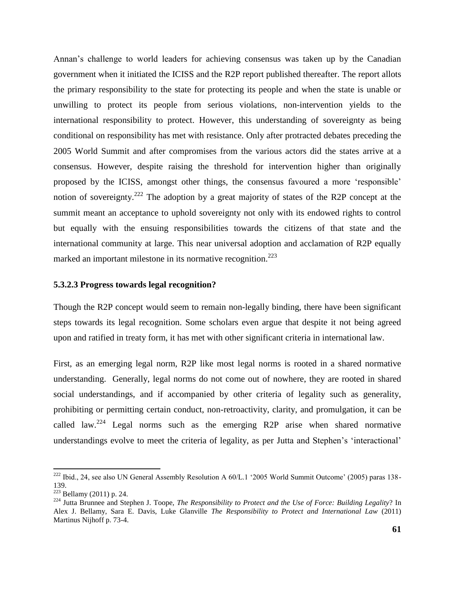Annan"s challenge to world leaders for achieving consensus was taken up by the Canadian government when it initiated the ICISS and the R2P report published thereafter. The report allots the primary responsibility to the state for protecting its people and when the state is unable or unwilling to protect its people from serious violations, non-intervention yields to the international responsibility to protect. However, this understanding of sovereignty as being conditional on responsibility has met with resistance. Only after protracted debates preceding the 2005 World Summit and after compromises from the various actors did the states arrive at a consensus. However, despite raising the threshold for intervention higher than originally proposed by the ICISS, amongst other things, the consensus favoured a more "responsible" notion of sovereignty.<sup>222</sup> The adoption by a great majority of states of the R2P concept at the summit meant an acceptance to uphold sovereignty not only with its endowed rights to control but equally with the ensuing responsibilities towards the citizens of that state and the international community at large. This near universal adoption and acclamation of R2P equally marked an important milestone in its normative recognition.<sup>223</sup>

#### **5.3.2.3 Progress towards legal recognition?**

Though the R2P concept would seem to remain non-legally binding, there have been significant steps towards its legal recognition. Some scholars even argue that despite it not being agreed upon and ratified in treaty form, it has met with other significant criteria in international law.

First, as an emerging legal norm, R2P like most legal norms is rooted in a shared normative understanding. Generally, legal norms do not come out of nowhere, they are rooted in shared social understandings, and if accompanied by other criteria of legality such as generality, prohibiting or permitting certain conduct, non-retroactivity, clarity, and promulgation, it can be called law.<sup>224</sup> Legal norms such as the emerging R2P arise when shared normative understandings evolve to meet the criteria of legality, as per Jutta and Stephen"s "interactional"

<sup>&</sup>lt;sup>222</sup> Ibid., 24, see also UN General Assembly Resolution A 60/L.1 '2005 World Summit Outcome' (2005) paras 138-139.

 $223$  Bellamy (2011) p. 24.

<sup>224</sup> Jutta Brunnee and Stephen J. Toope, *The Responsibility to Protect and the Use of Force: Building Legality*? In Alex J. Bellamy, Sara E. Davis, Luke Glanville *The Responsibility to Protect and International Law* (2011) Martinus Nijhoff p. 73-4.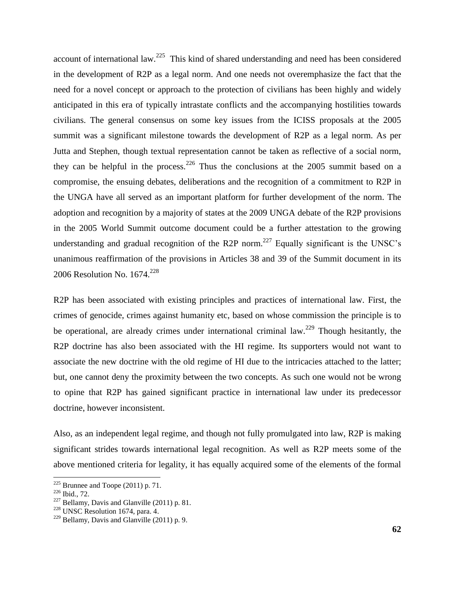account of international law.<sup>225</sup> This kind of shared understanding and need has been considered in the development of R2P as a legal norm. And one needs not overemphasize the fact that the need for a novel concept or approach to the protection of civilians has been highly and widely anticipated in this era of typically intrastate conflicts and the accompanying hostilities towards civilians. The general consensus on some key issues from the ICISS proposals at the 2005 summit was a significant milestone towards the development of R2P as a legal norm. As per Jutta and Stephen, though textual representation cannot be taken as reflective of a social norm, they can be helpful in the process.<sup>226</sup> Thus the conclusions at the 2005 summit based on a compromise, the ensuing debates, deliberations and the recognition of a commitment to R2P in the UNGA have all served as an important platform for further development of the norm. The adoption and recognition by a majority of states at the 2009 UNGA debate of the R2P provisions in the 2005 World Summit outcome document could be a further attestation to the growing understanding and gradual recognition of the R2P norm.<sup>227</sup> Equally significant is the UNSC's unanimous reaffirmation of the provisions in Articles 38 and 39 of the Summit document in its 2006 Resolution No. 1674. 228

R2P has been associated with existing principles and practices of international law. First, the crimes of genocide, crimes against humanity etc, based on whose commission the principle is to be operational, are already crimes under international criminal law.<sup>229</sup> Though hesitantly, the R2P doctrine has also been associated with the HI regime. Its supporters would not want to associate the new doctrine with the old regime of HI due to the intricacies attached to the latter; but, one cannot deny the proximity between the two concepts. As such one would not be wrong to opine that R2P has gained significant practice in international law under its predecessor doctrine, however inconsistent.

Also, as an independent legal regime, and though not fully promulgated into law, R2P is making significant strides towards international legal recognition. As well as R2P meets some of the above mentioned criteria for legality, it has equally acquired some of the elements of the formal

 $225$  Brunnee and Toope (2011) p. 71.

 $226$  Ibid., 72.

 $227$  Bellamy, Davis and Glanville (2011) p. 81.

<sup>&</sup>lt;sup>228</sup> UNSC Resolution 1674, para. 4.

 $229$  Bellamy, Davis and Glanville (2011) p. 9.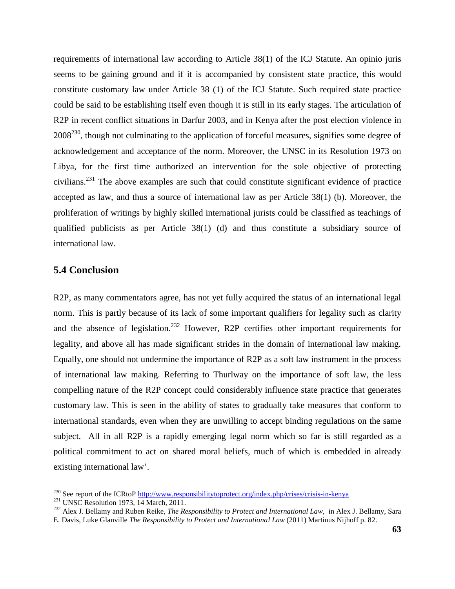requirements of international law according to Article 38(1) of the ICJ Statute. An opinio juris seems to be gaining ground and if it is accompanied by consistent state practice, this would constitute customary law under Article 38 (1) of the ICJ Statute. Such required state practice could be said to be establishing itself even though it is still in its early stages. The articulation of R2P in recent conflict situations in Darfur 2003, and in Kenya after the post election violence in  $2008^{230}$ , though not culminating to the application of forceful measures, signifies some degree of acknowledgement and acceptance of the norm. Moreover, the UNSC in its Resolution 1973 on Libya, for the first time authorized an intervention for the sole objective of protecting civilians. <sup>231</sup> The above examples are such that could constitute significant evidence of practice accepted as law, and thus a source of international law as per Article 38(1) (b). Moreover, the proliferation of writings by highly skilled international jurists could be classified as teachings of qualified publicists as per Article 38(1) (d) and thus constitute a subsidiary source of international law.

# **5.4 Conclusion**

R2P, as many commentators agree, has not yet fully acquired the status of an international legal norm. This is partly because of its lack of some important qualifiers for legality such as clarity and the absence of legislation.<sup>232</sup> However, R2P certifies other important requirements for legality, and above all has made significant strides in the domain of international law making. Equally, one should not undermine the importance of R2P as a soft law instrument in the process of international law making. Referring to Thurlway on the importance of soft law, the less compelling nature of the R2P concept could considerably influence state practice that generates customary law. This is seen in the ability of states to gradually take measures that conform to international standards, even when they are unwilling to accept binding regulations on the same subject. All in all R2P is a rapidly emerging legal norm which so far is still regarded as a political commitment to act on shared moral beliefs, much of which is embedded in already existing international law'.

<sup>&</sup>lt;sup>230</sup> See report of the ICRtoP<http://www.responsibilitytoprotect.org/index.php/crises/crisis-in-kenya>

 $231$  UNSC Resolution 1973, 14 March, 2011.

<sup>232</sup> Alex J. Bellamy and Ruben Reike, *The Responsibility to Protect and International Law,* in Alex J. Bellamy, Sara E. Davis, Luke Glanville *The Responsibility to Protect and International Law* (2011) Martinus Nijhoff p. 82.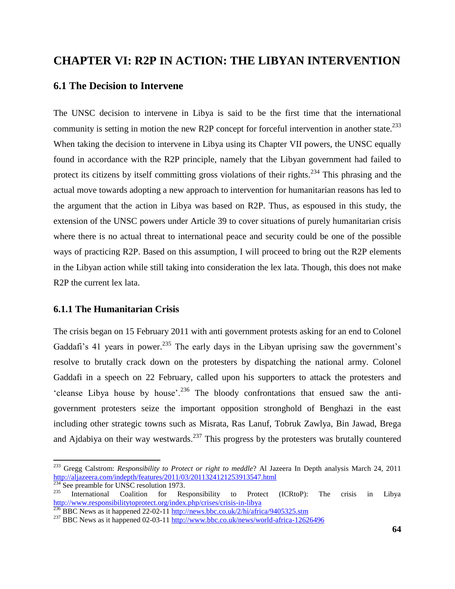# **CHAPTER VI: R2P IN ACTION: THE LIBYAN INTERVENTION**

# **6.1 The Decision to Intervene**

The UNSC decision to intervene in Libya is said to be the first time that the international community is setting in motion the new R2P concept for forceful intervention in another state.<sup>233</sup> When taking the decision to intervene in Libya using its Chapter VII powers, the UNSC equally found in accordance with the R2P principle, namely that the Libyan government had failed to protect its citizens by itself committing gross violations of their rights.<sup>234</sup> This phrasing and the actual move towards adopting a new approach to intervention for humanitarian reasons has led to the argument that the action in Libya was based on R2P. Thus, as espoused in this study, the extension of the UNSC powers under Article 39 to cover situations of purely humanitarian crisis where there is no actual threat to international peace and security could be one of the possible ways of practicing R2P. Based on this assumption, I will proceed to bring out the R2P elements in the Libyan action while still taking into consideration the lex lata. Though, this does not make R2P the current lex lata.

### **6.1.1 The Humanitarian Crisis**

The crisis began on 15 February 2011 with anti government protests asking for an end to Colonel Gaddafi's 41 years in power.<sup>235</sup> The early days in the Libyan uprising saw the government's resolve to brutally crack down on the protesters by dispatching the national army. Colonel Gaddafi in a speech on 22 February, called upon his supporters to attack the protesters and 'cleanse Libya house by house'.<sup>236</sup> The bloody confrontations that ensued saw the antigovernment protesters seize the important opposition stronghold of Benghazi in the east including other strategic towns such as Misrata, Ras Lanuf, Tobruk Zawlya, Bin Jawad, Brega and Ajdabiya on their way westwards.<sup>237</sup> This progress by the protesters was brutally countered

<sup>233</sup> Gregg Calstrom: *Responsibility to Protect or right to meddle*? Al Jazeera In Depth analysis March 24, 2011 <http://aljazeera.com/indepth/features/2011/03/2011324121253913547.html><br>234 See assessed to NNSS

 $^{234}$  See preamble for UNSC resolution 1973.<br> $^{235}$  International Coalition for Be

International Coalition for Responsibility to Protect (ICRtoP): The crisis in Libya <http://www.responsibilitytoprotect.org/index.php/crises/crisis-in-libya>

<sup>&</sup>lt;sup>236</sup> BBC News as it happened 22-02-11<http://news.bbc.co.uk/2/hi/africa/9405325.stm>

<sup>&</sup>lt;sup>237</sup> BBC News as it happened 02-03-11  $\frac{http://www.bbc.co.uk/news/world-africa-12626496}{http://www.bbc.co.uk/news/world-africa-12626496}$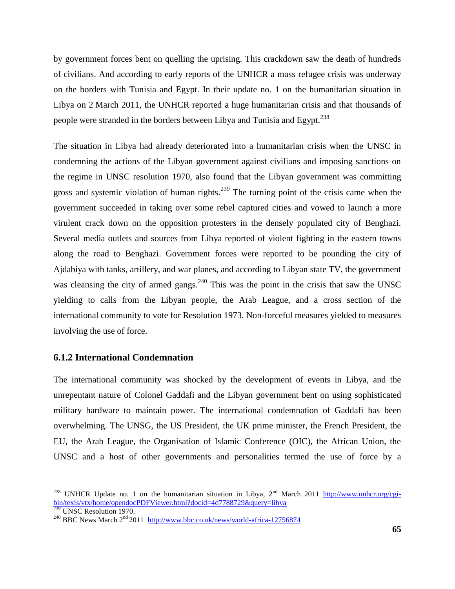by government forces bent on quelling the uprising. This crackdown saw the death of hundreds of civilians. And according to early reports of the UNHCR a mass refugee crisis was underway on the borders with Tunisia and Egypt. In their update no. 1 on the humanitarian situation in Libya on 2 March 2011, the UNHCR reported a huge humanitarian crisis and that thousands of people were stranded in the borders between Libya and Tunisia and Egypt.<sup>238</sup>

The situation in Libya had already deteriorated into a humanitarian crisis when the UNSC in condemning the actions of the Libyan government against civilians and imposing sanctions on the regime in UNSC resolution 1970, also found that the Libyan government was committing gross and systemic violation of human rights.<sup>239</sup> The turning point of the crisis came when the government succeeded in taking over some rebel captured cities and vowed to launch a more virulent crack down on the opposition protesters in the densely populated city of Benghazi. Several media outlets and sources from Libya reported of violent fighting in the eastern towns along the road to Benghazi. Government forces were reported to be pounding the city of Ajdabiya with tanks, artillery, and war planes, and according to Libyan state TV, the government was cleansing the city of armed gangs. $240$  This was the point in the crisis that saw the UNSC yielding to calls from the Libyan people, the Arab League, and a cross section of the international community to vote for Resolution 1973. Non-forceful measures yielded to measures involving the use of force.

# **6.1.2 International Condemnation**

 $\overline{\phantom{a}}$ 

The international community was shocked by the development of events in Libya, and the unrepentant nature of Colonel Gaddafi and the Libyan government bent on using sophisticated military hardware to maintain power. The international condemnation of Gaddafi has been overwhelming. The UNSG, the US President, the UK prime minister, the French President, the EU, the Arab League, the Organisation of Islamic Conference (OIC), the African Union, the UNSC and a host of other governments and personalities termed the use of force by a

<sup>&</sup>lt;sup>238</sup> UNHCR Update no. 1 on the humanitarian situation in Libya,  $2^{nd}$  March 2011 [http://www.unhcr.org/cgi](http://www.unhcr.org/cgi-bin/texis/vtx/home/opendocPDFViewer.html?docid=4d7788729&query=libya)[bin/texis/vtx/home/opendocPDFViewer.html?docid=4d7788729&query=libya](http://www.unhcr.org/cgi-bin/texis/vtx/home/opendocPDFViewer.html?docid=4d7788729&query=libya) <sup>239</sup> UNSC Resolution 1970.

<sup>&</sup>lt;sup>240</sup> BBC News March  $2<sup>nd</sup>$  2011 <http://www.bbc.co.uk/news/world-africa-12756874>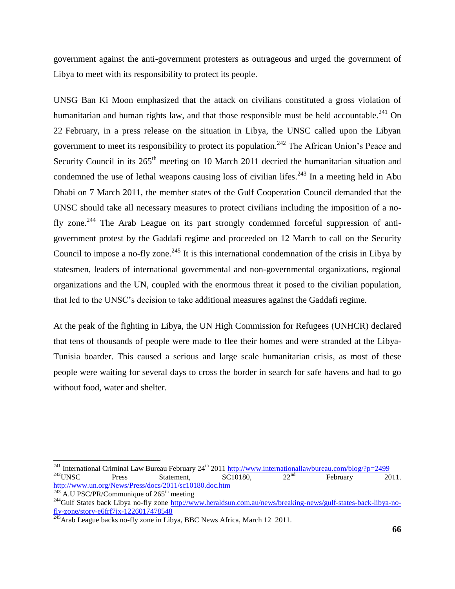government against the anti-government protesters as outrageous and urged the government of Libya to meet with its responsibility to protect its people.

UNSG Ban Ki Moon emphasized that the attack on civilians constituted a gross violation of humanitarian and human rights law, and that those responsible must be held accountable.<sup>241</sup> On 22 February, in a press release on the situation in Libya, the UNSC called upon the Libyan government to meet its responsibility to protect its population.<sup>242</sup> The African Union's Peace and Security Council in its  $265<sup>th</sup>$  meeting on 10 March 2011 decried the humanitarian situation and condemned the use of lethal weapons causing loss of civilian lifes.<sup>243</sup> In a meeting held in Abu Dhabi on 7 March 2011, the member states of the Gulf Cooperation Council demanded that the UNSC should take all necessary measures to protect civilians including the imposition of a nofly zone.<sup>244</sup> The Arab League on its part strongly condemned forceful suppression of antigovernment protest by the Gaddafi regime and proceeded on 12 March to call on the Security Council to impose a no-fly zone.<sup>245</sup> It is this international condemnation of the crisis in Libya by statesmen, leaders of international governmental and non-governmental organizations, regional organizations and the UN, coupled with the enormous threat it posed to the civilian population, that led to the UNSC"s decision to take additional measures against the Gaddafi regime.

At the peak of the fighting in Libya, the UN High Commission for Refugees (UNHCR) declared that tens of thousands of people were made to flee their homes and were stranded at the Libya-Tunisia boarder. This caused a serious and large scale humanitarian crisis, as most of these people were waiting for several days to cross the border in search for safe havens and had to go without food, water and shelter.

<sup>&</sup>lt;sup>241</sup> International Criminal Law Bureau February 24<sup>th</sup> 2011<http://www.internationallawbureau.com/blog/?p=2499>  $2^{242}$ UNSC Press Statement, SC10180,  $22^{nd}$  February 2011. <http://www.un.org/News/Press/docs/2011/sc10180.doc.htm>

 $^{243}$  A.U PSC/PR/Communique of 265<sup>th</sup> meeting <sup>244</sup>Gulf States back Libya no-fly zone [http://www.heraldsun.com.au/news/breaking-news/gulf-states-back-libya-no](http://www.heraldsun.com.au/news/breaking-news/gulf-states-back-libya-no-fly-zone/story-e6frf7jx-1226017478548)[fly-zone/story-e6frf7jx-1226017478548](http://www.heraldsun.com.au/news/breaking-news/gulf-states-back-libya-no-fly-zone/story-e6frf7jx-1226017478548)

 $^{245}$ Arab League backs no-fly zone in Libya, BBC News Africa, March 12 2011.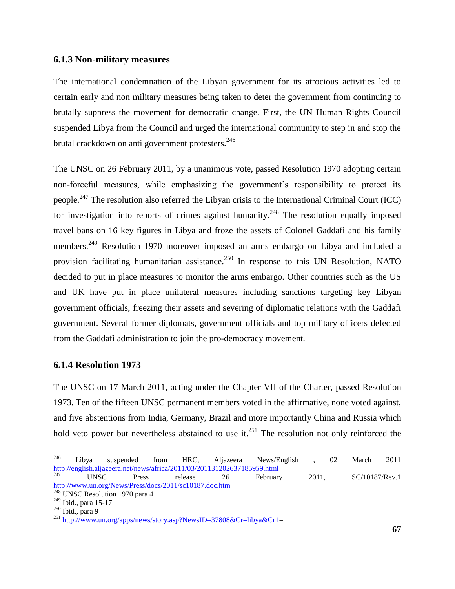#### **6.1.3 Non-military measures**

The international condemnation of the Libyan government for its atrocious activities led to certain early and non military measures being taken to deter the government from continuing to brutally suppress the movement for democratic change. First, the UN Human Rights Council suspended Libya from the Council and urged the international community to step in and stop the brutal crackdown on anti government protesters.<sup>246</sup>

The UNSC on 26 February 2011, by a unanimous vote, passed Resolution 1970 adopting certain non-forceful measures, while emphasizing the government's responsibility to protect its people.<sup>247</sup> The resolution also referred the Libyan crisis to the International Criminal Court (ICC) for investigation into reports of crimes against humanity.<sup>248</sup> The resolution equally imposed travel bans on 16 key figures in Libya and froze the assets of Colonel Gaddafi and his family members.<sup>249</sup> Resolution 1970 moreover imposed an arms embargo on Libya and included a provision facilitating humanitarian assistance.<sup>250</sup> In response to this UN Resolution, NATO decided to put in place measures to monitor the arms embargo. Other countries such as the US and UK have put in place unilateral measures including sanctions targeting key Libyan government officials, freezing their assets and severing of diplomatic relations with the Gaddafi government. Several former diplomats, government officials and top military officers defected from the Gaddafi administration to join the pro-democracy movement.

#### **6.1.4 Resolution 1973**

The UNSC on 17 March 2011, acting under the Chapter VII of the Charter, passed Resolution 1973. Ten of the fifteen UNSC permanent members voted in the affirmative, none voted against, and five abstentions from India, Germany, Brazil and more importantly China and Russia which hold veto power but nevertheless abstained to use it.<sup>251</sup> The resolution not only reinforced the

Press release 26 February 2011, SC/10187/Rev.1 <http://www.un.org/News/Press/docs/2011/sc10187.doc.htm>

<sup>246</sup> <sup>246</sup> Libya suspended from HRC, Aljazeera News/English , 02 March 2011 <http://english.aljazeera.net/news/africa/2011/03/201131202637185959.html><br>
UNSC Press release 26 February

 $\frac{248}{248}$  UNSC Resolution 1970 para 4

<sup>249</sup> Ibid., para 15-17

<sup>250</sup> Ibid., para 9

<sup>&</sup>lt;sup>251</sup> [http://www.un.org/apps/news/story.asp?NewsID=37808&Cr=libya&Cr1=](http://www.un.org/apps/news/story.asp?NewsID=37808&Cr=libya&Cr1)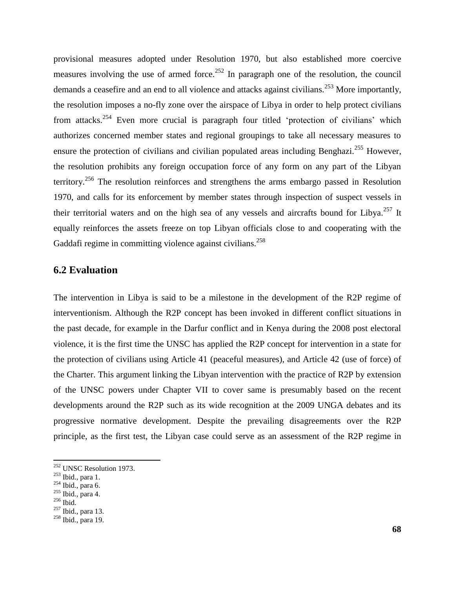provisional measures adopted under Resolution 1970, but also established more coercive measures involving the use of armed force.<sup>252</sup> In paragraph one of the resolution, the council demands a ceasefire and an end to all violence and attacks against civilians.<sup>253</sup> More importantly, the resolution imposes a no-fly zone over the airspace of Libya in order to help protect civilians from attacks.<sup>254</sup> Even more crucial is paragraph four titled 'protection of civilians' which authorizes concerned member states and regional groupings to take all necessary measures to ensure the protection of civilians and civilian populated areas including Benghazi.<sup>255</sup> However, the resolution prohibits any foreign occupation force of any form on any part of the Libyan territory.<sup>256</sup> The resolution reinforces and strengthens the arms embargo passed in Resolution 1970, and calls for its enforcement by member states through inspection of suspect vessels in their territorial waters and on the high sea of any vessels and aircrafts bound for Libya.<sup>257</sup> It equally reinforces the assets freeze on top Libyan officials close to and cooperating with the Gaddafi regime in committing violence against civilians.<sup>258</sup>

# **6.2 Evaluation**

The intervention in Libya is said to be a milestone in the development of the R2P regime of interventionism. Although the R2P concept has been invoked in different conflict situations in the past decade, for example in the Darfur conflict and in Kenya during the 2008 post electoral violence, it is the first time the UNSC has applied the R2P concept for intervention in a state for the protection of civilians using Article 41 (peaceful measures), and Article 42 (use of force) of the Charter. This argument linking the Libyan intervention with the practice of R2P by extension of the UNSC powers under Chapter VII to cover same is presumably based on the recent developments around the R2P such as its wide recognition at the 2009 UNGA debates and its progressive normative development. Despite the prevailing disagreements over the R2P principle, as the first test, the Libyan case could serve as an assessment of the R2P regime in

 $252$  UNSC Resolution 1973.

<sup>253</sup> Ibid., para 1.

<sup>254</sup> Ibid., para 6.

 $255$  Ibid., para 4.

<sup>256</sup> Ibid.

<sup>&</sup>lt;sup>257</sup> Ibid., para 13.

 $258$  Ibid., para 19.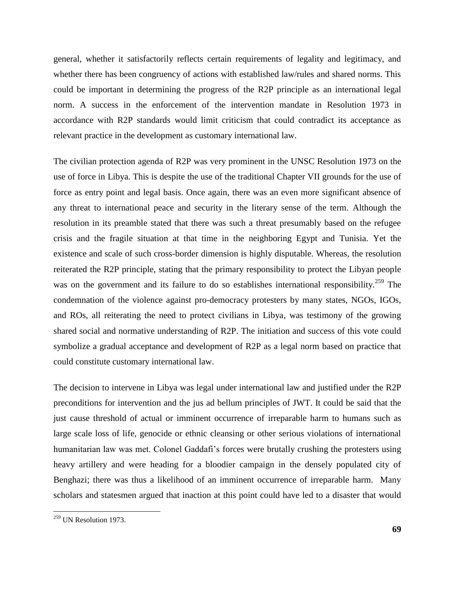general, whether it satisfactorily reflects certain requirements of legality and legitimacy, and whether there has been congruency of actions with established law/rules and shared norms. This could be important in determining the progress of the R2P principle as an international legal norm. A success in the enforcement of the intervention mandate in Resolution 1973 in accordance with R2P standards would limit criticism that could contradict its acceptance as relevant practice in the development as customary international law.

The civilian protection agenda of R2P was very prominent in the UNSC Resolution 1973 on the use of force in Libya. This is despite the use of the traditional Chapter VII grounds for the use of force as entry point and legal basis. Once again, there was an even more significant absence of any threat to international peace and security in the literary sense of the term. Although the resolution in its preamble stated that there was such a threat presumably based on the refugee crisis and the fragile situation at that time in the neighboring Egypt and Tunisia. Yet the existence and scale of such cross-border dimension is highly disputable. Whereas, the resolution reiterated the R2P principle, stating that the primary responsibility to protect the Libyan people was on the government and its failure to do so establishes international responsibility.<sup>259</sup> The condemnation of the violence against pro-democracy protesters by many states, NGOs, IGOs, and ROs, all reiterating the need to protect civilians in Libya, was testimony of the growing shared social and normative understanding of R2P. The initiation and success of this vote could symbolize a gradual acceptance and development of R2P as a legal norm based on practice that could constitute customary international law.

The decision to intervene in Libya was legal under international law and justified under the R2P preconditions for intervention and the jus ad bellum principles of JWT. It could be said that the just cause threshold of actual or imminent occurrence of irreparable harm to humans such as large scale loss of life, genocide or ethnic cleansing or other serious violations of international humanitarian law was met. Colonel Gaddafi"s forces were brutally crushing the protesters using heavy artillery and were heading for a bloodier campaign in the densely populated city of Benghazi; there was thus a likelihood of an imminent occurrence of irreparable harm. Many scholars and statesmen argued that inaction at this point could have led to a disaster that would

<sup>&</sup>lt;sup>259</sup> UN Resolution 1973.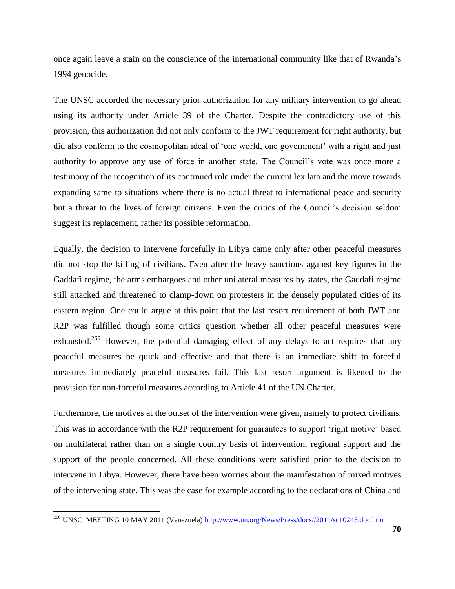once again leave a stain on the conscience of the international community like that of Rwanda"s 1994 genocide.

The UNSC accorded the necessary prior authorization for any military intervention to go ahead using its authority under Article 39 of the Charter. Despite the contradictory use of this provision, this authorization did not only conform to the JWT requirement for right authority, but did also conform to the cosmopolitan ideal of 'one world, one government' with a right and just authority to approve any use of force in another state. The Council"s vote was once more a testimony of the recognition of its continued role under the current lex lata and the move towards expanding same to situations where there is no actual threat to international peace and security but a threat to the lives of foreign citizens. Even the critics of the Council"s decision seldom suggest its replacement, rather its possible reformation.

Equally, the decision to intervene forcefully in Libya came only after other peaceful measures did not stop the killing of civilians. Even after the heavy sanctions against key figures in the Gaddafi regime, the arms embargoes and other unilateral measures by states, the Gaddafi regime still attacked and threatened to clamp-down on protesters in the densely populated cities of its eastern region. One could argue at this point that the last resort requirement of both JWT and R2P was fulfilled though some critics question whether all other peaceful measures were exhausted.<sup>260</sup> However, the potential damaging effect of any delays to act requires that any peaceful measures be quick and effective and that there is an immediate shift to forceful measures immediately peaceful measures fail. This last resort argument is likened to the provision for non-forceful measures according to Article 41 of the UN Charter.

Furthermore, the motives at the outset of the intervention were given, namely to protect civilians. This was in accordance with the R2P requirement for guarantees to support 'right motive' based on multilateral rather than on a single country basis of intervention, regional support and the support of the people concerned. All these conditions were satisfied prior to the decision to intervene in Libya. However, there have been worries about the manifestation of mixed motives of the intervening state. This was the case for example according to the declarations of China and

<sup>&</sup>lt;sup>260</sup> UNSC MEETING 10 MAY 2011 (Venezuela) [http://www.un.org/News/Press/docs//2011/sc10245.doc.htm](http://www.un.org/News/Press/docs/2011/sc10245.doc.htm)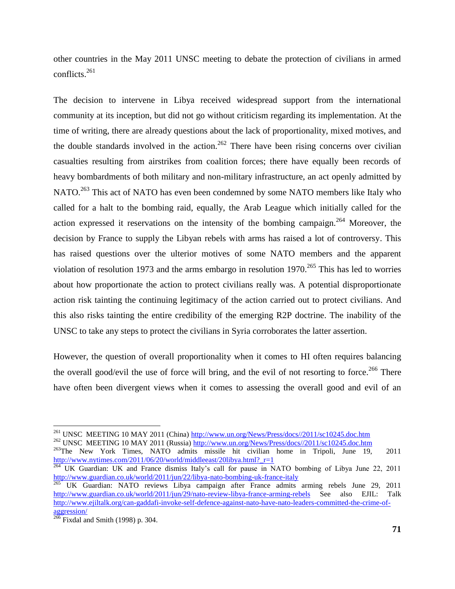other countries in the May 2011 UNSC meeting to debate the protection of civilians in armed conflicts. $^{261}$ 

The decision to intervene in Libya received widespread support from the international community at its inception, but did not go without criticism regarding its implementation. At the time of writing, there are already questions about the lack of proportionality, mixed motives, and the double standards involved in the action.<sup>262</sup> There have been rising concerns over civilian casualties resulting from airstrikes from coalition forces; there have equally been records of heavy bombardments of both military and non-military infrastructure, an act openly admitted by NATO.<sup>263</sup> This act of NATO has even been condemned by some NATO members like Italy who called for a halt to the bombing raid, equally, the Arab League which initially called for the action expressed it reservations on the intensity of the bombing campaign.<sup>264</sup> Moreover, the decision by France to supply the Libyan rebels with arms has raised a lot of controversy. This has raised questions over the ulterior motives of some NATO members and the apparent violation of resolution 1973 and the arms embargo in resolution  $1970$ <sup>265</sup>. This has led to worries about how proportionate the action to protect civilians really was. A potential disproportionate action risk tainting the continuing legitimacy of the action carried out to protect civilians. And this also risks tainting the entire credibility of the emerging R2P doctrine. The inability of the UNSC to take any steps to protect the civilians in Syria corroborates the latter assertion.

However, the question of overall proportionality when it comes to HI often requires balancing the overall good/evil the use of force will bring, and the evil of not resorting to force.<sup>266</sup> There have often been divergent views when it comes to assessing the overall good and evil of an

<sup>263</sup>The New York Times, NATO admits missile hit civilian home in Tripoli, June 19, 2011 [http://www.nytimes.com/2011/06/20/world/middleeast/20libya.html?\\_r=1](http://www.nytimes.com/2011/06/20/world/middleeast/20libya.html?_r=1)

<sup>&</sup>lt;sup>261</sup> UNSC MEETING 10 MAY 2011 (China) [http://www.un.org/News/Press/docs//2011/sc10245.doc.htm](http://www.un.org/News/Press/docs/2011/sc10245.doc.htm) <sup>262</sup> UNSC MEETING 10 MAY 2011 (Russia) [http://www.un.org/News/Press/docs//2011/sc10245.doc.htm](http://www.un.org/News/Press/docs/2011/sc10245.doc.htm)

<sup>&</sup>lt;sup>264</sup> UK Guardian: UK and France dismiss Italy's call for pause in NATO bombing of Libya June 22, 2011 <http://www.guardian.co.uk/world/2011/jun/22/libya-nato-bombing-uk-france-italy>

<sup>265</sup> UK Guardian: NATO reviews Libya campaign after France admits arming rebels June 29, 2011 <http://www.guardian.co.uk/world/2011/jun/29/nato-review-libya-france-arming-rebels> See also EJIL: Talk [http://www.ejiltalk.org/can-gaddafi-invoke-self-defence-against-nato-have-nato-leaders-committed-the-crime-of](http://www.ejiltalk.org/can-gaddafi-invoke-self-defence-against-nato-have-nato-leaders-committed-the-crime-of-aggression/)[aggression/](http://www.ejiltalk.org/can-gaddafi-invoke-self-defence-against-nato-have-nato-leaders-committed-the-crime-of-aggression/) 

 $266$  Fixdal and Smith (1998) p. 304.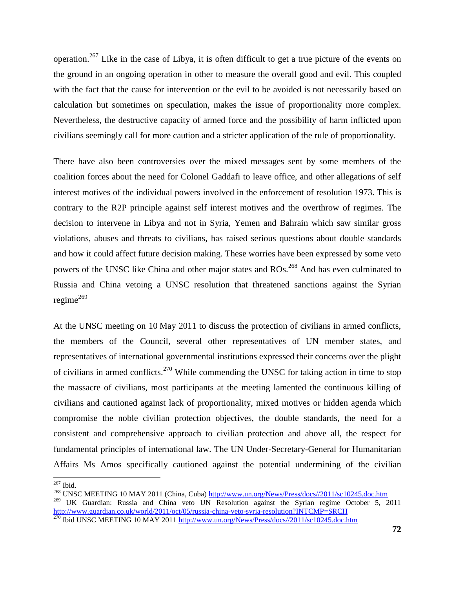operation.<sup>267</sup> Like in the case of Libya, it is often difficult to get a true picture of the events on the ground in an ongoing operation in other to measure the overall good and evil. This coupled with the fact that the cause for intervention or the evil to be avoided is not necessarily based on calculation but sometimes on speculation, makes the issue of proportionality more complex. Nevertheless, the destructive capacity of armed force and the possibility of harm inflicted upon civilians seemingly call for more caution and a stricter application of the rule of proportionality.

There have also been controversies over the mixed messages sent by some members of the coalition forces about the need for Colonel Gaddafi to leave office, and other allegations of self interest motives of the individual powers involved in the enforcement of resolution 1973. This is contrary to the R2P principle against self interest motives and the overthrow of regimes. The decision to intervene in Libya and not in Syria, Yemen and Bahrain which saw similar gross violations, abuses and threats to civilians, has raised serious questions about double standards and how it could affect future decision making. These worries have been expressed by some veto powers of the UNSC like China and other major states and ROs.<sup>268</sup> And has even culminated to Russia and China vetoing a UNSC resolution that threatened sanctions against the Syrian regime<sup>269</sup>

At the UNSC meeting on 10 May 2011 to discuss the protection of civilians in armed conflicts, the members of the Council, several other representatives of UN member states, and representatives of international governmental institutions expressed their concerns over the plight of civilians in armed conflicts.<sup>270</sup> While commending the UNSC for taking action in time to stop the massacre of civilians, most participants at the meeting lamented the continuous killing of civilians and cautioned against lack of proportionality, mixed motives or hidden agenda which compromise the noble civilian protection objectives, the double standards, the need for a consistent and comprehensive approach to civilian protection and above all, the respect for fundamental principles of international law. The UN Under-Secretary-General for Humanitarian Affairs Ms Amos specifically cautioned against the potential undermining of the civilian

 $\overline{a}$  $267$  Ibid.

<sup>&</sup>lt;sup>268</sup> UNSC MEETING 10 MAY 2011 (China, Cuba) [http://www.un.org/News/Press/docs//2011/sc10245.doc.htm](http://www.un.org/News/Press/docs/2011/sc10245.doc.htm)

<sup>&</sup>lt;sup>269</sup> UK Guardian: Russia and China veto UN Resolution against the Syrian regime October 5, 2011 <http://www.guardian.co.uk/world/2011/oct/05/russia-china-veto-syria-resolution?INTCMP=SRCH>

<sup>&</sup>lt;sup>270</sup> Ibid UNSC MEETING 10 MAY 2011 [http://www.un.org/News/Press/docs//2011/sc10245.doc.htm](http://www.un.org/News/Press/docs/2011/sc10245.doc.htm)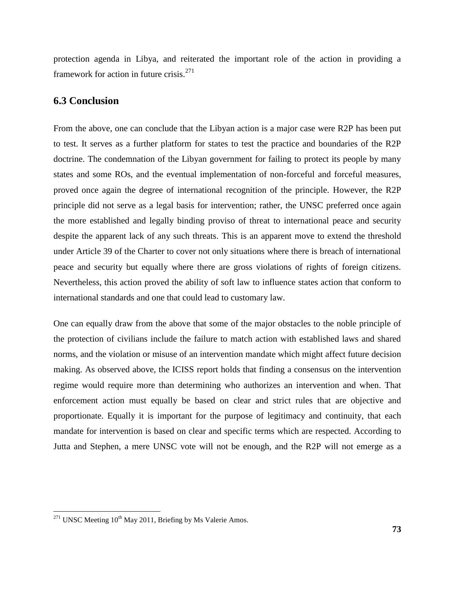protection agenda in Libya, and reiterated the important role of the action in providing a framework for action in future crisis. $271$ 

#### **6.3 Conclusion**

From the above, one can conclude that the Libyan action is a major case were R2P has been put to test. It serves as a further platform for states to test the practice and boundaries of the R2P doctrine. The condemnation of the Libyan government for failing to protect its people by many states and some ROs, and the eventual implementation of non-forceful and forceful measures, proved once again the degree of international recognition of the principle. However, the R2P principle did not serve as a legal basis for intervention; rather, the UNSC preferred once again the more established and legally binding proviso of threat to international peace and security despite the apparent lack of any such threats. This is an apparent move to extend the threshold under Article 39 of the Charter to cover not only situations where there is breach of international peace and security but equally where there are gross violations of rights of foreign citizens. Nevertheless, this action proved the ability of soft law to influence states action that conform to international standards and one that could lead to customary law.

One can equally draw from the above that some of the major obstacles to the noble principle of the protection of civilians include the failure to match action with established laws and shared norms, and the violation or misuse of an intervention mandate which might affect future decision making. As observed above, the ICISS report holds that finding a consensus on the intervention regime would require more than determining who authorizes an intervention and when. That enforcement action must equally be based on clear and strict rules that are objective and proportionate. Equally it is important for the purpose of legitimacy and continuity, that each mandate for intervention is based on clear and specific terms which are respected. According to Jutta and Stephen, a mere UNSC vote will not be enough, and the R2P will not emerge as a

 $271$  UNSC Meeting  $10^{th}$  May 2011, Briefing by Ms Valerie Amos.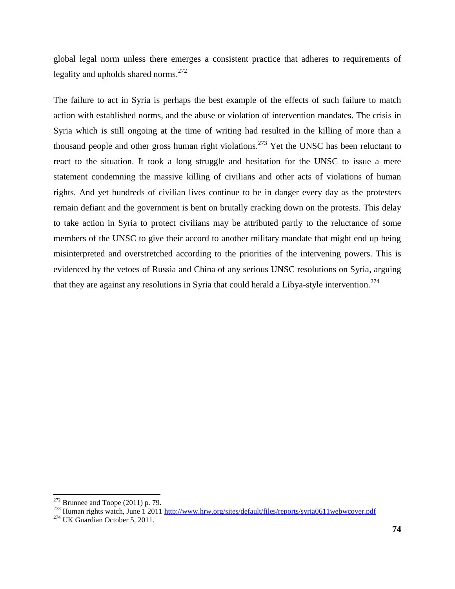global legal norm unless there emerges a consistent practice that adheres to requirements of legality and upholds shared norms. $^{272}$ 

The failure to act in Syria is perhaps the best example of the effects of such failure to match action with established norms, and the abuse or violation of intervention mandates. The crisis in Syria which is still ongoing at the time of writing had resulted in the killing of more than a thousand people and other gross human right violations.<sup>273</sup> Yet the UNSC has been reluctant to react to the situation. It took a long struggle and hesitation for the UNSC to issue a mere statement condemning the massive killing of civilians and other acts of violations of human rights. And yet hundreds of civilian lives continue to be in danger every day as the protesters remain defiant and the government is bent on brutally cracking down on the protests. This delay to take action in Syria to protect civilians may be attributed partly to the reluctance of some members of the UNSC to give their accord to another military mandate that might end up being misinterpreted and overstretched according to the priorities of the intervening powers. This is evidenced by the vetoes of Russia and China of any serious UNSC resolutions on Syria, arguing that they are against any resolutions in Syria that could herald a Libya-style intervention.<sup>274</sup>

 $272$  Brunnee and Toope (2011) p. 79.

<sup>&</sup>lt;sup>273</sup> Human rights watch, June 1 2011<http://www.hrw.org/sites/default/files/reports/syria0611webwcover.pdf>

<sup>274</sup> UK Guardian October 5, 2011.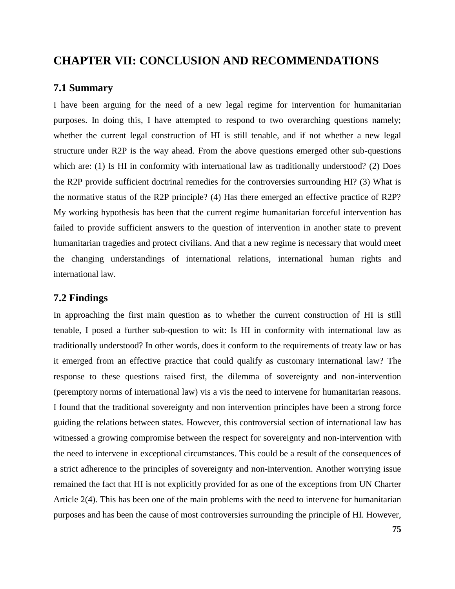# **CHAPTER VII: CONCLUSION AND RECOMMENDATIONS**

#### **7.1 Summary**

I have been arguing for the need of a new legal regime for intervention for humanitarian purposes. In doing this, I have attempted to respond to two overarching questions namely; whether the current legal construction of HI is still tenable, and if not whether a new legal structure under R2P is the way ahead. From the above questions emerged other sub-questions which are: (1) Is HI in conformity with international law as traditionally understood? (2) Does the R2P provide sufficient doctrinal remedies for the controversies surrounding HI? (3) What is the normative status of the R2P principle? (4) Has there emerged an effective practice of R2P? My working hypothesis has been that the current regime humanitarian forceful intervention has failed to provide sufficient answers to the question of intervention in another state to prevent humanitarian tragedies and protect civilians. And that a new regime is necessary that would meet the changing understandings of international relations, international human rights and international law.

# **7.2 Findings**

In approaching the first main question as to whether the current construction of HI is still tenable, I posed a further sub-question to wit: Is HI in conformity with international law as traditionally understood? In other words, does it conform to the requirements of treaty law or has it emerged from an effective practice that could qualify as customary international law? The response to these questions raised first, the dilemma of sovereignty and non-intervention (peremptory norms of international law) vis a vis the need to intervene for humanitarian reasons. I found that the traditional sovereignty and non intervention principles have been a strong force guiding the relations between states. However, this controversial section of international law has witnessed a growing compromise between the respect for sovereignty and non-intervention with the need to intervene in exceptional circumstances. This could be a result of the consequences of a strict adherence to the principles of sovereignty and non-intervention. Another worrying issue remained the fact that HI is not explicitly provided for as one of the exceptions from UN Charter Article 2(4). This has been one of the main problems with the need to intervene for humanitarian purposes and has been the cause of most controversies surrounding the principle of HI. However,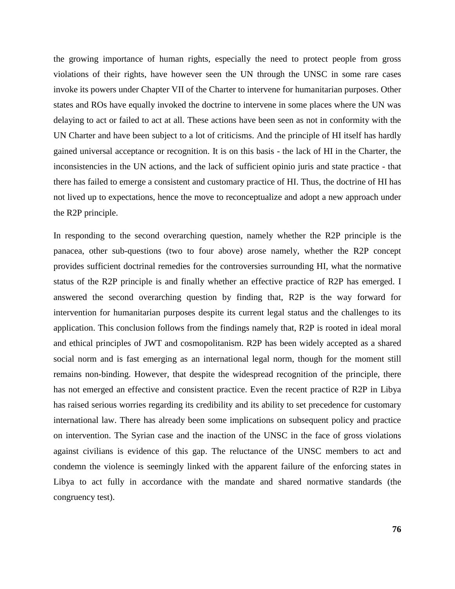the growing importance of human rights, especially the need to protect people from gross violations of their rights, have however seen the UN through the UNSC in some rare cases invoke its powers under Chapter VII of the Charter to intervene for humanitarian purposes. Other states and ROs have equally invoked the doctrine to intervene in some places where the UN was delaying to act or failed to act at all. These actions have been seen as not in conformity with the UN Charter and have been subject to a lot of criticisms. And the principle of HI itself has hardly gained universal acceptance or recognition. It is on this basis - the lack of HI in the Charter, the inconsistencies in the UN actions, and the lack of sufficient opinio juris and state practice - that there has failed to emerge a consistent and customary practice of HI. Thus, the doctrine of HI has not lived up to expectations, hence the move to reconceptualize and adopt a new approach under the R2P principle.

In responding to the second overarching question, namely whether the R2P principle is the panacea, other sub-questions (two to four above) arose namely, whether the R2P concept provides sufficient doctrinal remedies for the controversies surrounding HI, what the normative status of the R2P principle is and finally whether an effective practice of R2P has emerged. I answered the second overarching question by finding that, R2P is the way forward for intervention for humanitarian purposes despite its current legal status and the challenges to its application. This conclusion follows from the findings namely that, R2P is rooted in ideal moral and ethical principles of JWT and cosmopolitanism. R2P has been widely accepted as a shared social norm and is fast emerging as an international legal norm, though for the moment still remains non-binding. However, that despite the widespread recognition of the principle, there has not emerged an effective and consistent practice. Even the recent practice of R2P in Libya has raised serious worries regarding its credibility and its ability to set precedence for customary international law. There has already been some implications on subsequent policy and practice on intervention. The Syrian case and the inaction of the UNSC in the face of gross violations against civilians is evidence of this gap. The reluctance of the UNSC members to act and condemn the violence is seemingly linked with the apparent failure of the enforcing states in Libya to act fully in accordance with the mandate and shared normative standards (the congruency test).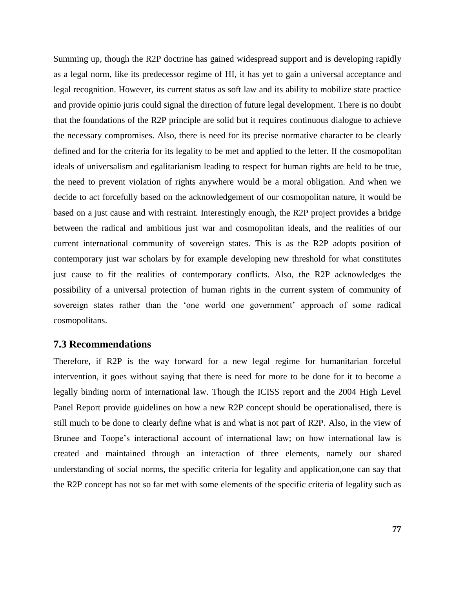Summing up, though the R2P doctrine has gained widespread support and is developing rapidly as a legal norm, like its predecessor regime of HI, it has yet to gain a universal acceptance and legal recognition. However, its current status as soft law and its ability to mobilize state practice and provide opinio juris could signal the direction of future legal development. There is no doubt that the foundations of the R2P principle are solid but it requires continuous dialogue to achieve the necessary compromises. Also, there is need for its precise normative character to be clearly defined and for the criteria for its legality to be met and applied to the letter. If the cosmopolitan ideals of universalism and egalitarianism leading to respect for human rights are held to be true, the need to prevent violation of rights anywhere would be a moral obligation. And when we decide to act forcefully based on the acknowledgement of our cosmopolitan nature, it would be based on a just cause and with restraint. Interestingly enough, the R2P project provides a bridge between the radical and ambitious just war and cosmopolitan ideals, and the realities of our current international community of sovereign states. This is as the R2P adopts position of contemporary just war scholars by for example developing new threshold for what constitutes just cause to fit the realities of contemporary conflicts. Also, the R2P acknowledges the possibility of a universal protection of human rights in the current system of community of sovereign states rather than the 'one world one government' approach of some radical cosmopolitans.

#### **7.3 Recommendations**

Therefore, if R2P is the way forward for a new legal regime for humanitarian forceful intervention, it goes without saying that there is need for more to be done for it to become a legally binding norm of international law. Though the ICISS report and the 2004 High Level Panel Report provide guidelines on how a new R2P concept should be operationalised, there is still much to be done to clearly define what is and what is not part of R2P. Also, in the view of Brunee and Toope"s interactional account of international law; on how international law is created and maintained through an interaction of three elements, namely our shared understanding of social norms, the specific criteria for legality and application,one can say that the R2P concept has not so far met with some elements of the specific criteria of legality such as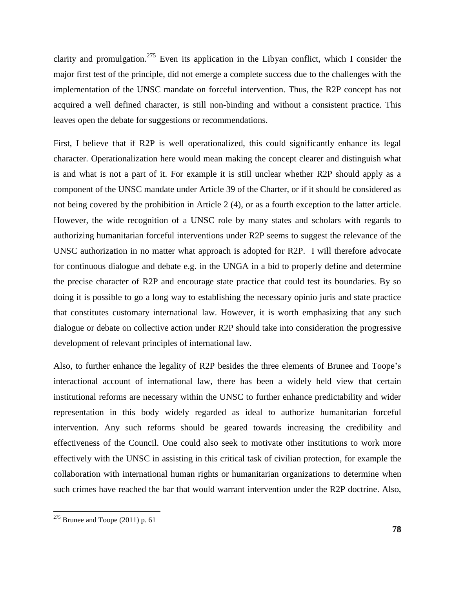clarity and promulgation.<sup>275</sup> Even its application in the Libyan conflict, which I consider the major first test of the principle, did not emerge a complete success due to the challenges with the implementation of the UNSC mandate on forceful intervention. Thus, the R2P concept has not acquired a well defined character, is still non-binding and without a consistent practice. This leaves open the debate for suggestions or recommendations.

First, I believe that if R2P is well operationalized, this could significantly enhance its legal character. Operationalization here would mean making the concept clearer and distinguish what is and what is not a part of it. For example it is still unclear whether R2P should apply as a component of the UNSC mandate under Article 39 of the Charter, or if it should be considered as not being covered by the prohibition in Article 2 (4), or as a fourth exception to the latter article. However, the wide recognition of a UNSC role by many states and scholars with regards to authorizing humanitarian forceful interventions under R2P seems to suggest the relevance of the UNSC authorization in no matter what approach is adopted for R2P. I will therefore advocate for continuous dialogue and debate e.g. in the UNGA in a bid to properly define and determine the precise character of R2P and encourage state practice that could test its boundaries. By so doing it is possible to go a long way to establishing the necessary opinio juris and state practice that constitutes customary international law. However, it is worth emphasizing that any such dialogue or debate on collective action under R2P should take into consideration the progressive development of relevant principles of international law.

Also, to further enhance the legality of R2P besides the three elements of Brunee and Toope"s interactional account of international law, there has been a widely held view that certain institutional reforms are necessary within the UNSC to further enhance predictability and wider representation in this body widely regarded as ideal to authorize humanitarian forceful intervention. Any such reforms should be geared towards increasing the credibility and effectiveness of the Council. One could also seek to motivate other institutions to work more effectively with the UNSC in assisting in this critical task of civilian protection, for example the collaboration with international human rights or humanitarian organizations to determine when such crimes have reached the bar that would warrant intervention under the R2P doctrine. Also,

 $275$  Brunee and Toope (2011) p. 61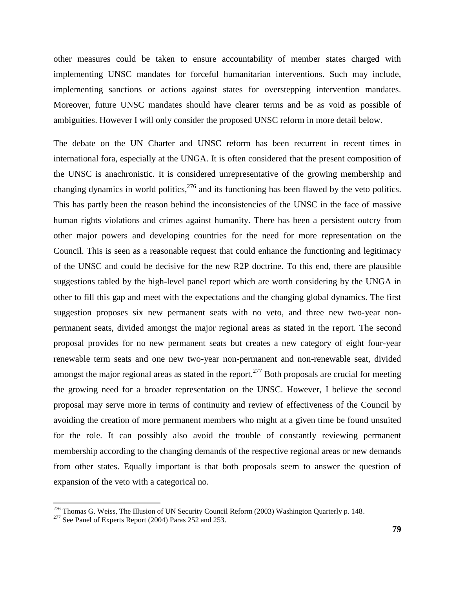other measures could be taken to ensure accountability of member states charged with implementing UNSC mandates for forceful humanitarian interventions. Such may include, implementing sanctions or actions against states for overstepping intervention mandates. Moreover, future UNSC mandates should have clearer terms and be as void as possible of ambiguities. However I will only consider the proposed UNSC reform in more detail below.

The debate on the UN Charter and UNSC reform has been recurrent in recent times in international fora, especially at the UNGA. It is often considered that the present composition of the UNSC is anachronistic. It is considered unrepresentative of the growing membership and changing dynamics in world politics,  $276$  and its functioning has been flawed by the veto politics. This has partly been the reason behind the inconsistencies of the UNSC in the face of massive human rights violations and crimes against humanity. There has been a persistent outcry from other major powers and developing countries for the need for more representation on the Council. This is seen as a reasonable request that could enhance the functioning and legitimacy of the UNSC and could be decisive for the new R2P doctrine. To this end, there are plausible suggestions tabled by the high-level panel report which are worth considering by the UNGA in other to fill this gap and meet with the expectations and the changing global dynamics. The first suggestion proposes six new permanent seats with no veto, and three new two-year nonpermanent seats, divided amongst the major regional areas as stated in the report. The second proposal provides for no new permanent seats but creates a new category of eight four-year renewable term seats and one new two-year non-permanent and non-renewable seat, divided amongst the major regional areas as stated in the report.<sup>277</sup> Both proposals are crucial for meeting the growing need for a broader representation on the UNSC. However, I believe the second proposal may serve more in terms of continuity and review of effectiveness of the Council by avoiding the creation of more permanent members who might at a given time be found unsuited for the role. It can possibly also avoid the trouble of constantly reviewing permanent membership according to the changing demands of the respective regional areas or new demands from other states. Equally important is that both proposals seem to answer the question of expansion of the veto with a categorical no.

 $\overline{a}$ 

<sup>&</sup>lt;sup>276</sup> Thomas G. Weiss, The Illusion of UN Security Council Reform (2003) Washington Quarterly p. 148.

 $277$  See Panel of Experts Report (2004) Paras 252 and 253.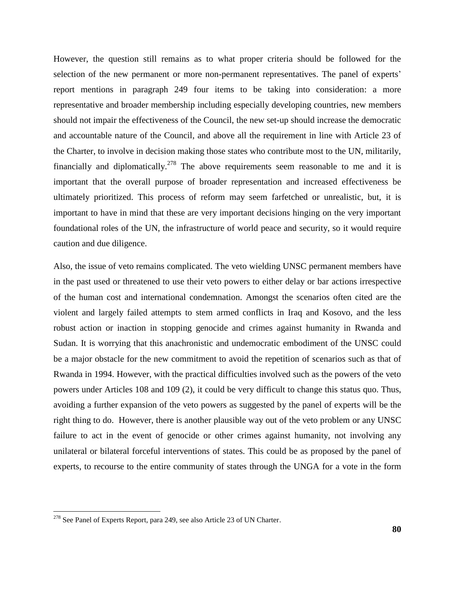However, the question still remains as to what proper criteria should be followed for the selection of the new permanent or more non-permanent representatives. The panel of experts' report mentions in paragraph 249 four items to be taking into consideration: a more representative and broader membership including especially developing countries, new members should not impair the effectiveness of the Council, the new set-up should increase the democratic and accountable nature of the Council, and above all the requirement in line with Article 23 of the Charter, to involve in decision making those states who contribute most to the UN, militarily, financially and diplomatically.<sup>278</sup> The above requirements seem reasonable to me and it is important that the overall purpose of broader representation and increased effectiveness be ultimately prioritized. This process of reform may seem farfetched or unrealistic, but, it is important to have in mind that these are very important decisions hinging on the very important foundational roles of the UN, the infrastructure of world peace and security, so it would require caution and due diligence.

Also, the issue of veto remains complicated. The veto wielding UNSC permanent members have in the past used or threatened to use their veto powers to either delay or bar actions irrespective of the human cost and international condemnation. Amongst the scenarios often cited are the violent and largely failed attempts to stem armed conflicts in Iraq and Kosovo, and the less robust action or inaction in stopping genocide and crimes against humanity in Rwanda and Sudan. It is worrying that this anachronistic and undemocratic embodiment of the UNSC could be a major obstacle for the new commitment to avoid the repetition of scenarios such as that of Rwanda in 1994. However, with the practical difficulties involved such as the powers of the veto powers under Articles 108 and 109 (2), it could be very difficult to change this status quo. Thus, avoiding a further expansion of the veto powers as suggested by the panel of experts will be the right thing to do. However, there is another plausible way out of the veto problem or any UNSC failure to act in the event of genocide or other crimes against humanity, not involving any unilateral or bilateral forceful interventions of states. This could be as proposed by the panel of experts, to recourse to the entire community of states through the UNGA for a vote in the form

<sup>&</sup>lt;sup>278</sup> See Panel of Experts Report, para 249, see also Article 23 of UN Charter.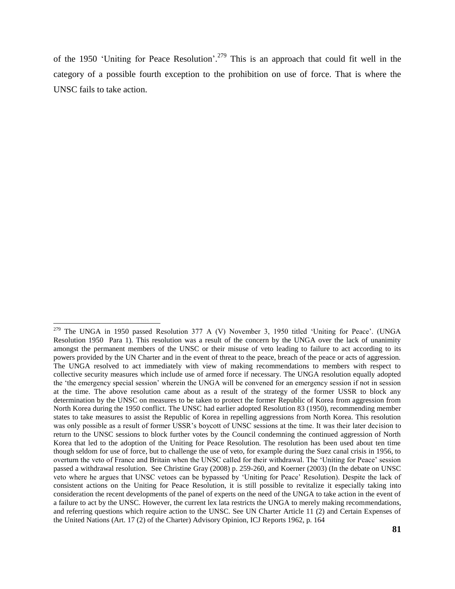of the 1950 'Uniting for Peace Resolution'.<sup>279</sup> This is an approach that could fit well in the category of a possible fourth exception to the prohibition on use of force. That is where the UNSC fails to take action.

l

<sup>&</sup>lt;sup>279</sup> The UNGA in 1950 passed Resolution 377 A (V) November 3, 1950 titled 'Uniting for Peace'. (UNGA Resolution 1950 Para 1). This resolution was a result of the concern by the UNGA over the lack of unanimity amongst the permanent members of the UNSC or their misuse of veto leading to failure to act according to its powers provided by the UN Charter and in the event of threat to the peace, breach of the peace or acts of aggression. The UNGA resolved to act immediately with view of making recommendations to members with respect to collective security measures which include use of armed force if necessary. The UNGA resolution equally adopted the "the emergency special session" wherein the UNGA will be convened for an emergency session if not in session at the time. The above resolution came about as a result of the strategy of the former USSR to block any determination by the UNSC on measures to be taken to protect the former Republic of Korea from aggression from North Korea during the 1950 conflict. The UNSC had earlier adopted Resolution 83 (1950), recommending member states to take measures to assist the Republic of Korea in repelling aggressions from North Korea. This resolution was only possible as a result of former USSR"s boycott of UNSC sessions at the time. It was their later decision to return to the UNSC sessions to block further votes by the Council condemning the continued aggression of North Korea that led to the adoption of the Uniting for Peace Resolution. The resolution has been used about ten time though seldom for use of force, but to challenge the use of veto, for example during the Suez canal crisis in 1956, to overturn the veto of France and Britain when the UNSC called for their withdrawal. The "Uniting for Peace" session passed a withdrawal resolution. See Christine Gray (2008) p. 259-260, and Koerner (2003) (In the debate on UNSC veto where he argues that UNSC vetoes can be bypassed by "Uniting for Peace" Resolution). Despite the lack of consistent actions on the Uniting for Peace Resolution, it is still possible to revitalize it especially taking into consideration the recent developments of the panel of experts on the need of the UNGA to take action in the event of a failure to act by the UNSC. However, the current lex lata restricts the UNGA to merely making recommendations, and referring questions which require action to the UNSC. See UN Charter Article 11 (2) and Certain Expenses of the United Nations (Art. 17 (2) of the Charter) Advisory Opinion, ICJ Reports 1962, p. 164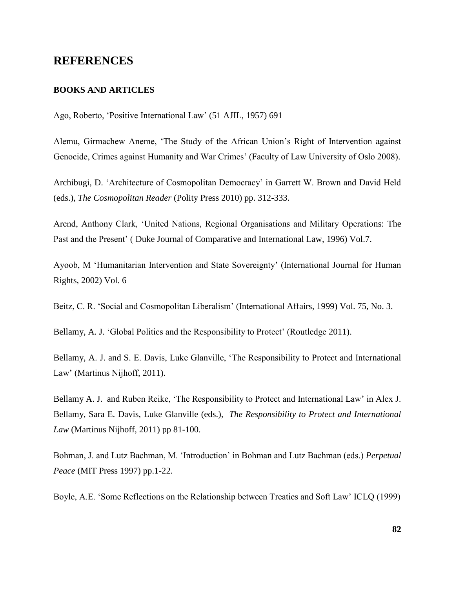# **REFERENCES**

#### **BOOKS AND ARTICLES**

Ago, Roberto, "Positive International Law" (51 AJIL, 1957) 691

Alemu, Girmachew Aneme, "The Study of the African Union"s Right of Intervention against Genocide, Crimes against Humanity and War Crimes' (Faculty of Law University of Oslo 2008).

Archibugi, D. "Architecture of Cosmopolitan Democracy" in Garrett W. Brown and David Held (eds.), *The Cosmopolitan Reader* (Polity Press 2010) pp. 312-333.

Arend, Anthony Clark, "United Nations, Regional Organisations and Military Operations: The Past and the Present" ( Duke Journal of Comparative and International Law, 1996) Vol.7.

Ayoob, M "Humanitarian Intervention and State Sovereignty" (International Journal for Human Rights, 2002) Vol. 6

Beitz, C. R. 'Social and Cosmopolitan Liberalism' (International Affairs, 1999) Vol. 75, No. 3.

Bellamy, A. J. 'Global Politics and the Responsibility to Protect' (Routledge 2011).

Bellamy, A. J. and S. E. Davis, Luke Glanville, "The Responsibility to Protect and International Law" (Martinus Nijhoff, 2011).

Bellamy A. J. and Ruben Reike, "The Responsibility to Protect and International Law" in Alex J. Bellamy, Sara E. Davis, Luke Glanville (eds.), *The Responsibility to Protect and International Law* (Martinus Nijhoff, 2011) pp 81-100.

Bohman, J. and Lutz Bachman, M. "Introduction" in Bohman and Lutz Bachman (eds.) *Perpetual Peace* (MIT Press 1997) pp.1-22.

Boyle, A.E. "Some Reflections on the Relationship between Treaties and Soft Law" ICLQ (1999)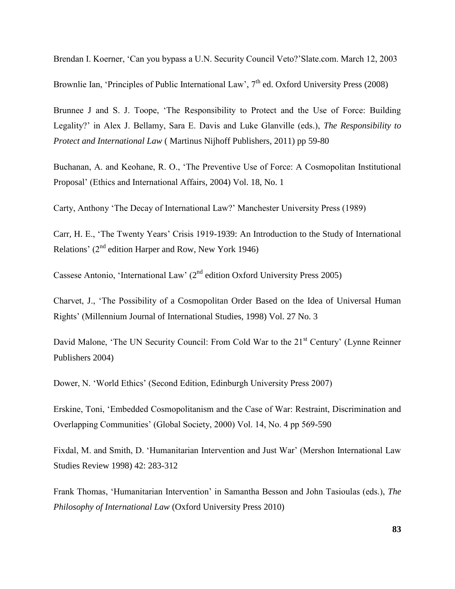Brendan I. Koerner, "Can you bypass a U.N. Security Council Veto?"Slate.com. March 12, 2003

Brownlie Ian, 'Principles of Public International Law',  $7<sup>th</sup>$  ed. Oxford University Press (2008)

Brunnee J and S. J. Toope, "The Responsibility to Protect and the Use of Force: Building Legality?" in Alex J. Bellamy, Sara E. Davis and Luke Glanville (eds.), *The Responsibility to Protect and International Law* ( Martinus Nijhoff Publishers, 2011) pp 59-80

Buchanan, A. and Keohane, R. O., "The Preventive Use of Force: A Cosmopolitan Institutional Proposal" (Ethics and International Affairs, 2004) Vol. 18, No. 1

Carty, Anthony "The Decay of International Law?" Manchester University Press (1989)

Carr, H. E., "The Twenty Years" Crisis 1919-1939: An Introduction to the Study of International Relations'  $(2<sup>nd</sup>$  edition Harper and Row, New York 1946)

Cassese Antonio, 'International Law'  $(2^{nd}$  edition Oxford University Press 2005)

Charvet, J., "The Possibility of a Cosmopolitan Order Based on the Idea of Universal Human Rights" (Millennium Journal of International Studies, 1998) Vol. 27 No. 3

David Malone, 'The UN Security Council: From Cold War to the 21<sup>st</sup> Century' (Lynne Reinner) Publishers 2004)

Dower, N. "World Ethics" (Second Edition, Edinburgh University Press 2007)

Erskine, Toni, "Embedded Cosmopolitanism and the Case of War: Restraint, Discrimination and Overlapping Communities" (Global Society, 2000) Vol. 14, No. 4 pp 569-590

Fixdal, M. and Smith, D. "Humanitarian Intervention and Just War" (Mershon International Law Studies Review 1998) 42: 283-312

Frank Thomas, "Humanitarian Intervention" in Samantha Besson and John Tasioulas (eds.), *The Philosophy of International Law* (Oxford University Press 2010)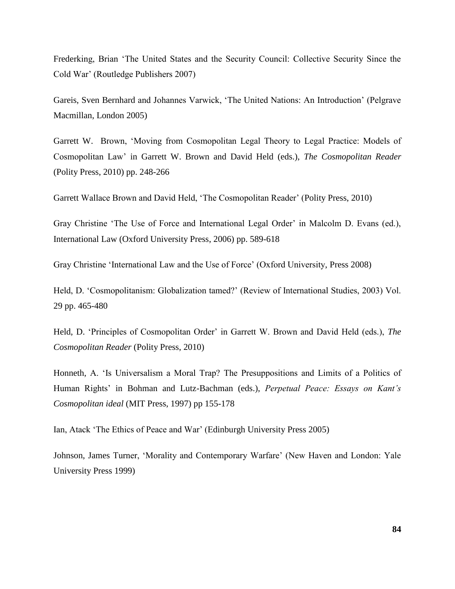Frederking, Brian "The United States and the Security Council: Collective Security Since the Cold War" (Routledge Publishers 2007)

Gareis, Sven Bernhard and Johannes Varwick, "The United Nations: An Introduction" (Pelgrave Macmillan, London 2005)

Garrett W. Brown, "Moving from Cosmopolitan Legal Theory to Legal Practice: Models of Cosmopolitan Law" in Garrett W. Brown and David Held (eds.), *The Cosmopolitan Reader* (Polity Press, 2010) pp. 248-266

Garrett Wallace Brown and David Held, "The Cosmopolitan Reader" (Polity Press, 2010)

Gray Christine "The Use of Force and International Legal Order" in Malcolm D. Evans (ed.), International Law (Oxford University Press, 2006) pp. 589-618

Gray Christine "International Law and the Use of Force" (Oxford University, Press 2008)

Held, D. "Cosmopolitanism: Globalization tamed?" (Review of International Studies, 2003) Vol. 29 pp. 465-480

Held, D. "Principles of Cosmopolitan Order" in Garrett W. Brown and David Held (eds.), *The Cosmopolitan Reader* (Polity Press, 2010)

Honneth, A. "Is Universalism a Moral Trap? The Presuppositions and Limits of a Politics of Human Rights" in Bohman and Lutz-Bachman (eds.), *Perpetual Peace: Essays on Kant"s Cosmopolitan ideal* (MIT Press, 1997) pp 155-178

Ian, Atack "The Ethics of Peace and War" (Edinburgh University Press 2005)

Johnson, James Turner, 'Morality and Contemporary Warfare' (New Haven and London: Yale University Press 1999)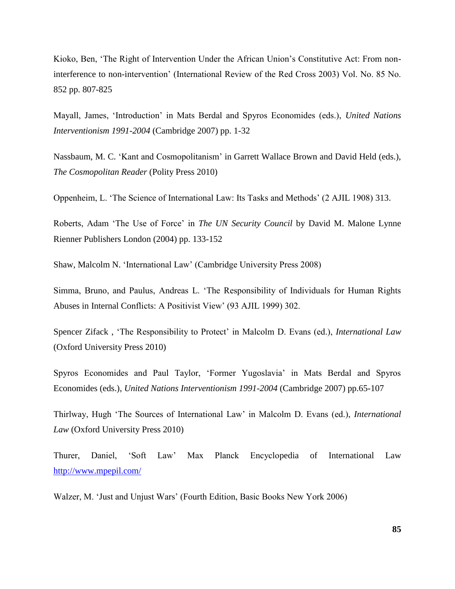Kioko, Ben, "The Right of Intervention Under the African Union"s Constitutive Act: From noninterference to non-intervention" (International Review of the Red Cross 2003) Vol. No. 85 No. 852 pp. 807-825

Mayall, James, "Introduction" in Mats Berdal and Spyros Economides (eds.), *United Nations Interventionism 1991-2004* (Cambridge 2007) pp. 1-32

Nassbaum, M. C. "Kant and Cosmopolitanism" in Garrett Wallace Brown and David Held (eds.), *The Cosmopolitan Reader* (Polity Press 2010)

Oppenheim, L. "The Science of International Law: Its Tasks and Methods" (2 AJIL 1908) 313.

Roberts, Adam "The Use of Force" in *The UN Security Council* by David M. Malone Lynne Rienner Publishers London (2004) pp. 133-152

Shaw, Malcolm N. "International Law" (Cambridge University Press 2008)

Simma, Bruno, and Paulus, Andreas L. "The Responsibility of Individuals for Human Rights Abuses in Internal Conflicts: A Positivist View" (93 AJIL 1999) 302.

Spencer Zifack , "The Responsibility to Protect" in Malcolm D. Evans (ed.), *International Law* (Oxford University Press 2010)

Spyros Economides and Paul Taylor, "Former Yugoslavia" in Mats Berdal and Spyros Economides (eds.), *United Nations Interventionism 1991-2004* (Cambridge 2007) pp.65-107

Thirlway, Hugh "The Sources of International Law" in Malcolm D. Evans (ed.), *International Law* (Oxford University Press 2010)

Thurer, Daniel, "Soft Law" Max Planck Encyclopedia of International Law <http://www.mpepil.com/>

Walzer, M. "Just and Unjust Wars" (Fourth Edition, Basic Books New York 2006)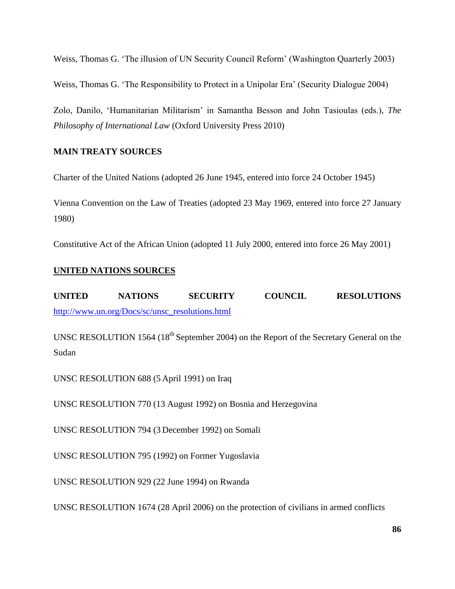Weiss, Thomas G. "The illusion of UN Security Council Reform" (Washington Quarterly 2003)

Weiss, Thomas G. "The Responsibility to Protect in a Unipolar Era" (Security Dialogue 2004)

Zolo, Danilo, "Humanitarian Militarism" in Samantha Besson and John Tasioulas (eds.), *The Philosophy of International Law* (Oxford University Press 2010)

# **MAIN TREATY SOURCES**

Charter of the United Nations (adopted 26 June 1945, entered into force 24 October 1945)

Vienna Convention on the Law of Treaties (adopted 23 May 1969, entered into force 27 January 1980)

Constitutive Act of the African Union (adopted 11 July 2000, entered into force 26 May 2001)

# **UNITED NATIONS SOURCES**

**UNITED NATIONS SECURITY COUNCIL RESOLUTIONS**  [http://www.un.org/Docs/sc/unsc\\_resolutions.html](http://www.un.org/Docs/sc/unsc_resolutions.html)

UNSC RESOLUTION 1564 (18<sup>th</sup> September 2004) on the Report of the Secretary General on the Sudan

UNSC RESOLUTION 688 (5 April 1991) on Iraq

UNSC RESOLUTION 770 (13 August 1992) on Bosnia and Herzegovina

UNSC RESOLUTION 794 (3 December 1992) on Somali

UNSC RESOLUTION 795 (1992) on Former Yugoslavia

UNSC RESOLUTION 929 (22 June 1994) on Rwanda

UNSC RESOLUTION 1674 (28 April 2006) on the protection of civilians in armed conflicts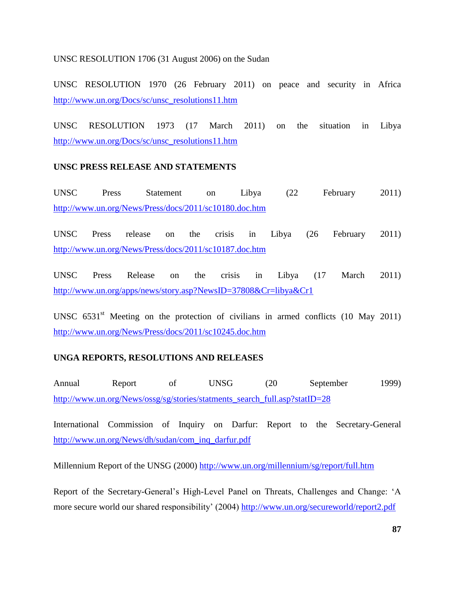### UNSC RESOLUTION 1706 (31 August 2006) on the Sudan

UNSC RESOLUTION 1970 (26 February 2011) on peace and security in Africa [http://www.un.org/Docs/sc/unsc\\_resolutions11.htm](http://www.un.org/Docs/sc/unsc_resolutions11.htm)

UNSC RESOLUTION 1973 (17 March 2011) on the situation in Libya [http://www.un.org/Docs/sc/unsc\\_resolutions11.htm](http://www.un.org/Docs/sc/unsc_resolutions11.htm)

# **UNSC PRESS RELEASE AND STATEMENTS**

UNSC Press Statement on Libya (22 February 2011) <http://www.un.org/News/Press/docs/2011/sc10180.doc.htm>

UNSC Press release on the crisis in Libya (26 February 2011) <http://www.un.org/News/Press/docs/2011/sc10187.doc.htm>

UNSC Press Release on the crisis in Libya (17 March 2011) <http://www.un.org/apps/news/story.asp?NewsID=37808&Cr=libya&Cr1>

UNSC  $6531<sup>st</sup>$  Meeting on the protection of civilians in armed conflicts (10 May 2011) <http://www.un.org/News/Press/docs/2011/sc10245.doc.htm>

# **UNGA REPORTS, RESOLUTIONS AND RELEASES**

Annual Report of UNSG (20 September 1999) [http://www.un.org/News/ossg/sg/stories/statments\\_search\\_full.asp?statID=28](http://www.un.org/News/ossg/sg/stories/statments_search_full.asp?statID=28)

International Commission of Inquiry on Darfur: Report to the Secretary-General [http://www.un.org/News/dh/sudan/com\\_inq\\_darfur.pdf](http://www.un.org/News/dh/sudan/com_inq_darfur.pdf)

Millennium Report of the UNSG (2000)<http://www.un.org/millennium/sg/report/full.htm>

Report of the Secretary-General"s High-Level Panel on Threats, Challenges and Change: "A more secure world our shared responsibility' (2004)<http://www.un.org/secureworld/report2.pdf>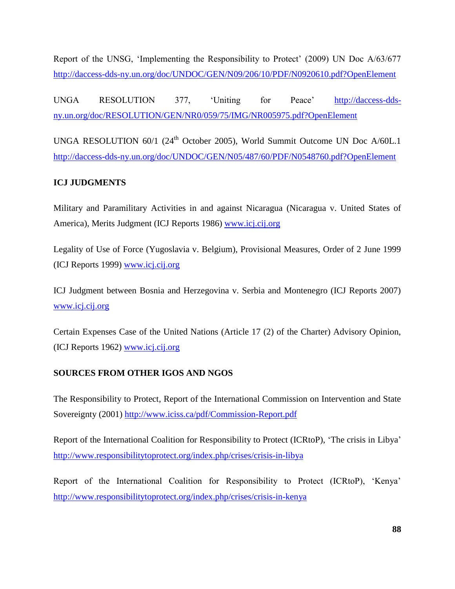Report of the UNSG, "Implementing the Responsibility to Protect" (2009) UN Doc A/63/677 <http://daccess-dds-ny.un.org/doc/UNDOC/GEN/N09/206/10/PDF/N0920610.pdf?OpenElement>

UNGA RESOLUTION 377, "Uniting for Peace" [http://daccess-dds](http://daccess-dds-ny.un.org/doc/RESOLUTION/GEN/NR0/059/75/IMG/NR005975.pdf?OpenElement)[ny.un.org/doc/RESOLUTION/GEN/NR0/059/75/IMG/NR005975.pdf?OpenElement](http://daccess-dds-ny.un.org/doc/RESOLUTION/GEN/NR0/059/75/IMG/NR005975.pdf?OpenElement)

UNGA RESOLUTION 60/1 (24<sup>th</sup> October 2005), World Summit Outcome UN Doc A/60L.1 <http://daccess-dds-ny.un.org/doc/UNDOC/GEN/N05/487/60/PDF/N0548760.pdf?OpenElement>

# **ICJ JUDGMENTS**

Military and Paramilitary Activities in and against Nicaragua (Nicaragua v. United States of America), Merits Judgment (ICJ Reports 1986) [www.icj.cij.org](http://www.icj.cij.org/)

Legality of Use of Force (Yugoslavia v. Belgium), Provisional Measures, Order of 2 June 1999 (ICJ Reports 1999) [www.icj.cij.org](http://www.icj.cij.org/)

ICJ Judgment between Bosnia and Herzegovina v. Serbia and Montenegro (ICJ Reports 2007) [www.icj.cij.org](http://www.icj.cij.org/)

Certain Expenses Case of the United Nations (Article 17 (2) of the Charter) Advisory Opinion, (ICJ Reports 1962) [www.icj.cij.org](http://www.icj.cij.org/)

# **SOURCES FROM OTHER IGOS AND NGOS**

The Responsibility to Protect, Report of the International Commission on Intervention and State Sovereignty (2001)<http://www.iciss.ca/pdf/Commission-Report.pdf>

Report of the International Coalition for Responsibility to Protect (ICRtoP), "The crisis in Libya" <http://www.responsibilitytoprotect.org/index.php/crises/crisis-in-libya>

Report of the International Coalition for Responsibility to Protect (ICRtoP), "Kenya" <http://www.responsibilitytoprotect.org/index.php/crises/crisis-in-kenya>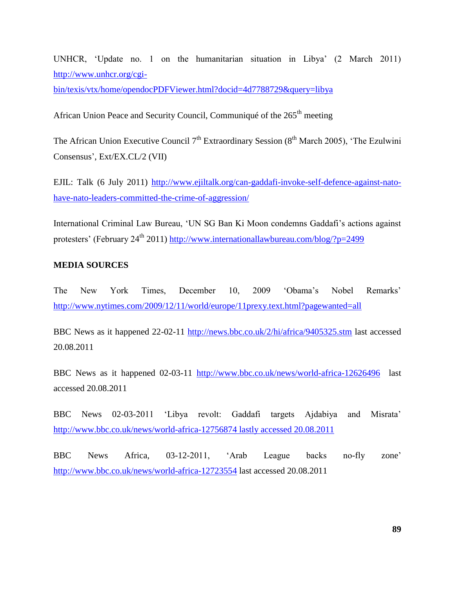UNHCR, "Update no. 1 on the humanitarian situation in Libya" (2 March 2011) [http://www.unhcr.org/cgi-](http://www.unhcr.org/cgi-bin/texis/vtx/home/opendocPDFViewer.html?docid=4d7788729&query=libya)

[bin/texis/vtx/home/opendocPDFViewer.html?docid=4d7788729&query=libya](http://www.unhcr.org/cgi-bin/texis/vtx/home/opendocPDFViewer.html?docid=4d7788729&query=libya)

African Union Peace and Security Council, Communiqué of the 265<sup>th</sup> meeting

The African Union Executive Council  $7<sup>th</sup>$  Extraordinary Session (8<sup>th</sup> March 2005), 'The Ezulwini Consensus", Ext/EX.CL/2 (VII)

EJIL: Talk (6 July 2011) [http://www.ejiltalk.org/can-gaddafi-invoke-self-defence-against-nato](http://www.ejiltalk.org/can-gaddafi-invoke-self-defence-against-nato-have-nato-leaders-committed-the-crime-of-aggression/)[have-nato-leaders-committed-the-crime-of-aggression/](http://www.ejiltalk.org/can-gaddafi-invoke-self-defence-against-nato-have-nato-leaders-committed-the-crime-of-aggression/)

International Criminal Law Bureau, "UN SG Ban Ki Moon condemns Gaddafi"s actions against protesters' (February 24<sup>th</sup> 2011)<http://www.internationallawbureau.com/blog/?p=2499>

#### **MEDIA SOURCES**

The New York Times, December 10, 2009 "Obama"s Nobel Remarks" <http://www.nytimes.com/2009/12/11/world/europe/11prexy.text.html?pagewanted=all>

BBC News as it happened 22-02-11<http://news.bbc.co.uk/2/hi/africa/9405325.stm> last accessed 20.08.2011

BBC News as it happened 02-03-11 <http://www.bbc.co.uk/news/world-africa-12626496>last accessed 20.08.2011

BBC News 02-03-2011 "Libya revolt: Gaddafi targets Ajdabiya and Misrata" [http://www.bbc.co.uk/news/world-africa-12756874 lastly accessed 20.08.2011](http://www.bbc.co.uk/news/world-africa-12756874%20lastly%20accessed%2020.08.2011)

BBC News Africa, 03-12-2011, "Arab League backs no-fly zone" <http://www.bbc.co.uk/news/world-africa-12723554> last accessed 20.08.2011